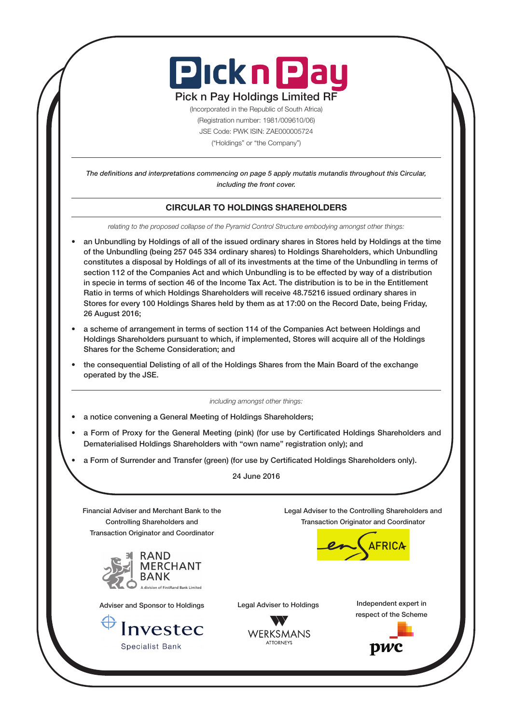

# Pick n Pay Holdings Limited RF

(Incorporated in the Republic of South Africa) (Registration number: 1981/009610/06) JSE Code: PWK ISIN: ZAE000005724 ("Holdings" or "the Company")

*The definitions and interpretations commencing on page 5 apply mutatis mutandis throughout this Circular, including the front cover.*

# CIRCULAR TO HOLDINGS SHAREHOLDERS

*relating to the proposed collapse of the Pyramid Control Structure embodying amongst other things:*

- an Unbundling by Holdings of all of the issued ordinary shares in Stores held by Holdings at the time of the Unbundling (being 257 045 334 ordinary shares) to Holdings Shareholders, which Unbundling constitutes a disposal by Holdings of all of its investments at the time of the Unbundling in terms of section 112 of the Companies Act and which Unbundling is to be effected by way of a distribution in specie in terms of section 46 of the Income Tax Act. The distribution is to be in the Entitlement Ratio in terms of which Holdings Shareholders will receive 48.75216 issued ordinary shares in Stores for every 100 Holdings Shares held by them as at 17:00 on the Record Date, being Friday, 26 August 2016;
- a scheme of arrangement in terms of section 114 of the Companies Act between Holdings and Holdings Shareholders pursuant to which, if implemented, Stores will acquire all of the Holdings Shares for the Scheme Consideration; and
- the consequential Delisting of all of the Holdings Shares from the Main Board of the exchange operated by the JSE.

*including amongst other things:*

- a notice convening a General Meeting of Holdings Shareholders;
- a Form of Proxy for the General Meeting (pink) (for use by Certificated Holdings Shareholders and Dematerialised Holdings Shareholders with "own name" registration only); and
- a Form of Surrender and Transfer (green) (for use by Certificated Holdings Shareholders only).

24 June 2016

**WERKSMANS ATTORNEYS** 

Financial Adviser and Merchant Bank to the Controlling Shareholders and Transaction Originator and Coordinator



Adviser and Sponsor to Holdings

Investec **Specialist Bank** 

Legal Adviser to the Controlling Shareholders and Transaction Originator and Coordinator



Legal Adviser to Holdings **Independent expert in** respect of the Scheme

pwc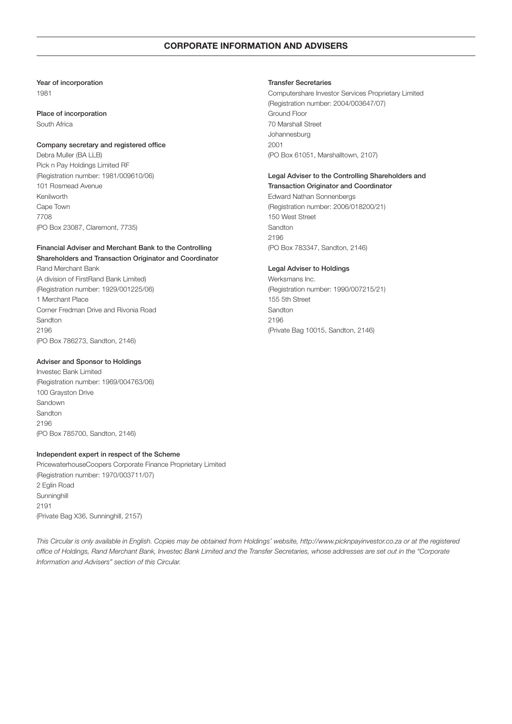# CORPORATE INFORMATION AND ADVISERS

# Year of incorporation

1981

# Place of incorporation

South Africa

# Company secretary and registered office

Debra Muller (BA LLB) Pick n Pay Holdings Limited RF (Registration number: 1981/009610/06) 101 Rosmead Avenue Kenilworth Cape Town 7708 (PO Box 23087, Claremont, 7735)

# Financial Adviser and Merchant Bank to the Controlling Shareholders and Transaction Originator and Coordinator Rand Merchant Bank

(A division of FirstRand Bank Limited) (Registration number: 1929/001225/06) 1 Merchant Place Corner Fredman Drive and Rivonia Road Sandton 2196 (PO Box 786273, Sandton, 2146)

# Adviser and Sponsor to Holdings

Investec Bank Limited (Registration number: 1969/004763/06) 100 Grayston Drive Sandown Sandton 2196 (PO Box 785700, Sandton, 2146)

# Independent expert in respect of the Scheme

PricewaterhouseCoopers Corporate Finance Proprietary Limited (Registration number: 1970/003711/07) 2 Eglin Road **Sunninghill** 2191 (Private Bag X36, Sunninghill, 2157)

### Transfer Secretaries

Computershare Investor Services Proprietary Limited (Registration number: 2004/003647/07) Ground Floor 70 Marshall Street Johannesburg 2001 (PO Box 61051, Marshalltown, 2107)

# Legal Adviser to the Controlling Shareholders and Transaction Originator and Coordinator

Edward Nathan Sonnenbergs (Registration number: 2006/018200/21) 150 West Street Sandton 2196 (PO Box 783347, Sandton, 2146)

# Legal Adviser to Holdings

Werksmans Inc. (Registration number: 1990/007215/21) 155 5th Street Sandton 2196 (Private Bag 10015, Sandton, 2146)

*This Circular is only available in English. Copies may be obtained from Holdings' website, http://www.picknpayinvestor.co.za or at the registered office of Holdings, Rand Merchant Bank, Investec Bank Limited and the Transfer Secretaries, whose addresses are set out in the "Corporate Information and Advisers" section of this Circular.*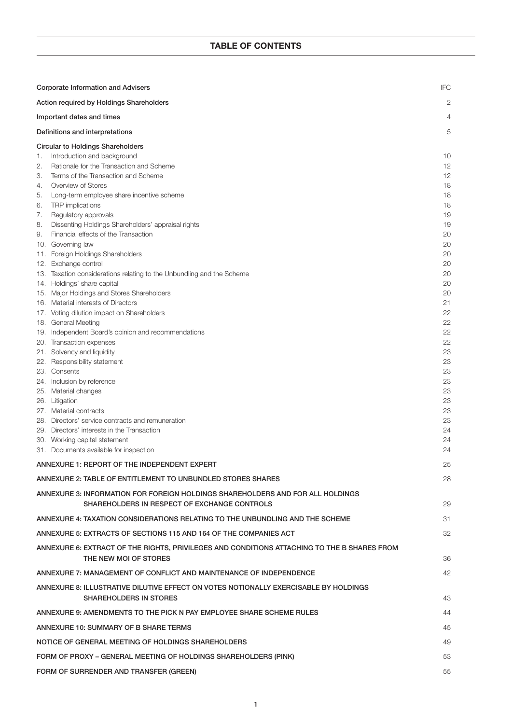| <b>Corporate Information and Advisers</b>                       |                                                                                                                       |          |
|-----------------------------------------------------------------|-----------------------------------------------------------------------------------------------------------------------|----------|
|                                                                 | Action required by Holdings Shareholders                                                                              | 2        |
|                                                                 | Important dates and times                                                                                             | 4        |
|                                                                 | Definitions and interpretations                                                                                       | 5        |
|                                                                 | <b>Circular to Holdings Shareholders</b>                                                                              |          |
| 1.                                                              | Introduction and background                                                                                           | 10       |
| 2.                                                              | Rationale for the Transaction and Scheme                                                                              | 12       |
| З.                                                              | Terms of the Transaction and Scheme                                                                                   | 12       |
| 4.                                                              | Overview of Stores                                                                                                    | 18       |
| 5.                                                              | Long-term employee share incentive scheme                                                                             | 18       |
| 6.                                                              | TRP implications                                                                                                      | 18       |
| 7.<br>8.                                                        | Regulatory approvals<br>Dissenting Holdings Shareholders' appraisal rights                                            | 19<br>19 |
| 9.                                                              | Financial effects of the Transaction                                                                                  | 20       |
|                                                                 | 10. Governing law                                                                                                     | 20       |
|                                                                 | 11. Foreign Holdings Shareholders                                                                                     | 20       |
|                                                                 | 12. Exchange control                                                                                                  | 20       |
|                                                                 | 13. Taxation considerations relating to the Unbundling and the Scheme                                                 | 20       |
|                                                                 | 14. Holdings' share capital                                                                                           | 20       |
|                                                                 | 15. Major Holdings and Stores Shareholders                                                                            | 20       |
|                                                                 | 16. Material interests of Directors                                                                                   | 21       |
|                                                                 | 17. Voting dilution impact on Shareholders                                                                            | 22       |
|                                                                 | 18. General Meeting<br>19. Independent Board's opinion and recommendations                                            | 22<br>22 |
|                                                                 | 20. Transaction expenses                                                                                              | 22       |
|                                                                 | 21. Solvency and liquidity                                                                                            | 23       |
|                                                                 | 22. Responsibility statement                                                                                          | 23       |
|                                                                 | 23. Consents                                                                                                          | 23       |
|                                                                 | 24. Inclusion by reference                                                                                            | 23       |
|                                                                 | 25. Material changes                                                                                                  | 23       |
|                                                                 | 26. Litigation                                                                                                        | 23       |
|                                                                 | 27. Material contracts                                                                                                | 23       |
|                                                                 | 28. Directors' service contracts and remuneration                                                                     | 23       |
|                                                                 | 29. Directors' interests in the Transaction<br>30. Working capital statement                                          | 24<br>24 |
|                                                                 | 31. Documents available for inspection                                                                                | 24       |
|                                                                 | ANNEXURE 1: REPORT OF THE INDEPENDENT EXPERT                                                                          | 25       |
|                                                                 | ANNEXURE 2: TABLE OF ENTITLEMENT TO UNBUNDLED STORES SHARES                                                           | 28       |
|                                                                 | ANNEXURE 3: INFORMATION FOR FOREIGN HOLDINGS SHAREHOLDERS AND FOR ALL HOLDINGS                                        |          |
|                                                                 | SHAREHOLDERS IN RESPECT OF EXCHANGE CONTROLS                                                                          | 29       |
|                                                                 | ANNEXURE 4: TAXATION CONSIDERATIONS RELATING TO THE UNBUNDLING AND THE SCHEME                                         | 31       |
|                                                                 | ANNEXURE 5: EXTRACTS OF SECTIONS 115 AND 164 OF THE COMPANIES ACT                                                     | 32       |
|                                                                 | ANNEXURE 6: EXTRACT OF THE RIGHTS, PRIVILEGES AND CONDITIONS ATTACHING TO THE B SHARES FROM<br>THE NEW MOI OF STORES  | 36       |
|                                                                 | ANNEXURE 7: MANAGEMENT OF CONFLICT AND MAINTENANCE OF INDEPENDENCE                                                    | 42       |
|                                                                 | ANNEXURE 8: ILLUSTRATIVE DILUTIVE EFFECT ON VOTES NOTIONALLY EXERCISABLE BY HOLDINGS<br><b>SHAREHOLDERS IN STORES</b> | 43       |
|                                                                 | ANNEXURE 9: AMENDMENTS TO THE PICK N PAY EMPLOYEE SHARE SCHEME RULES                                                  | 44       |
| ANNEXURE 10: SUMMARY OF B SHARE TERMS                           |                                                                                                                       |          |
| NOTICE OF GENERAL MEETING OF HOLDINGS SHAREHOLDERS              |                                                                                                                       |          |
| FORM OF PROXY – GENERAL MEETING OF HOLDINGS SHAREHOLDERS (PINK) |                                                                                                                       |          |
| FORM OF SURRENDER AND TRANSFER (GREEN)                          |                                                                                                                       |          |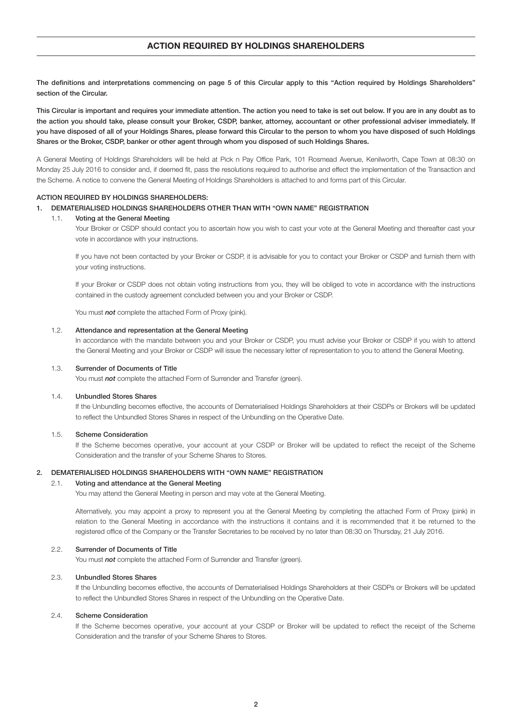# ACTION REQUIRED BY HOLDINGS SHAREHOLDERS

The definitions and interpretations commencing on page 5 of this Circular apply to this "Action required by Holdings Shareholders" section of the Circular.

This Circular is important and requires your immediate attention. The action you need to take is set out below. If you are in any doubt as to the action you should take, please consult your Broker, CSDP, banker, attorney, accountant or other professional adviser immediately. If you have disposed of all of your Holdings Shares, please forward this Circular to the person to whom you have disposed of such Holdings Shares or the Broker, CSDP, banker or other agent through whom you disposed of such Holdings Shares.

A General Meeting of Holdings Shareholders will be held at Pick n Pay Office Park, 101 Rosmead Avenue, Kenilworth, Cape Town at 08:30 on Monday 25 July 2016 to consider and, if deemed fit, pass the resolutions required to authorise and effect the implementation of the Transaction and the Scheme. A notice to convene the General Meeting of Holdings Shareholders is attached to and forms part of this Circular.

#### ACTION REQUIRED BY HOLDINGS SHAREHOLDERS:

#### 1. DEMATERIALISED HOLDINGS SHAREHOLDERS OTHER THAN WITH "OWN NAME" REGISTRATION

#### 1.1. Voting at the General Meeting

 Your Broker or CSDP should contact you to ascertain how you wish to cast your vote at the General Meeting and thereafter cast your vote in accordance with your instructions.

 If you have not been contacted by your Broker or CSDP, it is advisable for you to contact your Broker or CSDP and furnish them with your voting instructions.

 If your Broker or CSDP does not obtain voting instructions from you, they will be obliged to vote in accordance with the instructions contained in the custody agreement concluded between you and your Broker or CSDP.

You must **not** complete the attached Form of Proxy (pink).

### 1.2. Attendance and representation at the General Meeting

 In accordance with the mandate between you and your Broker or CSDP, you must advise your Broker or CSDP if you wish to attend the General Meeting and your Broker or CSDP will issue the necessary letter of representation to you to attend the General Meeting.

#### 1.3. Surrender of Documents of Title

You must **not** complete the attached Form of Surrender and Transfer (green).

#### 1.4. Unbundled Stores Shares

 If the Unbundling becomes effective, the accounts of Dematerialised Holdings Shareholders at their CSDPs or Brokers will be updated to reflect the Unbundled Stores Shares in respect of the Unbundling on the Operative Date.

#### 1.5. Scheme Consideration

 If the Scheme becomes operative, your account at your CSDP or Broker will be updated to reflect the receipt of the Scheme Consideration and the transfer of your Scheme Shares to Stores.

#### 2. DEMATERIALISED HOLDINGS SHAREHOLDERS WITH "OWN NAME" REGISTRATION

# 2.1. Voting and attendance at the General Meeting

You may attend the General Meeting in person and may vote at the General Meeting.

 Alternatively, you may appoint a proxy to represent you at the General Meeting by completing the attached Form of Proxy (pink) in relation to the General Meeting in accordance with the instructions it contains and it is recommended that it be returned to the registered office of the Company or the Transfer Secretaries to be received by no later than 08:30 on Thursday, 21 July 2016.

### 2.2. Surrender of Documents of Title

You must **not** complete the attached Form of Surrender and Transfer (green).

# 2.3. Unbundled Stores Shares

 If the Unbundling becomes effective, the accounts of Dematerialised Holdings Shareholders at their CSDPs or Brokers will be updated to reflect the Unbundled Stores Shares in respect of the Unbundling on the Operative Date.

# 2.4. Scheme Consideration

 If the Scheme becomes operative, your account at your CSDP or Broker will be updated to reflect the receipt of the Scheme Consideration and the transfer of your Scheme Shares to Stores.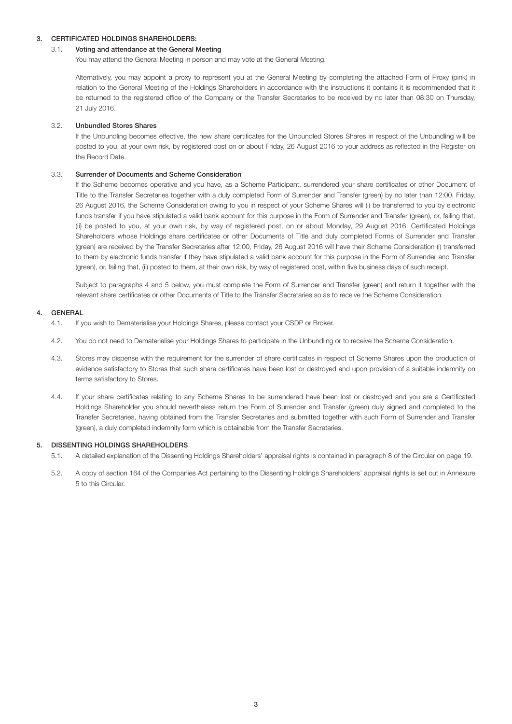# 3. CERTIFICATED HOLDINGS SHAREHOLDERS:

# 3.1. Voting and attendance at the General Meeting

You may attend the General Meeting in person and may vote at the General Meeting.

 Alternatively, you may appoint a proxy to represent you at the General Meeting by completing the attached Form of Proxy (pink) in relation to the General Meeting of the Holdings Shareholders in accordance with the instructions it contains it is recommended that it be returned to the registered office of the Company or the Transfer Secretaries to be received by no later than 08:30 on Thursday, 21 July 2016.

### 3.2. Unbundled Stores Shares

 If the Unbundling becomes effective, the new share certificates for the Unbundled Stores Shares in respect of the Unbundling will be posted to you, at your own risk, by registered post on or about Friday, 26 August 2016 to your address as reflected in the Register on the Record Date.

### 3.3. Surrender of Documents and Scheme Consideration

 If the Scheme becomes operative and you have, as a Scheme Participant, surrendered your share certificates or other Document of Title to the Transfer Secretaries together with a duly completed Form of Surrender and Transfer (green) by no later than 12:00, Friday, 26 August 2016, the Scheme Consideration owing to you in respect of your Scheme Shares will (i) be transferred to you by electronic funds transfer if you have stipulated a valid bank account for this purpose in the Form of Surrender and Transfer (green), or, failing that, (ii) be posted to you, at your own risk, by way of registered post, on or about Monday, 29 August 2016. Certificated Holdings Shareholders whose Holdings share certificates or other Documents of Title and duly completed Forms of Surrender and Transfer (green) are received by the Transfer Secretaries after 12:00, Friday, 26 August 2016 will have their Scheme Consideration (i) transferred to them by electronic funds transfer if they have stipulated a valid bank account for this purpose in the Form of Surrender and Transfer (green), or, failing that, (ii) posted to them, at their own risk, by way of registered post, within five business days of such receipt.

 Subject to paragraphs 4 and 5 below, you must complete the Form of Surrender and Transfer (green) and return it together with the relevant share certificates or other Documents of Title to the Transfer Secretaries so as to receive the Scheme Consideration.

# 4. GENERAL

- 4.1. If you wish to Dematerialise your Holdings Shares, please contact your CSDP or Broker.
- 4.2. You do not need to Dematerialise your Holdings Shares to participate in the Unbundling or to receive the Scheme Consideration.
- 4.3. Stores may dispense with the requirement for the surrender of share certificates in respect of Scheme Shares upon the production of evidence satisfactory to Stores that such share certificates have been lost or destroyed and upon provision of a suitable indemnity on terms satisfactory to Stores.
- 4.4. If your share certificates relating to any Scheme Shares to be surrendered have been lost or destroyed and you are a Certificated Holdings Shareholder you should nevertheless return the Form of Surrender and Transfer (green) duly signed and completed to the Transfer Secretaries, having obtained from the Transfer Secretaries and submitted together with such Form of Surrender and Transfer (green), a duly completed indemnity form which is obtainable from the Transfer Secretaries.

### 5. DISSENTING HOLDINGS SHAREHOLDERS

- 5.1. A detailed explanation of the Dissenting Holdings Shareholders' appraisal rights is contained in paragraph 8 of the Circular on page 19.
- 5.2. A copy of section 164 of the Companies Act pertaining to the Dissenting Holdings Shareholders' appraisal rights is set out in Annexure 5 to this Circular.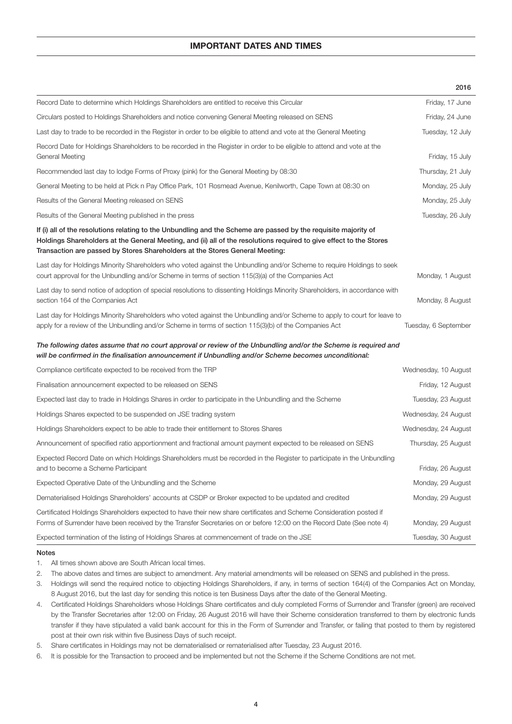# IMPORTANT DATES AND TIMES

|                                                                                                                                                                                                                                                                                                                        | 2016                 |
|------------------------------------------------------------------------------------------------------------------------------------------------------------------------------------------------------------------------------------------------------------------------------------------------------------------------|----------------------|
| Record Date to determine which Holdings Shareholders are entitled to receive this Circular                                                                                                                                                                                                                             | Friday, 17 June      |
| Circulars posted to Holdings Shareholders and notice convening General Meeting released on SENS                                                                                                                                                                                                                        | Friday, 24 June      |
| Last day to trade to be recorded in the Register in order to be eligible to attend and vote at the General Meeting                                                                                                                                                                                                     | Tuesday, 12 July     |
| Record Date for Holdings Shareholders to be recorded in the Register in order to be eligible to attend and vote at the<br>General Meeting                                                                                                                                                                              | Friday, 15 July      |
| Recommended last day to lodge Forms of Proxy (pink) for the General Meeting by 08:30                                                                                                                                                                                                                                   | Thursday, 21 July    |
| General Meeting to be held at Pick n Pay Office Park, 101 Rosmead Avenue, Kenilworth, Cape Town at 08:30 on                                                                                                                                                                                                            | Monday, 25 July      |
| Results of the General Meeting released on SENS                                                                                                                                                                                                                                                                        | Monday, 25 July      |
| Results of the General Meeting published in the press                                                                                                                                                                                                                                                                  | Tuesday, 26 July     |
| If (i) all of the resolutions relating to the Unbundling and the Scheme are passed by the requisite majority of<br>Holdings Shareholders at the General Meeting, and (ii) all of the resolutions required to give effect to the Stores<br>Transaction are passed by Stores Shareholders at the Stores General Meeting: |                      |
| Last day for Holdings Minority Shareholders who voted against the Unbundling and/or Scheme to require Holdings to seek<br>court approval for the Unbundling and/or Scheme in terms of section 115(3)(a) of the Companies Act                                                                                           | Monday, 1 August     |
| Last day to send notice of adoption of special resolutions to dissenting Holdings Minority Shareholders, in accordance with<br>section 164 of the Companies Act                                                                                                                                                        | Monday, 8 August     |
| Last day for Holdings Minority Shareholders who voted against the Unbundling and/or Scheme to apply to court for leave to<br>apply for a review of the Unbundling and/or Scheme in terms of section 115(3)(b) of the Companies Act                                                                                     | Tuesday, 6 September |
| The following dates assume that no court approval or review of the Unbundling and/or the Scheme is required and<br>will be confirmed in the finalisation announcement if Unbundling and/or Scheme becomes unconditional:                                                                                               |                      |
| Compliance certificate expected to be received from the TRP                                                                                                                                                                                                                                                            | Wednesday, 10 August |
| Finalisation announcement expected to be released on SENS                                                                                                                                                                                                                                                              | Friday, 12 August    |
| Expected last day to trade in Holdings Shares in order to participate in the Unbundling and the Scheme                                                                                                                                                                                                                 | Tuesday, 23 August   |
| Holdings Shares expected to be suspended on JSE trading system                                                                                                                                                                                                                                                         | Wednesday, 24 August |
| Holdings Shareholders expect to be able to trade their entitlement to Stores Shares                                                                                                                                                                                                                                    | Wednesday, 24 August |
| Announcement of specified ratio apportionment and fractional amount payment expected to be released on SENS                                                                                                                                                                                                            | Thursday, 25 August  |
| Expected Record Date on which Holdings Shareholders must be recorded in the Register to participate in the Unbundling<br>and to become a Scheme Participant                                                                                                                                                            | Friday, 26 August    |
| Expected Operative Date of the Unbundling and the Scheme                                                                                                                                                                                                                                                               | Monday, 29 August    |
| Dematerialised Holdings Shareholders' accounts at CSDP or Broker expected to be updated and credited                                                                                                                                                                                                                   | Monday, 29 August    |
| Certificated Holdings Shareholders expected to have their new share certificates and Scheme Consideration posted if<br>Forms of Surrender have been received by the Transfer Secretaries on or before 12:00 on the Record Date (See note 4)                                                                            | Monday, 29 August    |
| Expected termination of the listing of Holdings Shares at commencement of trade on the JSE                                                                                                                                                                                                                             | Tuesday, 30 August   |

# Notes

- 1. All times shown above are South African local times.
- 2. The above dates and times are subject to amendment. Any material amendments will be released on SENS and published in the press.
- 3. Holdings will send the required notice to objecting Holdings Shareholders, if any, in terms of section 164(4) of the Companies Act on Monday, 8 August 2016, but the last day for sending this notice is ten Business Days after the date of the General Meeting.
- 4. Certificated Holdings Shareholders whose Holdings Share certificates and duly completed Forms of Surrender and Transfer (green) are received by the Transfer Secretaries after 12:00 on Friday, 26 August 2016 will have their Scheme consideration transferred to them by electronic funds transfer if they have stipulated a valid bank account for this in the Form of Surrender and Transfer, or failing that posted to them by registered post at their own risk within five Business Days of such receipt.
- 5. Share certificates in Holdings may not be dematerialised or rematerialised after Tuesday, 23 August 2016.
- 6. It is possible for the Transaction to proceed and be implemented but not the Scheme if the Scheme Conditions are not met.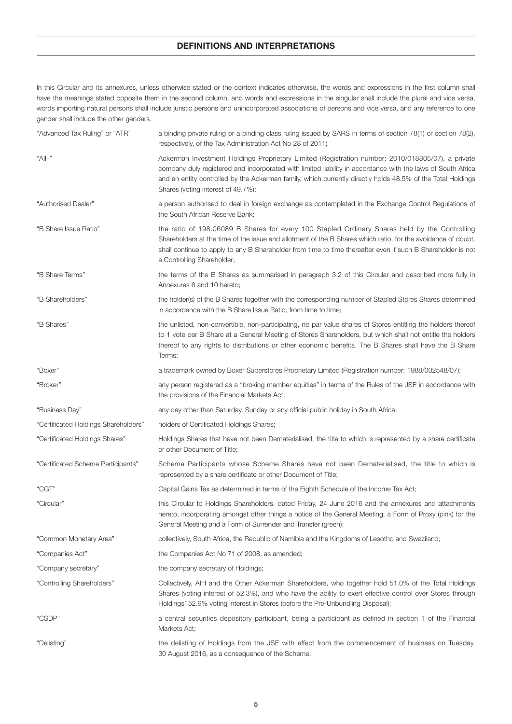# DEFINITIONS AND INTERPRETATIONS

In this Circular and its annexures, unless otherwise stated or the context indicates otherwise, the words and expressions in the first column shall have the meanings stated opposite them in the second column, and words and expressions in the singular shall include the plural and vice versa, words importing natural persons shall include juristic persons and unincorporated associations of persons and vice versa, and any reference to one gender shall include the other genders.

| "Advanced Tax Ruling" or "ATR"       | a binding private ruling or a binding class ruling issued by SARS in terms of section 78(1) or section 78(2),<br>respectively, of the Tax Administration Act No 28 of 2011;                                                                                                                                                                                           |
|--------------------------------------|-----------------------------------------------------------------------------------------------------------------------------------------------------------------------------------------------------------------------------------------------------------------------------------------------------------------------------------------------------------------------|
| "AIH"                                | Ackerman Investment Holdings Proprietary Limited (Registration number: 2010/018805/07), a private<br>company duly registered and incorporated with limited liability in accordance with the laws of South Africa<br>and an entity controlled by the Ackerman family, which currently directly holds 48.5% of the Total Holdings<br>Shares (voting interest of 49.7%); |
| "Authorised Dealer"                  | a person authorised to deal in foreign exchange as contemplated in the Exchange Control Regulations of<br>the South African Reserve Bank;                                                                                                                                                                                                                             |
| "B Share Issue Ratio"                | the ratio of 198.06089 B Shares for every 100 Stapled Ordinary Shares held by the Controlling<br>Shareholders at the time of the issue and allotment of the B Shares which ratio, for the avoidance of doubt,<br>shall continue to apply to any B Shareholder from time to time thereafter even if such B Shareholder is not<br>a Controlling Shareholder;            |
| "B Share Terms"                      | the terms of the B Shares as summarised in paragraph 3.2 of this Circular and described more fully in<br>Annexures 6 and 10 hereto;                                                                                                                                                                                                                                   |
| "B Shareholders"                     | the holder(s) of the B Shares together with the corresponding number of Stapled Stores Shares determined<br>in accordance with the B Share Issue Ratio, from time to time;                                                                                                                                                                                            |
| "B Shares"                           | the unlisted, non-convertible, non-participating, no par value shares of Stores entitling the holders thereof<br>to 1 vote per B Share at a General Meeting of Stores Shareholders, but which shall not entitle the holders<br>thereof to any rights to distributions or other economic benefits. The B Shares shall have the B Share<br>Terms;                       |
| "Boxer"                              | a trademark owned by Boxer Superstores Proprietary Limited (Registration number: 1988/002548/07);                                                                                                                                                                                                                                                                     |
| "Broker"                             | any person registered as a "broking member equities" in terms of the Rules of the JSE in accordance with<br>the provisions of the Financial Markets Act;                                                                                                                                                                                                              |
| "Business Day"                       | any day other than Saturday, Sunday or any official public holiday in South Africa;                                                                                                                                                                                                                                                                                   |
| "Certificated Holdings Shareholders" | holders of Certificated Holdings Shares;                                                                                                                                                                                                                                                                                                                              |
| "Certificated Holdings Shares"       | Holdings Shares that have not been Dematerialised, the title to which is represented by a share certificate<br>or other Document of Title;                                                                                                                                                                                                                            |
| "Certificated Scheme Participants"   | Scheme Participants whose Scheme Shares have not been Dematerialised, the title to which is<br>represented by a share certificate or other Document of Title;                                                                                                                                                                                                         |
| "CGT"                                | Capital Gains Tax as determined in terms of the Eighth Schedule of the Income Tax Act;                                                                                                                                                                                                                                                                                |
| "Circular"                           | this Circular to Holdings Shareholders, dated Friday, 24 June 2016 and the annexures and attachments<br>hereto, incorporating amongst other things a notice of the General Meeting, a Form of Proxy (pink) for the<br>General Meeting and a Form of Surrender and Transfer (green);                                                                                   |
| "Common Monetary Area"               | collectively, South Africa, the Republic of Namibia and the Kingdoms of Lesotho and Swaziland;                                                                                                                                                                                                                                                                        |
| "Companies Act"                      | the Companies Act No 71 of 2008, as amended;                                                                                                                                                                                                                                                                                                                          |
| "Company secretary"                  | the company secretary of Holdings;                                                                                                                                                                                                                                                                                                                                    |
| "Controlling Shareholders"           | Collectively, AIH and the Other Ackerman Shareholders, who together hold 51.0% of the Total Holdings<br>Shares (voting interest of 52.3%), and who have the ability to exert effective control over Stores through<br>Holdings' 52.9% voting interest in Stores (before the Pre-Unbundling Disposal);                                                                 |
| "CSDP"                               | a central securities depository participant, being a participant as defined in section 1 of the Financial<br>Markets Act;                                                                                                                                                                                                                                             |
| "Delisting"                          | the delisting of Holdings from the JSE with effect from the commencement of business on Tuesday,<br>30 August 2016, as a consequence of the Scheme;                                                                                                                                                                                                                   |
|                                      |                                                                                                                                                                                                                                                                                                                                                                       |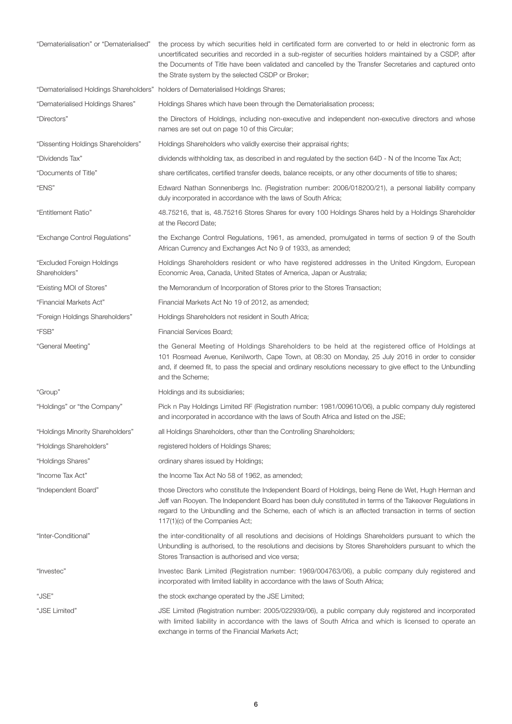| "Dematerialisation" or "Dematerialised"     | the process by which securities held in certificated form are converted to or held in electronic form as<br>uncertificated securities and recorded in a sub-register of securities holders maintained by a CSDP, after<br>the Documents of Title have been validated and cancelled by the Transfer Secretaries and captured onto<br>the Strate system by the selected CSDP or Broker; |
|---------------------------------------------|---------------------------------------------------------------------------------------------------------------------------------------------------------------------------------------------------------------------------------------------------------------------------------------------------------------------------------------------------------------------------------------|
|                                             | "Dematerialised Holdings Shareholders" holders of Dematerialised Holdings Shares;                                                                                                                                                                                                                                                                                                     |
| "Dematerialised Holdings Shares"            | Holdings Shares which have been through the Dematerialisation process;                                                                                                                                                                                                                                                                                                                |
| "Directors"                                 | the Directors of Holdings, including non-executive and independent non-executive directors and whose<br>names are set out on page 10 of this Circular;                                                                                                                                                                                                                                |
| "Dissenting Holdings Shareholders"          | Holdings Shareholders who validly exercise their appraisal rights;                                                                                                                                                                                                                                                                                                                    |
| "Dividends Tax"                             | dividends withholding tax, as described in and regulated by the section 64D - N of the Income Tax Act;                                                                                                                                                                                                                                                                                |
| "Documents of Title"                        | share certificates, certified transfer deeds, balance receipts, or any other documents of title to shares;                                                                                                                                                                                                                                                                            |
| "ENS"                                       | Edward Nathan Sonnenbergs Inc. (Registration number: 2006/018200/21), a personal liability company<br>duly incorporated in accordance with the laws of South Africa;                                                                                                                                                                                                                  |
| "Entitlement Ratio"                         | 48.75216, that is, 48.75216 Stores Shares for every 100 Holdings Shares held by a Holdings Shareholder<br>at the Record Date;                                                                                                                                                                                                                                                         |
| "Exchange Control Regulations"              | the Exchange Control Regulations, 1961, as amended, promulgated in terms of section 9 of the South<br>African Currency and Exchanges Act No 9 of 1933, as amended;                                                                                                                                                                                                                    |
| "Excluded Foreign Holdings<br>Shareholders" | Holdings Shareholders resident or who have registered addresses in the United Kingdom, European<br>Economic Area, Canada, United States of America, Japan or Australia;                                                                                                                                                                                                               |
| "Existing MOI of Stores"                    | the Memorandum of Incorporation of Stores prior to the Stores Transaction;                                                                                                                                                                                                                                                                                                            |
| "Financial Markets Act"                     | Financial Markets Act No 19 of 2012, as amended;                                                                                                                                                                                                                                                                                                                                      |
| "Foreign Holdings Shareholders"             | Holdings Shareholders not resident in South Africa;                                                                                                                                                                                                                                                                                                                                   |
| "FSB"                                       | Financial Services Board;                                                                                                                                                                                                                                                                                                                                                             |
| "General Meeting"                           | the General Meeting of Holdings Shareholders to be held at the registered office of Holdings at<br>101 Rosmead Avenue, Kenilworth, Cape Town, at 08:30 on Monday, 25 July 2016 in order to consider<br>and, if deemed fit, to pass the special and ordinary resolutions necessary to give effect to the Unbundling<br>and the Scheme:                                                 |
| "Group"                                     | Holdings and its subsidiaries;                                                                                                                                                                                                                                                                                                                                                        |
| "Holdings" or "the Company"                 | Pick n Pay Holdings Limited RF (Registration number: 1981/009610/06), a public company duly registered<br>and incorporated in accordance with the laws of South Africa and listed on the JSE;                                                                                                                                                                                         |
| "Holdings Minority Shareholders"            | all Holdings Shareholders, other than the Controlling Shareholders;                                                                                                                                                                                                                                                                                                                   |
| "Holdings Shareholders"                     | registered holders of Holdings Shares;                                                                                                                                                                                                                                                                                                                                                |
| "Holdings Shares"                           | ordinary shares issued by Holdings;                                                                                                                                                                                                                                                                                                                                                   |
| "Income Tax Act"                            | the Income Tax Act No 58 of 1962, as amended;                                                                                                                                                                                                                                                                                                                                         |
| "Independent Board"                         | those Directors who constitute the Independent Board of Holdings, being Rene de Wet, Hugh Herman and<br>Jeff van Rooyen. The Independent Board has been duly constituted in terms of the Takeover Regulations in<br>regard to the Unbundling and the Scheme, each of which is an affected transaction in terms of section<br>117(1)(c) of the Companies Act;                          |
| "Inter-Conditional"                         | the inter-conditionality of all resolutions and decisions of Holdings Shareholders pursuant to which the<br>Unbundling is authorised, to the resolutions and decisions by Stores Shareholders pursuant to which the<br>Stores Transaction is authorised and vice versa;                                                                                                               |
| "Investec"                                  | Investec Bank Limited (Registration number: 1969/004763/06), a public company duly registered and<br>incorporated with limited liability in accordance with the laws of South Africa;                                                                                                                                                                                                 |
| "JSE"                                       | the stock exchange operated by the JSE Limited;                                                                                                                                                                                                                                                                                                                                       |
| "JSE Limited"                               | JSE Limited (Registration number: 2005/022939/06), a public company duly registered and incorporated<br>with limited liability in accordance with the laws of South Africa and which is licensed to operate an<br>exchange in terms of the Financial Markets Act;                                                                                                                     |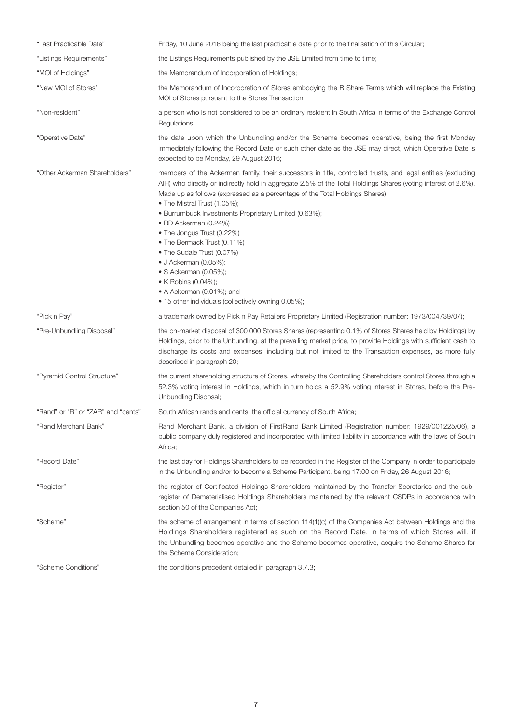| "Last Practicable Date"            | Friday, 10 June 2016 being the last practicable date prior to the finalisation of this Circular;                                                                                                                                                                                                                                                                                                                                                                                                                                                                                                                                                                                                |
|------------------------------------|-------------------------------------------------------------------------------------------------------------------------------------------------------------------------------------------------------------------------------------------------------------------------------------------------------------------------------------------------------------------------------------------------------------------------------------------------------------------------------------------------------------------------------------------------------------------------------------------------------------------------------------------------------------------------------------------------|
| "Listings Requirements"            | the Listings Requirements published by the JSE Limited from time to time;                                                                                                                                                                                                                                                                                                                                                                                                                                                                                                                                                                                                                       |
| "MOI of Holdings"                  | the Memorandum of Incorporation of Holdings;                                                                                                                                                                                                                                                                                                                                                                                                                                                                                                                                                                                                                                                    |
| "New MOI of Stores"                | the Memorandum of Incorporation of Stores embodying the B Share Terms which will replace the Existing<br>MOI of Stores pursuant to the Stores Transaction;                                                                                                                                                                                                                                                                                                                                                                                                                                                                                                                                      |
| "Non-resident"                     | a person who is not considered to be an ordinary resident in South Africa in terms of the Exchange Control<br>Regulations;                                                                                                                                                                                                                                                                                                                                                                                                                                                                                                                                                                      |
| "Operative Date"                   | the date upon which the Unbundling and/or the Scheme becomes operative, being the first Monday<br>immediately following the Record Date or such other date as the JSE may direct, which Operative Date is<br>expected to be Monday, 29 August 2016;                                                                                                                                                                                                                                                                                                                                                                                                                                             |
| "Other Ackerman Shareholders"      | members of the Ackerman family, their successors in title, controlled trusts, and legal entities (excluding<br>AlH) who directly or indirectly hold in aggregate 2.5% of the Total Holdings Shares (voting interest of 2.6%).<br>Made up as follows (expressed as a percentage of the Total Holdings Shares):<br>• The Mistral Trust (1.05%);<br>• Burrumbuck Investments Proprietary Limited (0.63%);<br>• RD Ackerman (0.24%)<br>• The Jongus Trust (0.22%)<br>• The Bermack Trust (0.11%)<br>• The Sudale Trust (0.07%)<br>$\bullet$ J Ackerman (0.05%);<br>• S Ackerman (0.05%);<br>• K Robins (0.04%);<br>• A Ackerman (0.01%); and<br>• 15 other individuals (collectively owning 0.05%); |
| "Pick n Pay"                       | a trademark owned by Pick n Pay Retailers Proprietary Limited (Registration number: 1973/004739/07);                                                                                                                                                                                                                                                                                                                                                                                                                                                                                                                                                                                            |
| "Pre-Unbundling Disposal"          | the on-market disposal of 300 000 Stores Shares (representing 0.1% of Stores Shares held by Holdings) by<br>Holdings, prior to the Unbundling, at the prevailing market price, to provide Holdings with sufficient cash to<br>discharge its costs and expenses, including but not limited to the Transaction expenses, as more fully<br>described in paragraph 20;                                                                                                                                                                                                                                                                                                                              |
| "Pyramid Control Structure"        | the current shareholding structure of Stores, whereby the Controlling Shareholders control Stores through a<br>52.3% voting interest in Holdings, which in turn holds a 52.9% voting interest in Stores, before the Pre-<br>Unbundling Disposal;                                                                                                                                                                                                                                                                                                                                                                                                                                                |
| "Rand" or "R" or "ZAR" and "cents" | South African rands and cents, the official currency of South Africa;                                                                                                                                                                                                                                                                                                                                                                                                                                                                                                                                                                                                                           |
| "Rand Merchant Bank"               | Rand Merchant Bank, a division of FirstRand Bank Limited (Registration number: 1929/001225/06), a<br>public company duly registered and incorporated with limited liability in accordance with the laws of South<br>Africa;                                                                                                                                                                                                                                                                                                                                                                                                                                                                     |
| "Record Date"                      | the last day for Holdings Shareholders to be recorded in the Register of the Company in order to participate<br>in the Unbundling and/or to become a Scheme Participant, being 17:00 on Friday, 26 August 2016;                                                                                                                                                                                                                                                                                                                                                                                                                                                                                 |
| "Register"                         | the register of Certificated Holdings Shareholders maintained by the Transfer Secretaries and the sub-<br>register of Dematerialised Holdings Shareholders maintained by the relevant CSDPs in accordance with<br>section 50 of the Companies Act;                                                                                                                                                                                                                                                                                                                                                                                                                                              |
| "Scheme"                           | the scheme of arrangement in terms of section 114(1)(c) of the Companies Act between Holdings and the<br>Holdings Shareholders registered as such on the Record Date, in terms of which Stores will, if<br>the Unbundling becomes operative and the Scheme becomes operative, acquire the Scheme Shares for<br>the Scheme Consideration;                                                                                                                                                                                                                                                                                                                                                        |
| "Scheme Conditions"                | the conditions precedent detailed in paragraph 3.7.3;                                                                                                                                                                                                                                                                                                                                                                                                                                                                                                                                                                                                                                           |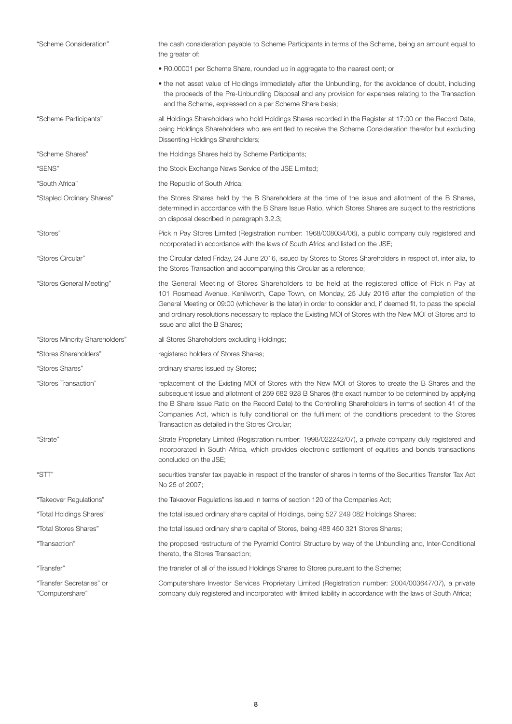| "Scheme Consideration"                       | the cash consideration payable to Scheme Participants in terms of the Scheme, being an amount equal to<br>the greater of:                                                                                                                                                                                                                                                                                                                                                             |
|----------------------------------------------|---------------------------------------------------------------------------------------------------------------------------------------------------------------------------------------------------------------------------------------------------------------------------------------------------------------------------------------------------------------------------------------------------------------------------------------------------------------------------------------|
|                                              | • R0.00001 per Scheme Share, rounded up in aggregate to the nearest cent; or                                                                                                                                                                                                                                                                                                                                                                                                          |
|                                              | • the net asset value of Holdings immediately after the Unbundling, for the avoidance of doubt, including<br>the proceeds of the Pre-Unbundling Disposal and any provision for expenses relating to the Transaction<br>and the Scheme, expressed on a per Scheme Share basis;                                                                                                                                                                                                         |
| "Scheme Participants"                        | all Holdings Shareholders who hold Holdings Shares recorded in the Register at 17:00 on the Record Date,<br>being Holdings Shareholders who are entitled to receive the Scheme Consideration therefor but excluding<br>Dissenting Holdings Shareholders;                                                                                                                                                                                                                              |
| "Scheme Shares"                              | the Holdings Shares held by Scheme Participants;                                                                                                                                                                                                                                                                                                                                                                                                                                      |
| "SENS"                                       | the Stock Exchange News Service of the JSE Limited;                                                                                                                                                                                                                                                                                                                                                                                                                                   |
| "South Africa"                               | the Republic of South Africa;                                                                                                                                                                                                                                                                                                                                                                                                                                                         |
| "Stapled Ordinary Shares"                    | the Stores Shares held by the B Shareholders at the time of the issue and allotment of the B Shares,<br>determined in accordance with the B Share Issue Ratio, which Stores Shares are subject to the restrictions<br>on disposal described in paragraph 3.2.3;                                                                                                                                                                                                                       |
| "Stores"                                     | Pick n Pay Stores Limited (Registration number: 1968/008034/06), a public company duly registered and<br>incorporated in accordance with the laws of South Africa and listed on the JSE;                                                                                                                                                                                                                                                                                              |
| "Stores Circular"                            | the Circular dated Friday, 24 June 2016, issued by Stores to Stores Shareholders in respect of, inter alia, to<br>the Stores Transaction and accompanying this Circular as a reference;                                                                                                                                                                                                                                                                                               |
| "Stores General Meeting"                     | the General Meeting of Stores Shareholders to be held at the registered office of Pick n Pay at<br>101 Rosmead Avenue, Kenilworth, Cape Town, on Monday, 25 July 2016 after the completion of the<br>General Meeting or 09:00 (whichever is the later) in order to consider and, if deemed fit, to pass the special<br>and ordinary resolutions necessary to replace the Existing MOI of Stores with the New MOI of Stores and to<br>issue and allot the B Shares;                    |
| "Stores Minority Shareholders"               | all Stores Shareholders excluding Holdings;                                                                                                                                                                                                                                                                                                                                                                                                                                           |
| "Stores Shareholders"                        | registered holders of Stores Shares;                                                                                                                                                                                                                                                                                                                                                                                                                                                  |
| "Stores Shares"                              | ordinary shares issued by Stores;                                                                                                                                                                                                                                                                                                                                                                                                                                                     |
| "Stores Transaction"                         | replacement of the Existing MOI of Stores with the New MOI of Stores to create the B Shares and the<br>subsequent issue and allotment of 259 682 928 B Shares (the exact number to be determined by applying<br>the B Share Issue Ratio on the Record Date) to the Controlling Shareholders in terms of section 41 of the<br>Companies Act, which is fully conditional on the fulfilment of the conditions precedent to the Stores<br>Transaction as detailed in the Stores Circular; |
| "Strate"                                     | Strate Proprietary Limited (Registration number: 1998/022242/07), a private company duly registered and<br>incorporated in South Africa, which provides electronic settlement of equities and bonds transactions<br>concluded on the JSE;                                                                                                                                                                                                                                             |
| "STT"                                        | securities transfer tax payable in respect of the transfer of shares in terms of the Securities Transfer Tax Act<br>No 25 of 2007;                                                                                                                                                                                                                                                                                                                                                    |
| "Takeover Regulations"                       | the Takeover Regulations issued in terms of section 120 of the Companies Act;                                                                                                                                                                                                                                                                                                                                                                                                         |
| "Total Holdings Shares"                      | the total issued ordinary share capital of Holdings, being 527 249 082 Holdings Shares;                                                                                                                                                                                                                                                                                                                                                                                               |
| "Total Stores Shares"                        | the total issued ordinary share capital of Stores, being 488 450 321 Stores Shares;                                                                                                                                                                                                                                                                                                                                                                                                   |
| "Transaction"                                | the proposed restructure of the Pyramid Control Structure by way of the Unbundling and, Inter-Conditional<br>thereto, the Stores Transaction;                                                                                                                                                                                                                                                                                                                                         |
| "Transfer"                                   | the transfer of all of the issued Holdings Shares to Stores pursuant to the Scheme;                                                                                                                                                                                                                                                                                                                                                                                                   |
| "Transfer Secretaries" or<br>"Computershare" | Computershare Investor Services Proprietary Limited (Registration number: 2004/003647/07), a private<br>company duly registered and incorporated with limited liability in accordance with the laws of South Africa;                                                                                                                                                                                                                                                                  |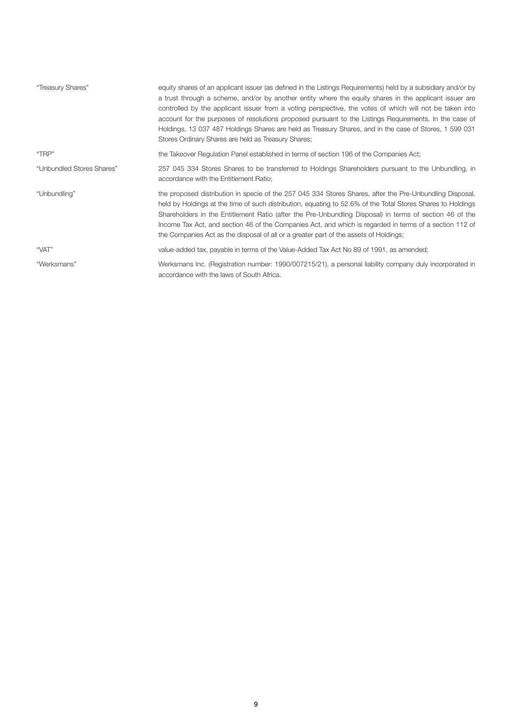| "Treasury Shares"         | equity shares of an applicant issuer (as defined in the Listings Requirements) held by a subsidiary and/or by<br>a trust through a scheme, and/or by another entity where the equity shares in the applicant issuer are<br>controlled by the applicant issuer from a voting perspective, the votes of which will not be taken into<br>account for the purposes of resolutions proposed pursuant to the Listings Requirements. In the case of<br>Holdings, 13 037 487 Holdings Shares are held as Treasury Shares, and in the case of Stores, 1 599 031<br>Stores Ordinary Shares are held as Treasury Shares; |
|---------------------------|---------------------------------------------------------------------------------------------------------------------------------------------------------------------------------------------------------------------------------------------------------------------------------------------------------------------------------------------------------------------------------------------------------------------------------------------------------------------------------------------------------------------------------------------------------------------------------------------------------------|
| "TRP"                     | the Takeover Regulation Panel established in terms of section 196 of the Companies Act;                                                                                                                                                                                                                                                                                                                                                                                                                                                                                                                       |
| "Unbundled Stores Shares" | 257 045 334 Stores Shares to be transferred to Holdings Shareholders pursuant to the Unbundling, in<br>accordance with the Entitlement Ratio;                                                                                                                                                                                                                                                                                                                                                                                                                                                                 |
| "Unbundling"              | the proposed distribution in specie of the 257 045 334 Stores Shares, after the Pre-Unbundling Disposal,<br>held by Holdings at the time of such distribution, equating to 52.6% of the Total Stores Shares to Holdings<br>Shareholders in the Entitlement Ratio (after the Pre-Unbundling Disposal) in terms of section 46 of the<br>Income Tax Act, and section 46 of the Companies Act, and which is regarded in terms of a section 112 of<br>the Companies Act as the disposal of all or a greater part of the assets of Holdings;                                                                        |
| "VAT"                     | value-added tax, payable in terms of the Value-Added Tax Act No 89 of 1991, as amended;                                                                                                                                                                                                                                                                                                                                                                                                                                                                                                                       |
| "Werksmans"               | Werksmans Inc. (Registration number: 1990/007215/21), a personal liability company duly incorporated in<br>accordance with the laws of South Africa.                                                                                                                                                                                                                                                                                                                                                                                                                                                          |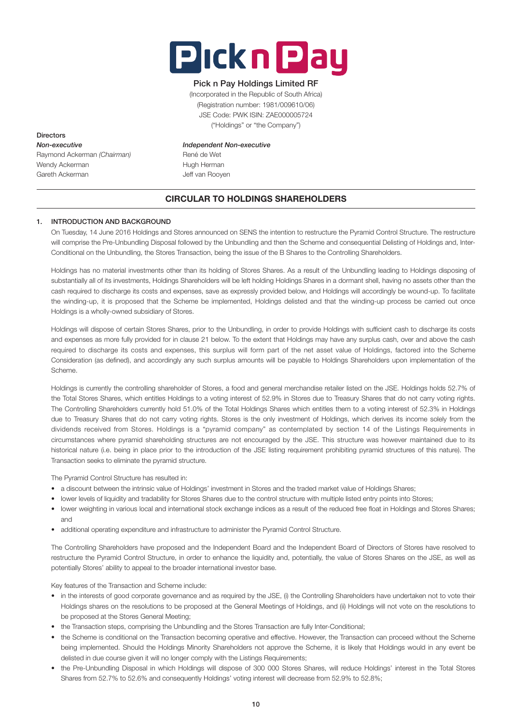

# Pick n Pay Holdings Limited RF

(Incorporated in the Republic of South Africa) (Registration number: 1981/009610/06) JSE Code: PWK ISIN: ZAE000005724 ("Holdings" or "the Company")

**Directors** *Non-executive Independent Non-executive* Raymond Ackerman *(Chairman)* René de Wet Wendy Ackerman **Hugh Herman** Gareth Ackerman and Deff van Rooven

# CIRCULAR TO HOLDINGS SHAREHOLDERS

# 1. INTRODUCTION AND BACKGROUND

 On Tuesday, 14 June 2016 Holdings and Stores announced on SENS the intention to restructure the Pyramid Control Structure. The restructure will comprise the Pre-Unbundling Disposal followed by the Unbundling and then the Scheme and consequential Delisting of Holdings and, Inter-Conditional on the Unbundling, the Stores Transaction, being the issue of the B Shares to the Controlling Shareholders.

 Holdings has no material investments other than its holding of Stores Shares. As a result of the Unbundling leading to Holdings disposing of substantially all of its investments, Holdings Shareholders will be left holding Holdings Shares in a dormant shell, having no assets other than the cash required to discharge its costs and expenses, save as expressly provided below, and Holdings will accordingly be wound-up. To facilitate the winding-up, it is proposed that the Scheme be implemented, Holdings delisted and that the winding-up process be carried out once Holdings is a wholly-owned subsidiary of Stores.

 Holdings will dispose of certain Stores Shares, prior to the Unbundling, in order to provide Holdings with sufficient cash to discharge its costs and expenses as more fully provided for in clause 21 below. To the extent that Holdings may have any surplus cash, over and above the cash required to discharge its costs and expenses, this surplus will form part of the net asset value of Holdings, factored into the Scheme Consideration (as defined), and accordingly any such surplus amounts will be payable to Holdings Shareholders upon implementation of the Scheme.

 Holdings is currently the controlling shareholder of Stores, a food and general merchandise retailer listed on the JSE. Holdings holds 52.7% of the Total Stores Shares, which entitles Holdings to a voting interest of 52.9% in Stores due to Treasury Shares that do not carry voting rights. The Controlling Shareholders currently hold 51.0% of the Total Holdings Shares which entitles them to a voting interest of 52.3% in Holdings due to Treasury Shares that do not carry voting rights. Stores is the only investment of Holdings, which derives its income solely from the dividends received from Stores. Holdings is a "pyramid company" as contemplated by section 14 of the Listings Requirements in circumstances where pyramid shareholding structures are not encouraged by the JSE. This structure was however maintained due to its historical nature (i.e. being in place prior to the introduction of the JSE listing requirement prohibiting pyramid structures of this nature). The Transaction seeks to eliminate the pyramid structure.

The Pyramid Control Structure has resulted in:

- a discount between the intrinsic value of Holdings' investment in Stores and the traded market value of Holdings Shares;
- lower levels of liquidity and tradability for Stores Shares due to the control structure with multiple listed entry points into Stores;
- lower weighting in various local and international stock exchange indices as a result of the reduced free float in Holdings and Stores Shares; and
- additional operating expenditure and infrastructure to administer the Pyramid Control Structure.

 The Controlling Shareholders have proposed and the Independent Board and the Independent Board of Directors of Stores have resolved to restructure the Pyramid Control Structure, in order to enhance the liquidity and, potentially, the value of Stores Shares on the JSE, as well as potentially Stores' ability to appeal to the broader international investor base.

Key features of the Transaction and Scheme include:

- in the interests of good corporate governance and as required by the JSE, (i) the Controlling Shareholders have undertaken not to vote their Holdings shares on the resolutions to be proposed at the General Meetings of Holdings, and (ii) Holdings will not vote on the resolutions to be proposed at the Stores General Meeting;
- the Transaction steps, comprising the Unbundling and the Stores Transaction are fully Inter-Conditional;
- the Scheme is conditional on the Transaction becoming operative and effective. However, the Transaction can proceed without the Scheme being implemented. Should the Holdings Minority Shareholders not approve the Scheme, it is likely that Holdings would in any event be delisted in due course given it will no longer comply with the Listings Requirements;
- the Pre-Unbundling Disposal in which Holdings will dispose of 300 000 Stores Shares, will reduce Holdings' interest in the Total Stores Shares from 52.7% to 52.6% and consequently Holdings' voting interest will decrease from 52.9% to 52.8%;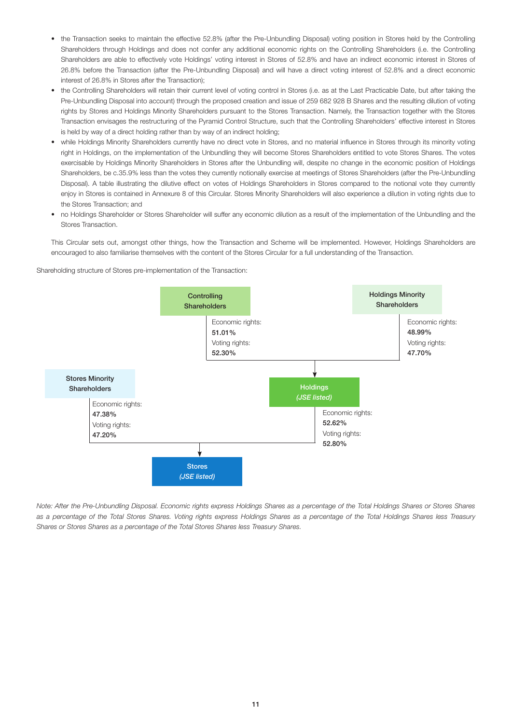- the Transaction seeks to maintain the effective 52.8% (after the Pre-Unbundling Disposal) voting position in Stores held by the Controlling Shareholders through Holdings and does not confer any additional economic rights on the Controlling Shareholders (i.e. the Controlling Shareholders are able to effectively vote Holdings' voting interest in Stores of 52.8% and have an indirect economic interest in Stores of 26.8% before the Transaction (after the Pre-Unbundling Disposal) and will have a direct voting interest of 52.8% and a direct economic interest of 26.8% in Stores after the Transaction);
- the Controlling Shareholders will retain their current level of voting control in Stores (i.e. as at the Last Practicable Date, but after taking the Pre-Unbundling Disposal into account) through the proposed creation and issue of 259 682 928 B Shares and the resulting dilution of voting rights by Stores and Holdings Minority Shareholders pursuant to the Stores Transaction. Namely, the Transaction together with the Stores Transaction envisages the restructuring of the Pyramid Control Structure, such that the Controlling Shareholders' effective interest in Stores is held by way of a direct holding rather than by way of an indirect holding;
- while Holdings Minority Shareholders currently have no direct vote in Stores, and no material influence in Stores through its minority voting right in Holdings, on the implementation of the Unbundling they will become Stores Shareholders entitled to vote Stores Shares. The votes exercisable by Holdings Minority Shareholders in Stores after the Unbundling will, despite no change in the economic position of Holdings Shareholders, be c.35.9% less than the votes they currently notionally exercise at meetings of Stores Shareholders (after the Pre-Unbundling Disposal). A table illustrating the dilutive effect on votes of Holdings Shareholders in Stores compared to the notional vote they currently enjoy in Stores is contained in Annexure 8 of this Circular. Stores Minority Shareholders will also experience a dilution in voting rights due to the Stores Transaction; and
- no Holdings Shareholder or Stores Shareholder will suffer any economic dilution as a result of the implementation of the Unbundling and the Stores Transaction.

 This Circular sets out, amongst other things, how the Transaction and Scheme will be implemented. However, Holdings Shareholders are encouraged to also familiarise themselves with the content of the Stores Circular for a full understanding of the Transaction.

Shareholding structure of Stores pre-implementation of the Transaction:



*Note: After the Pre-Unbundling Disposal. Economic rights express Holdings Shares as a percentage of the Total Holdings Shares or Stores Shares as a percentage of the Total Stores Shares. Voting rights express Holdings Shares as a percentage of the Total Holdings Shares less Treasury Shares or Stores Shares as a percentage of the Total Stores Shares less Treasury Shares.*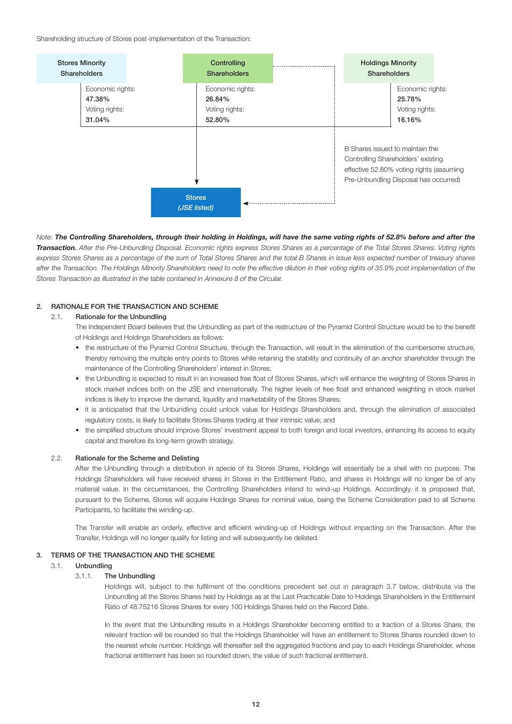Shareholding structure of Stores post-implementation of the Transaction:



*Note: The Controlling Shareholders, through their holding in Holdings, will have the same voting rights of 52.8% before and after the Transaction. After the Pre-Unbundling Disposal. Economic rights express Stores Shares as a percentage of the Total Stores Shares. Voting rights*  express Stores Shares as a percentage of the sum of Total Stores Shares and the total B Shares in issue less expected number of treasury shares after the Transaction. The Holdings Minority Shareholders need to note the effective dilution in their voting rights of 35.9% post implementation of the *Stores Transaction as illustrated in the table contained in Annexure 8 of the Circular.*

# 2. RATIONALE FOR THE TRANSACTION AND SCHEME

# 2.1. Rationale for the Unbundling

 The Independent Board believes that the Unbundling as part of the restructure of the Pyramid Control Structure would be to the benefit of Holdings and Holdings Shareholders as follows:

- the restructure of the Pyramid Control Structure, through the Transaction, will result in the elimination of the cumbersome structure, thereby removing the multiple entry points to Stores while retaining the stability and continuity of an anchor shareholder through the maintenance of the Controlling Shareholders' interest in Stores;
- the Unbundling is expected to result in an increased free float of Stores Shares, which will enhance the weighting of Stores Shares in stock market indices both on the JSE and internationally. The higher levels of free float and enhanced weighting in stock market indices is likely to improve the demand, liquidity and marketability of the Stores Shares;
- it is anticipated that the Unbundling could unlock value for Holdings Shareholders and, through the elimination of associated regulatory costs, is likely to facilitate Stores Shares trading at their intrinsic value; and
- the simplified structure should improve Stores' investment appeal to both foreign and local investors, enhancing its access to equity capital and therefore its long-term growth strategy.

# 2.2. Rationale for the Scheme and Delisting

 After the Unbundling through a distribution in specie of its Stores Shares, Holdings will essentially be a shell with no purpose. The Holdings Shareholders will have received shares in Stores in the Entitlement Ratio, and shares in Holdings will no longer be of any material value. In the circumstances, the Controlling Shareholders intend to wind-up Holdings. Accordingly, it is proposed that, pursuant to the Scheme, Stores will acquire Holdings Shares for nominal value, being the Scheme Consideration paid to all Scheme Participants, to facilitate the winding-up.

 The Transfer will enable an orderly, effective and efficient winding-up of Holdings without impacting on the Transaction. After the Transfer, Holdings will no longer qualify for listing and will subsequently be delisted.

### 3. TERMS OF THE TRANSACTION AND THE SCHEME

# 3.1. Unbundling

#### 3.1.1. The Unbundling

 Holdings will, subject to the fulfilment of the conditions precedent set out in paragraph 3.7 below, distribute via the Unbundling all the Stores Shares held by Holdings as at the Last Practicable Date to Holdings Shareholders in the Entitlement Ratio of 48.75216 Stores Shares for every 100 Holdings Shares held on the Record Date.

 In the event that the Unbundling results in a Holdings Shareholder becoming entitled to a fraction of a Stores Share, the relevant fraction will be rounded so that the Holdings Shareholder will have an entitlement to Stores Shares rounded down to the nearest whole number. Holdings will thereafter sell the aggregated fractions and pay to each Holdings Shareholder, whose fractional entitlement has been so rounded down, the value of such fractional entitlement.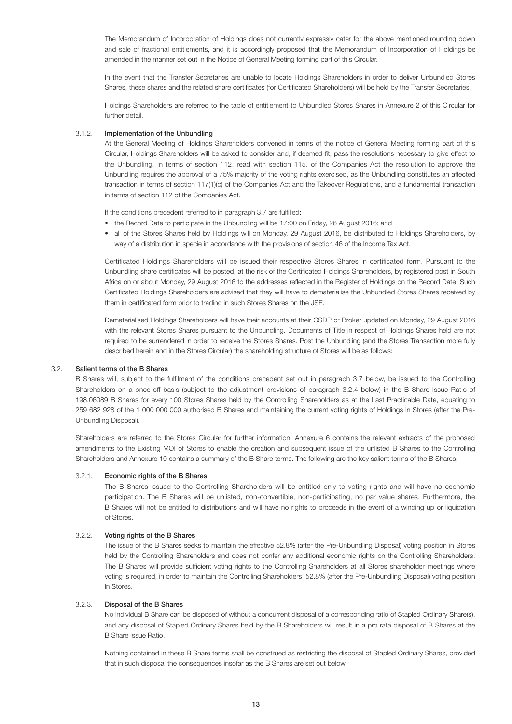The Memorandum of Incorporation of Holdings does not currently expressly cater for the above mentioned rounding down and sale of fractional entitlements, and it is accordingly proposed that the Memorandum of Incorporation of Holdings be amended in the manner set out in the Notice of General Meeting forming part of this Circular.

 In the event that the Transfer Secretaries are unable to locate Holdings Shareholders in order to deliver Unbundled Stores Shares, these shares and the related share certificates (for Certificated Shareholders) will be held by the Transfer Secretaries.

 Holdings Shareholders are referred to the table of entitlement to Unbundled Stores Shares in Annexure 2 of this Circular for further detail.

### 3.1.2. Implementation of the Unbundling

 At the General Meeting of Holdings Shareholders convened in terms of the notice of General Meeting forming part of this Circular, Holdings Shareholders will be asked to consider and, if deemed fit, pass the resolutions necessary to give effect to the Unbundling. In terms of section 112, read with section 115, of the Companies Act the resolution to approve the Unbundling requires the approval of a 75% majority of the voting rights exercised, as the Unbundling constitutes an affected transaction in terms of section 117(1)(c) of the Companies Act and the Takeover Regulations, and a fundamental transaction in terms of section 112 of the Companies Act.

If the conditions precedent referred to in paragraph 3.7 are fulfilled:

- the Record Date to participate in the Unbundling will be 17:00 on Friday, 26 August 2016; and
- all of the Stores Shares held by Holdings will on Monday, 29 August 2016, be distributed to Holdings Shareholders, by way of a distribution in specie in accordance with the provisions of section 46 of the Income Tax Act.

 Certificated Holdings Shareholders will be issued their respective Stores Shares in certificated form. Pursuant to the Unbundling share certificates will be posted, at the risk of the Certificated Holdings Shareholders, by registered post in South Africa on or about Monday, 29 August 2016 to the addresses reflected in the Register of Holdings on the Record Date. Such Certificated Holdings Shareholders are advised that they will have to dematerialise the Unbundled Stores Shares received by them in certificated form prior to trading in such Stores Shares on the JSE.

 Dematerialised Holdings Shareholders will have their accounts at their CSDP or Broker updated on Monday, 29 August 2016 with the relevant Stores Shares pursuant to the Unbundling. Documents of Title in respect of Holdings Shares held are not required to be surrendered in order to receive the Stores Shares. Post the Unbundling (and the Stores Transaction more fully described herein and in the Stores Circular) the shareholding structure of Stores will be as follows:

### 3.2. Salient terms of the B Shares

 B Shares will, subject to the fulfilment of the conditions precedent set out in paragraph 3.7 below, be issued to the Controlling Shareholders on a once-off basis (subject to the adjustment provisions of paragraph 3.2.4 below) in the B Share Issue Ratio of 198.06089 B Shares for every 100 Stores Shares held by the Controlling Shareholders as at the Last Practicable Date, equating to 259 682 928 of the 1 000 000 000 authorised B Shares and maintaining the current voting rights of Holdings in Stores (after the Pre-Unbundling Disposal).

 Shareholders are referred to the Stores Circular for further information. Annexure 6 contains the relevant extracts of the proposed amendments to the Existing MOI of Stores to enable the creation and subsequent issue of the unlisted B Shares to the Controlling Shareholders and Annexure 10 contains a summary of the B Share terms. The following are the key salient terms of the B Shares:

# 3.2.1. Economic rights of the B Shares

 The B Shares issued to the Controlling Shareholders will be entitled only to voting rights and will have no economic participation. The B Shares will be unlisted, non-convertible, non-participating, no par value shares. Furthermore, the B Shares will not be entitled to distributions and will have no rights to proceeds in the event of a winding up or liquidation of Stores.

### 3.2.2. Voting rights of the B Shares

 The issue of the B Shares seeks to maintain the effective 52.8% (after the Pre-Unbundling Disposal) voting position in Stores held by the Controlling Shareholders and does not confer any additional economic rights on the Controlling Shareholders. The B Shares will provide sufficient voting rights to the Controlling Shareholders at all Stores shareholder meetings where voting is required, in order to maintain the Controlling Shareholders' 52.8% (after the Pre-Unbundling Disposal) voting position in Stores.

# 3.2.3. Disposal of the B Shares

 No individual B Share can be disposed of without a concurrent disposal of a corresponding ratio of Stapled Ordinary Share(s), and any disposal of Stapled Ordinary Shares held by the B Shareholders will result in a pro rata disposal of B Shares at the B Share Issue Ratio.

 Nothing contained in these B Share terms shall be construed as restricting the disposal of Stapled Ordinary Shares, provided that in such disposal the consequences insofar as the B Shares are set out below.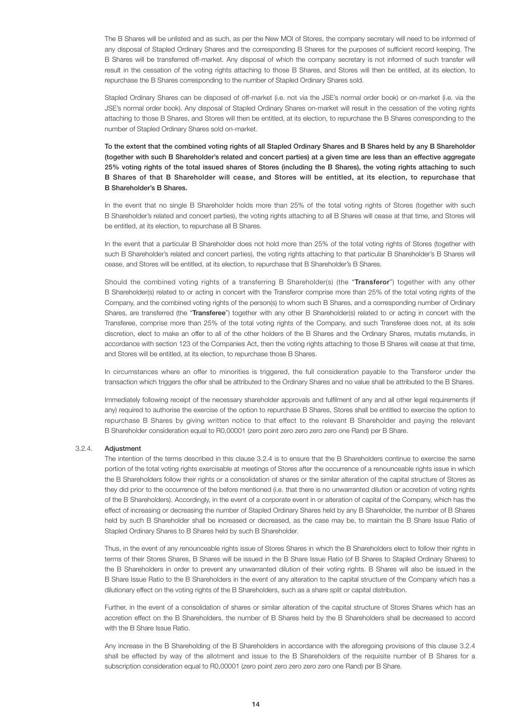The B Shares will be unlisted and as such, as per the New MOI of Stores, the company secretary will need to be informed of any disposal of Stapled Ordinary Shares and the corresponding B Shares for the purposes of sufficient record keeping. The B Shares will be transferred off-market. Any disposal of which the company secretary is not informed of such transfer will result in the cessation of the voting rights attaching to those B Shares, and Stores will then be entitled, at its election, to repurchase the B Shares corresponding to the number of Stapled Ordinary Shares sold.

 Stapled Ordinary Shares can be disposed of off-market (i.e. not via the JSE's normal order book) or on-market (i.e. via the JSE's normal order book). Any disposal of Stapled Ordinary Shares on-market will result in the cessation of the voting rights attaching to those B Shares, and Stores will then be entitled, at its election, to repurchase the B Shares corresponding to the number of Stapled Ordinary Shares sold on-market.

 To the extent that the combined voting rights of all Stapled Ordinary Shares and B Shares held by any B Shareholder (together with such B Shareholder's related and concert parties) at a given time are less than an effective aggregate 25% voting rights of the total issued shares of Stores (including the B Shares), the voting rights attaching to such B Shares of that B Shareholder will cease, and Stores will be entitled, at its election, to repurchase that B Shareholder's B Shares.

In the event that no single B Shareholder holds more than 25% of the total voting rights of Stores (together with such B Shareholder's related and concert parties), the voting rights attaching to all B Shares will cease at that time, and Stores will be entitled, at its election, to repurchase all B Shares.

 In the event that a particular B Shareholder does not hold more than 25% of the total voting rights of Stores (together with such B Shareholder's related and concert parties), the voting rights attaching to that particular B Shareholder's B Shares will cease, and Stores will be entitled, at its election, to repurchase that B Shareholder's B Shares.

Should the combined voting rights of a transferring B Shareholder(s) (the "Transferor") together with any other B Shareholder(s) related to or acting in concert with the Transferor comprise more than 25% of the total voting rights of the Company, and the combined voting rights of the person(s) to whom such B Shares, and a corresponding number of Ordinary Shares, are transferred (the "Transferee") together with any other B Shareholder(s) related to or acting in concert with the Transferee, comprise more than 25% of the total voting rights of the Company, and such Transferee does not, at its sole discretion, elect to make an offer to all of the other holders of the B Shares and the Ordinary Shares, mutatis mutandis, in accordance with section 123 of the Companies Act, then the voting rights attaching to those B Shares will cease at that time, and Stores will be entitled, at its election, to repurchase those B Shares.

In circumstances where an offer to minorities is triggered, the full consideration payable to the Transferor under the transaction which triggers the offer shall be attributed to the Ordinary Shares and no value shall be attributed to the B Shares.

 Immediately following receipt of the necessary shareholder approvals and fulfilment of any and all other legal requirements (if any) required to authorise the exercise of the option to repurchase B Shares, Stores shall be entitled to exercise the option to repurchase B Shares by giving written notice to that effect to the relevant B Shareholder and paying the relevant B Shareholder consideration equal to R0,00001 (zero point zero zero zero zero one Rand) per B Share.

# 3.2.4. Adjustment

 The intention of the terms described in this clause 3.2.4 is to ensure that the B Shareholders continue to exercise the same portion of the total voting rights exercisable at meetings of Stores after the occurrence of a renounceable rights issue in which the B Shareholders follow their rights or a consolidation of shares or the similar alteration of the capital structure of Stores as they did prior to the occurrence of the before mentioned (i.e. that there is no unwarranted dilution or accretion of voting rights of the B Shareholders). Accordingly, in the event of a corporate event in or alteration of capital of the Company, which has the effect of increasing or decreasing the number of Stapled Ordinary Shares held by any B Shareholder, the number of B Shares held by such B Shareholder shall be increased or decreased, as the case may be, to maintain the B Share Issue Ratio of Stapled Ordinary Shares to B Shares held by such B Shareholder.

 Thus, in the event of any renounceable rights issue of Stores Shares in which the B Shareholders elect to follow their rights in terms of their Stores Shares, B Shares will be issued in the B Share Issue Ratio (of B Shares to Stapled Ordinary Shares) to the B Shareholders in order to prevent any unwarranted dilution of their voting rights. B Shares will also be issued in the B Share Issue Ratio to the B Shareholders in the event of any alteration to the capital structure of the Company which has a dilutionary effect on the voting rights of the B Shareholders, such as a share split or capital distribution.

 Further, in the event of a consolidation of shares or similar alteration of the capital structure of Stores Shares which has an accretion effect on the B Shareholders, the number of B Shares held by the B Shareholders shall be decreased to accord with the B Share Issue Ratio.

 Any increase in the B Shareholding of the B Shareholders in accordance with the aforegoing provisions of this clause 3.2.4 shall be effected by way of the allotment and issue to the B Shareholders of the requisite number of B Shares for a subscription consideration equal to R0,00001 (zero point zero zero zero zero one Rand) per B Share.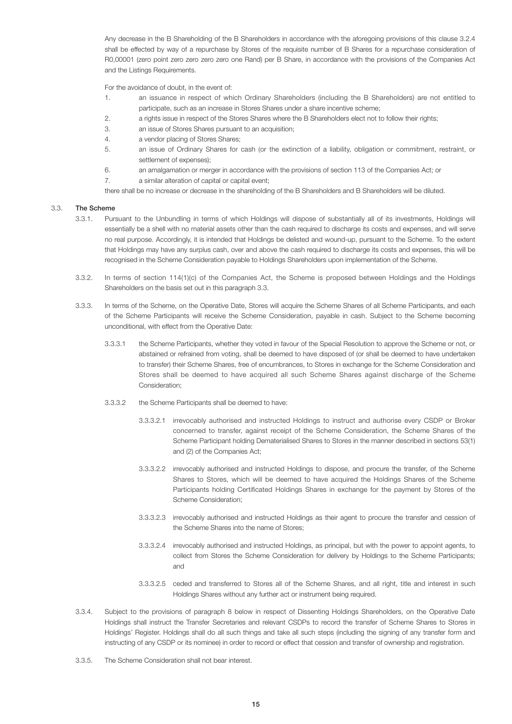Any decrease in the B Shareholding of the B Shareholders in accordance with the aforegoing provisions of this clause 3.2.4 shall be effected by way of a repurchase by Stores of the requisite number of B Shares for a repurchase consideration of R0,00001 (zero point zero zero zero zero one Rand) per B Share, in accordance with the provisions of the Companies Act and the Listings Requirements.

For the avoidance of doubt, in the event of:

- 1. an issuance in respect of which Ordinary Shareholders (including the B Shareholders) are not entitled to participate, such as an increase in Stores Shares under a share incentive scheme;
- 2. a rights issue in respect of the Stores Shares where the B Shareholders elect not to follow their rights;
- 3. an issue of Stores Shares pursuant to an acquisition;
- 4. a vendor placing of Stores Shares;
- 5. an issue of Ordinary Shares for cash (or the extinction of a liability, obligation or commitment, restraint, or settlement of expenses);
- 6. an amalgamation or merger in accordance with the provisions of section 113 of the Companies Act; or
- 7. a similar alteration of capital or capital event;

there shall be no increase or decrease in the shareholding of the B Shareholders and B Shareholders will be diluted.

# 3.3. The Scheme

- 3.3.1. Pursuant to the Unbundling in terms of which Holdings will dispose of substantially all of its investments, Holdings will essentially be a shell with no material assets other than the cash required to discharge its costs and expenses, and will serve no real purpose. Accordingly, it is intended that Holdings be delisted and wound-up, pursuant to the Scheme. To the extent that Holdings may have any surplus cash, over and above the cash required to discharge its costs and expenses, this will be recognised in the Scheme Consideration payable to Holdings Shareholders upon implementation of the Scheme.
- 3.3.2. In terms of section 114(1)(c) of the Companies Act, the Scheme is proposed between Holdings and the Holdings Shareholders on the basis set out in this paragraph 3.3.
- 3.3.3. In terms of the Scheme, on the Operative Date, Stores will acquire the Scheme Shares of all Scheme Participants, and each of the Scheme Participants will receive the Scheme Consideration, payable in cash. Subject to the Scheme becoming unconditional, with effect from the Operative Date:
	- 3.3.3.1 the Scheme Participants, whether they voted in favour of the Special Resolution to approve the Scheme or not, or abstained or refrained from voting, shall be deemed to have disposed of (or shall be deemed to have undertaken to transfer) their Scheme Shares, free of encumbrances, to Stores in exchange for the Scheme Consideration and Stores shall be deemed to have acquired all such Scheme Shares against discharge of the Scheme Consideration;
	- 3.3.3.2 the Scheme Participants shall be deemed to have:
		- 3.3.3.2.1 irrevocably authorised and instructed Holdings to instruct and authorise every CSDP or Broker concerned to transfer, against receipt of the Scheme Consideration, the Scheme Shares of the Scheme Participant holding Dematerialised Shares to Stores in the manner described in sections 53(1) and (2) of the Companies Act;
		- 3.3.3.2.2 irrevocably authorised and instructed Holdings to dispose, and procure the transfer, of the Scheme Shares to Stores, which will be deemed to have acquired the Holdings Shares of the Scheme Participants holding Certificated Holdings Shares in exchange for the payment by Stores of the Scheme Consideration;
		- 3.3.3.2.3 irrevocably authorised and instructed Holdings as their agent to procure the transfer and cession of the Scheme Shares into the name of Stores;
		- 3.3.3.2.4 irrevocably authorised and instructed Holdings, as principal, but with the power to appoint agents, to collect from Stores the Scheme Consideration for delivery by Holdings to the Scheme Participants; and
		- 3.3.3.2.5 ceded and transferred to Stores all of the Scheme Shares, and all right, title and interest in such Holdings Shares without any further act or instrument being required.
- 3.3.4. Subject to the provisions of paragraph 8 below in respect of Dissenting Holdings Shareholders, on the Operative Date Holdings shall instruct the Transfer Secretaries and relevant CSDPs to record the transfer of Scheme Shares to Stores in Holdings' Register. Holdings shall do all such things and take all such steps (including the signing of any transfer form and instructing of any CSDP or its nominee) in order to record or effect that cession and transfer of ownership and registration.
- 3.3.5. The Scheme Consideration shall not bear interest.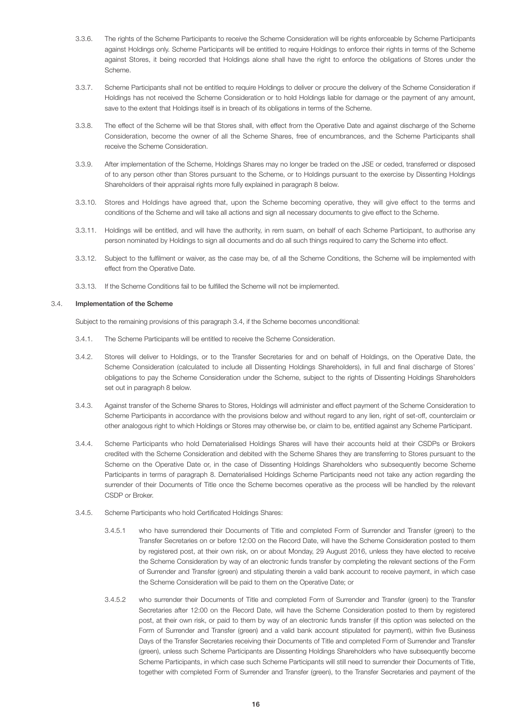- 3.3.6. The rights of the Scheme Participants to receive the Scheme Consideration will be rights enforceable by Scheme Participants against Holdings only. Scheme Participants will be entitled to require Holdings to enforce their rights in terms of the Scheme against Stores, it being recorded that Holdings alone shall have the right to enforce the obligations of Stores under the Scheme.
- 3.3.7. Scheme Participants shall not be entitled to require Holdings to deliver or procure the delivery of the Scheme Consideration if Holdings has not received the Scheme Consideration or to hold Holdings liable for damage or the payment of any amount, save to the extent that Holdings itself is in breach of its obligations in terms of the Scheme.
- 3.3.8. The effect of the Scheme will be that Stores shall, with effect from the Operative Date and against discharge of the Scheme Consideration, become the owner of all the Scheme Shares, free of encumbrances, and the Scheme Participants shall receive the Scheme Consideration.
- 3.3.9. After implementation of the Scheme, Holdings Shares may no longer be traded on the JSE or ceded, transferred or disposed of to any person other than Stores pursuant to the Scheme, or to Holdings pursuant to the exercise by Dissenting Holdings Shareholders of their appraisal rights more fully explained in paragraph 8 below.
- 3.3.10. Stores and Holdings have agreed that, upon the Scheme becoming operative, they will give effect to the terms and conditions of the Scheme and will take all actions and sign all necessary documents to give effect to the Scheme.
- 3.3.11. Holdings will be entitled, and will have the authority, in rem suam, on behalf of each Scheme Participant, to authorise any person nominated by Holdings to sign all documents and do all such things required to carry the Scheme into effect.
- 3.3.12. Subject to the fulfilment or waiver, as the case may be, of all the Scheme Conditions, the Scheme will be implemented with effect from the Operative Date.
- 3.3.13. If the Scheme Conditions fail to be fulfilled the Scheme will not be implemented.

### 3.4. Implementation of the Scheme

Subject to the remaining provisions of this paragraph 3.4, if the Scheme becomes unconditional:

- 3.4.1. The Scheme Participants will be entitled to receive the Scheme Consideration.
- 3.4.2. Stores will deliver to Holdings, or to the Transfer Secretaries for and on behalf of Holdings, on the Operative Date, the Scheme Consideration (calculated to include all Dissenting Holdings Shareholders), in full and final discharge of Stores' obligations to pay the Scheme Consideration under the Scheme, subject to the rights of Dissenting Holdings Shareholders set out in paragraph 8 below.
- 3.4.3. Against transfer of the Scheme Shares to Stores, Holdings will administer and effect payment of the Scheme Consideration to Scheme Participants in accordance with the provisions below and without regard to any lien, right of set-off, counterclaim or other analogous right to which Holdings or Stores may otherwise be, or claim to be, entitled against any Scheme Participant.
- 3.4.4. Scheme Participants who hold Dematerialised Holdings Shares will have their accounts held at their CSDPs or Brokers credited with the Scheme Consideration and debited with the Scheme Shares they are transferring to Stores pursuant to the Scheme on the Operative Date or, in the case of Dissenting Holdings Shareholders who subsequently become Scheme Participants in terms of paragraph 8. Dematerialised Holdings Scheme Participants need not take any action regarding the surrender of their Documents of Title once the Scheme becomes operative as the process will be handled by the relevant CSDP or Broker.
- 3.4.5. Scheme Participants who hold Certificated Holdings Shares:
	- 3.4.5.1 who have surrendered their Documents of Title and completed Form of Surrender and Transfer (green) to the Transfer Secretaries on or before 12:00 on the Record Date, will have the Scheme Consideration posted to them by registered post, at their own risk, on or about Monday, 29 August 2016, unless they have elected to receive the Scheme Consideration by way of an electronic funds transfer by completing the relevant sections of the Form of Surrender and Transfer (green) and stipulating therein a valid bank account to receive payment, in which case the Scheme Consideration will be paid to them on the Operative Date; or
	- 3.4.5.2 who surrender their Documents of Title and completed Form of Surrender and Transfer (green) to the Transfer Secretaries after 12:00 on the Record Date, will have the Scheme Consideration posted to them by registered post, at their own risk, or paid to them by way of an electronic funds transfer (if this option was selected on the Form of Surrender and Transfer (green) and a valid bank account stipulated for payment), within five Business Days of the Transfer Secretaries receiving their Documents of Title and completed Form of Surrender and Transfer (green), unless such Scheme Participants are Dissenting Holdings Shareholders who have subsequently become Scheme Participants, in which case such Scheme Participants will still need to surrender their Documents of Title, together with completed Form of Surrender and Transfer (green), to the Transfer Secretaries and payment of the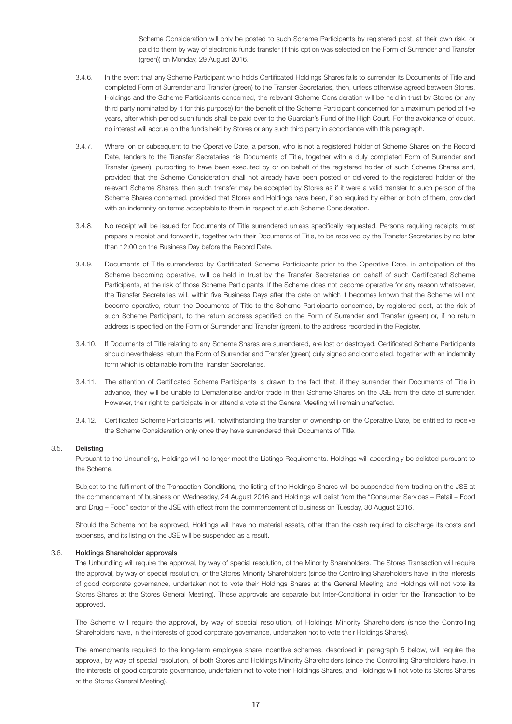Scheme Consideration will only be posted to such Scheme Participants by registered post, at their own risk, or paid to them by way of electronic funds transfer (if this option was selected on the Form of Surrender and Transfer (green)) on Monday, 29 August 2016.

- 3.4.6. In the event that any Scheme Participant who holds Certificated Holdings Shares fails to surrender its Documents of Title and completed Form of Surrender and Transfer (green) to the Transfer Secretaries, then, unless otherwise agreed between Stores, Holdings and the Scheme Participants concerned, the relevant Scheme Consideration will be held in trust by Stores (or any third party nominated by it for this purpose) for the benefit of the Scheme Participant concerned for a maximum period of five years, after which period such funds shall be paid over to the Guardian's Fund of the High Court. For the avoidance of doubt, no interest will accrue on the funds held by Stores or any such third party in accordance with this paragraph.
- 3.4.7. Where, on or subsequent to the Operative Date, a person, who is not a registered holder of Scheme Shares on the Record Date, tenders to the Transfer Secretaries his Documents of Title, together with a duly completed Form of Surrender and Transfer (green), purporting to have been executed by or on behalf of the registered holder of such Scheme Shares and, provided that the Scheme Consideration shall not already have been posted or delivered to the registered holder of the relevant Scheme Shares, then such transfer may be accepted by Stores as if it were a valid transfer to such person of the Scheme Shares concerned, provided that Stores and Holdings have been, if so required by either or both of them, provided with an indemnity on terms acceptable to them in respect of such Scheme Consideration.
- 3.4.8. No receipt will be issued for Documents of Title surrendered unless specifically requested. Persons requiring receipts must prepare a receipt and forward it, together with their Documents of Title, to be received by the Transfer Secretaries by no later than 12:00 on the Business Day before the Record Date.
- 3.4.9. Documents of Title surrendered by Certificated Scheme Participants prior to the Operative Date, in anticipation of the Scheme becoming operative, will be held in trust by the Transfer Secretaries on behalf of such Certificated Scheme Participants, at the risk of those Scheme Participants. If the Scheme does not become operative for any reason whatsoever, the Transfer Secretaries will, within five Business Days after the date on which it becomes known that the Scheme will not become operative, return the Documents of Title to the Scheme Participants concerned, by registered post, at the risk of such Scheme Participant, to the return address specified on the Form of Surrender and Transfer (green) or, if no return address is specified on the Form of Surrender and Transfer (green), to the address recorded in the Register.
- 3.4.10. If Documents of Title relating to any Scheme Shares are surrendered, are lost or destroyed, Certificated Scheme Participants should nevertheless return the Form of Surrender and Transfer (green) duly signed and completed, together with an indemnity form which is obtainable from the Transfer Secretaries.
- 3.4.11. The attention of Certificated Scheme Participants is drawn to the fact that, if they surrender their Documents of Title in advance, they will be unable to Dematerialise and/or trade in their Scheme Shares on the JSE from the date of surrender. However, their right to participate in or attend a vote at the General Meeting will remain unaffected.
- 3.4.12. Certificated Scheme Participants will, notwithstanding the transfer of ownership on the Operative Date, be entitled to receive the Scheme Consideration only once they have surrendered their Documents of Title.

# 3.5. Delisting

 Pursuant to the Unbundling, Holdings will no longer meet the Listings Requirements. Holdings will accordingly be delisted pursuant to the Scheme.

 Subject to the fulfilment of the Transaction Conditions, the listing of the Holdings Shares will be suspended from trading on the JSE at the commencement of business on Wednesday, 24 August 2016 and Holdings will delist from the "Consumer Services – Retail – Food and Drug – Food" sector of the JSE with effect from the commencement of business on Tuesday, 30 August 2016.

 Should the Scheme not be approved, Holdings will have no material assets, other than the cash required to discharge its costs and expenses, and its listing on the JSE will be suspended as a result.

### 3.6. Holdings Shareholder approvals

 The Unbundling will require the approval, by way of special resolution, of the Minority Shareholders. The Stores Transaction will require the approval, by way of special resolution, of the Stores Minority Shareholders (since the Controlling Shareholders have, in the interests of good corporate governance, undertaken not to vote their Holdings Shares at the General Meeting and Holdings will not vote its Stores Shares at the Stores General Meeting). These approvals are separate but Inter-Conditional in order for the Transaction to be approved.

 The Scheme will require the approval, by way of special resolution, of Holdings Minority Shareholders (since the Controlling Shareholders have, in the interests of good corporate governance, undertaken not to vote their Holdings Shares).

 The amendments required to the long-term employee share incentive schemes, described in paragraph 5 below, will require the approval, by way of special resolution, of both Stores and Holdings Minority Shareholders (since the Controlling Shareholders have, in the interests of good corporate governance, undertaken not to vote their Holdings Shares, and Holdings will not vote its Stores Shares at the Stores General Meeting).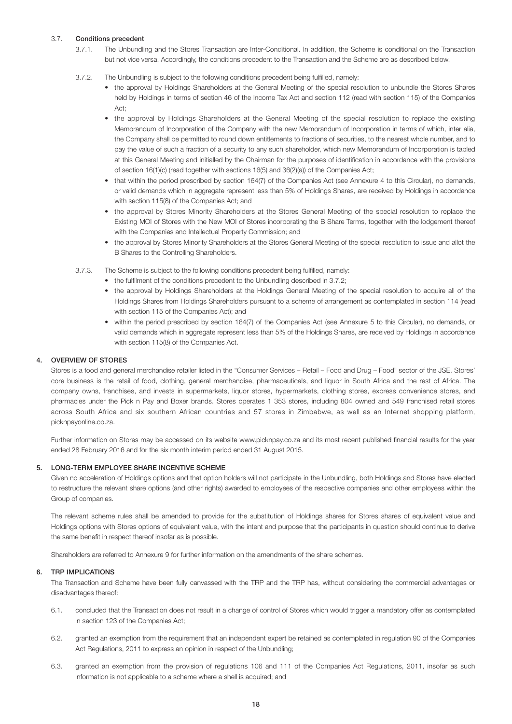# 3.7. Conditions precedent

- 3.7.1. The Unbundling and the Stores Transaction are Inter-Conditional. In addition, the Scheme is conditional on the Transaction but not vice versa. Accordingly, the conditions precedent to the Transaction and the Scheme are as described below.
- 3.7.2. The Unbundling is subject to the following conditions precedent being fulfilled, namely:
	- the approval by Holdings Shareholders at the General Meeting of the special resolution to unbundle the Stores Shares held by Holdings in terms of section 46 of the Income Tax Act and section 112 (read with section 115) of the Companies Act;
	- the approval by Holdings Shareholders at the General Meeting of the special resolution to replace the existing Memorandum of Incorporation of the Company with the new Memorandum of Incorporation in terms of which, inter alia, the Company shall be permitted to round down entitlements to fractions of securities, to the nearest whole number, and to pay the value of such a fraction of a security to any such shareholder, which new Memorandum of Incorporation is tabled at this General Meeting and initialled by the Chairman for the purposes of identification in accordance with the provisions of section 16(1)(c) (read together with sections 16(5) and 36(2)(a)) of the Companies Act;
	- that within the period prescribed by section 164(7) of the Companies Act (see Annexure 4 to this Circular), no demands, or valid demands which in aggregate represent less than 5% of Holdings Shares, are received by Holdings in accordance with section 115(8) of the Companies Act; and
	- the approval by Stores Minority Shareholders at the Stores General Meeting of the special resolution to replace the Existing MOI of Stores with the New MOI of Stores incorporating the B Share Terms, together with the lodgement thereof with the Companies and Intellectual Property Commission; and
	- the approval by Stores Minority Shareholders at the Stores General Meeting of the special resolution to issue and allot the B Shares to the Controlling Shareholders.
- 3.7.3. The Scheme is subject to the following conditions precedent being fulfilled, namely:
	- the fulfilment of the conditions precedent to the Unbundling described in 3.7.2;
	- the approval by Holdings Shareholders at the Holdings General Meeting of the special resolution to acquire all of the Holdings Shares from Holdings Shareholders pursuant to a scheme of arrangement as contemplated in section 114 (read with section 115 of the Companies Act); and
	- within the period prescribed by section 164(7) of the Companies Act (see Annexure 5 to this Circular), no demands, or valid demands which in aggregate represent less than 5% of the Holdings Shares, are received by Holdings in accordance with section 115(8) of the Companies Act.

# 4. OVERVIEW OF STORES

 Stores is a food and general merchandise retailer listed in the "Consumer Services – Retail – Food and Drug – Food" sector of the JSE. Stores' core business is the retail of food, clothing, general merchandise, pharmaceuticals, and liquor in South Africa and the rest of Africa. The company owns, franchises, and invests in supermarkets, liquor stores, hypermarkets, clothing stores, express convenience stores, and pharmacies under the Pick n Pay and Boxer brands. Stores operates 1 353 stores, including 804 owned and 549 franchised retail stores across South Africa and six southern African countries and 57 stores in Zimbabwe, as well as an Internet shopping platform, picknpayonline.co.za.

 Further information on Stores may be accessed on its website www.picknpay.co.za and its most recent published financial results for the year ended 28 February 2016 and for the six month interim period ended 31 August 2015.

# 5. LONG-TERM EMPLOYEE SHARE INCENTIVE SCHEME

 Given no acceleration of Holdings options and that option holders will not participate in the Unbundling, both Holdings and Stores have elected to restructure the relevant share options (and other rights) awarded to employees of the respective companies and other employees within the Group of companies.

 The relevant scheme rules shall be amended to provide for the substitution of Holdings shares for Stores shares of equivalent value and Holdings options with Stores options of equivalent value, with the intent and purpose that the participants in question should continue to derive the same benefit in respect thereof insofar as is possible.

Shareholders are referred to Annexure 9 for further information on the amendments of the share schemes.

# 6. TRP IMPLICATIONS

 The Transaction and Scheme have been fully canvassed with the TRP and the TRP has, without considering the commercial advantages or disadvantages thereof:

- 6.1. concluded that the Transaction does not result in a change of control of Stores which would trigger a mandatory offer as contemplated in section 123 of the Companies Act;
- 6.2. granted an exemption from the requirement that an independent expert be retained as contemplated in regulation 90 of the Companies Act Regulations, 2011 to express an opinion in respect of the Unbundling;
- 6.3. granted an exemption from the provision of regulations 106 and 111 of the Companies Act Regulations, 2011, insofar as such information is not applicable to a scheme where a shell is acquired; and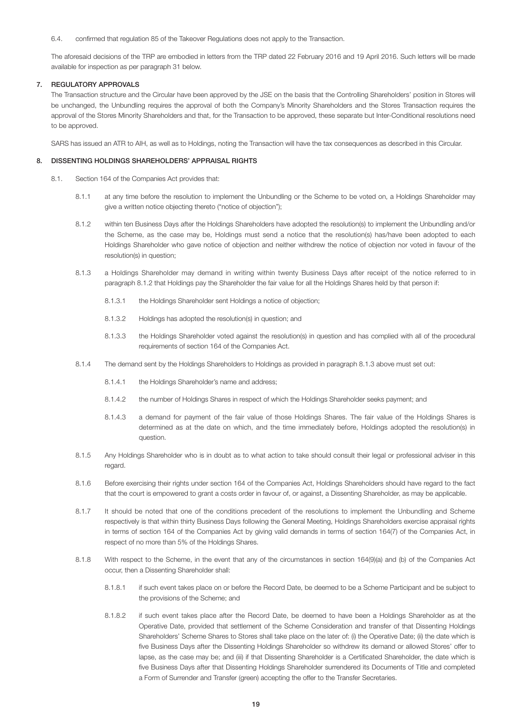### 6.4. confirmed that regulation 85 of the Takeover Regulations does not apply to the Transaction.

 The aforesaid decisions of the TRP are embodied in letters from the TRP dated 22 February 2016 and 19 April 2016. Such letters will be made available for inspection as per paragraph 31 below.

### 7. REGULATORY APPROVALS

 The Transaction structure and the Circular have been approved by the JSE on the basis that the Controlling Shareholders' position in Stores will be unchanged, the Unbundling requires the approval of both the Company's Minority Shareholders and the Stores Transaction requires the approval of the Stores Minority Shareholders and that, for the Transaction to be approved, these separate but Inter-Conditional resolutions need to be approved.

SARS has issued an ATR to AIH, as well as to Holdings, noting the Transaction will have the tax consequences as described in this Circular.

### 8. DISSENTING HOLDINGS SHAREHOLDERS' APPRAISAL RIGHTS

- 8.1. Section 164 of the Companies Act provides that:
	- 8.1.1 at any time before the resolution to implement the Unbundling or the Scheme to be voted on, a Holdings Shareholder may give a written notice objecting thereto ("notice of objection");
	- 8.1.2 within ten Business Days after the Holdings Shareholders have adopted the resolution(s) to implement the Unbundling and/or the Scheme, as the case may be, Holdings must send a notice that the resolution(s) has/have been adopted to each Holdings Shareholder who gave notice of objection and neither withdrew the notice of objection nor voted in favour of the resolution(s) in question;
	- 8.1.3 a Holdings Shareholder may demand in writing within twenty Business Days after receipt of the notice referred to in paragraph 8.1.2 that Holdings pay the Shareholder the fair value for all the Holdings Shares held by that person if:
		- 8.1.3.1 the Holdings Shareholder sent Holdings a notice of objection;
		- 8.1.3.2 Holdings has adopted the resolution(s) in question; and
		- 8.1.3.3 the Holdings Shareholder voted against the resolution(s) in question and has complied with all of the procedural requirements of section 164 of the Companies Act.
	- 8.1.4 The demand sent by the Holdings Shareholders to Holdings as provided in paragraph 8.1.3 above must set out:
		- 8.1.4.1 the Holdings Shareholder's name and address;
		- 8.1.4.2 the number of Holdings Shares in respect of which the Holdings Shareholder seeks payment; and
		- 8.1.4.3 a demand for payment of the fair value of those Holdings Shares. The fair value of the Holdings Shares is determined as at the date on which, and the time immediately before, Holdings adopted the resolution(s) in question.
	- 8.1.5 Any Holdings Shareholder who is in doubt as to what action to take should consult their legal or professional adviser in this regard.
	- 8.1.6 Before exercising their rights under section 164 of the Companies Act, Holdings Shareholders should have regard to the fact that the court is empowered to grant a costs order in favour of, or against, a Dissenting Shareholder, as may be applicable.
	- 8.1.7 It should be noted that one of the conditions precedent of the resolutions to implement the Unbundling and Scheme respectively is that within thirty Business Days following the General Meeting, Holdings Shareholders exercise appraisal rights in terms of section 164 of the Companies Act by giving valid demands in terms of section 164(7) of the Companies Act, in respect of no more than 5% of the Holdings Shares.
	- 8.1.8 With respect to the Scheme, in the event that any of the circumstances in section 164(9)(a) and (b) of the Companies Act occur, then a Dissenting Shareholder shall:
		- 8.1.8.1 if such event takes place on or before the Record Date, be deemed to be a Scheme Participant and be subject to the provisions of the Scheme; and
		- 8.1.8.2 if such event takes place after the Record Date, be deemed to have been a Holdings Shareholder as at the Operative Date, provided that settlement of the Scheme Consideration and transfer of that Dissenting Holdings Shareholders' Scheme Shares to Stores shall take place on the later of: (i) the Operative Date; (ii) the date which is five Business Days after the Dissenting Holdings Shareholder so withdrew its demand or allowed Stores' offer to lapse, as the case may be; and (iii) if that Dissenting Shareholder is a Certificated Shareholder, the date which is five Business Days after that Dissenting Holdings Shareholder surrendered its Documents of Title and completed a Form of Surrender and Transfer (green) accepting the offer to the Transfer Secretaries.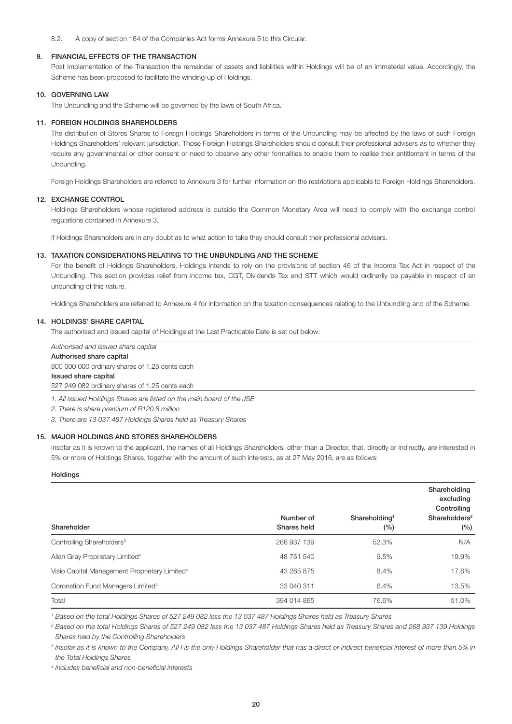### 8.2. A copy of section 164 of the Companies Act forms Annexure 5 to this Circular.

### 9. FINANCIAL EFFECTS OF THE TRANSACTION

 Post implementation of the Transaction the remainder of assets and liabilities within Holdings will be of an immaterial value. Accordingly, the Scheme has been proposed to facilitate the winding-up of Holdings.

#### 10. GOVERNING LAW

The Unbundling and the Scheme will be governed by the laws of South Africa.

#### 11. FOREIGN HOLDINGS SHAREHOLDERS

 The distribution of Stores Shares to Foreign Holdings Shareholders in terms of the Unbundling may be affected by the laws of such Foreign Holdings Shareholders' relevant jurisdiction. Those Foreign Holdings Shareholders should consult their professional advisers as to whether they require any governmental or other consent or need to observe any other formalities to enable them to realise their entitlement in terms of the Unbundling.

Foreign Holdings Shareholders are referred to Annexure 3 for further information on the restrictions applicable to Foreign Holdings Shareholders.

### 12. EXCHANGE CONTROL

 Holdings Shareholders whose registered address is outside the Common Monetary Area will need to comply with the exchange control regulations contained in Annexure 3.

If Holdings Shareholders are in any doubt as to what action to take they should consult their professional advisers.

#### 13. TAXATION CONSIDERATIONS RELATING TO THE UNBUNDLING AND THE SCHEME

 For the benefit of Holdings Shareholders, Holdings intends to rely on the provisions of section 46 of the Income Tax Act in respect of the Unbundling. This section provides relief from income tax, CGT, Dividends Tax and STT which would ordinarily be payable in respect of an unbundling of this nature.

Holdings Shareholders are referred to Annexure 4 for information on the taxation consequences relating to the Unbundling and of the Scheme.

#### 14. HOLDINGS' SHARE CAPITAL

The authorised and issued capital of Holdings at the Last Practicable Date is set out below:

# *Authorised and issued share capital* Authorised share capital 800 000 000 ordinary shares of 1.25 cents each Issued share capital

527 249 082 ordinary shares of 1.25 cents each

*1. All issued Holdings Shares are listed on the main board of the JSE*

*2. There is share premium of R120.8 million*

*3. There are 13 037 487 Holdings Shares held as Treasury Shares*

# 15. MAJOR HOLDINGS AND STORES SHAREHOLDERS

Insofar as it is known to the applicant, the names of all Holdings Shareholders, other than a Director, that, directly or indirectly, are interested in 5% or more of Holdings Shares, together with the amount of such interests, as at 27 May 2016, are as follows:

### Holdings

| Shareholder                                               | Number of<br>Shares held | Shareholding <sup>1</sup><br>(%) | Shareholding<br>excluding<br>Controlling<br>Shareholders <sup>2</sup><br>(%) |
|-----------------------------------------------------------|--------------------------|----------------------------------|------------------------------------------------------------------------------|
| Controlling Shareholders <sup>3</sup>                     | 268 937 139              | 52.3%                            | N/A                                                                          |
| Allan Gray Proprietary Limited <sup>4</sup>               | 48 751 540               | $9.5\%$                          | 19.9%                                                                        |
| Visio Capital Management Proprietary Limited <sup>4</sup> | 43 285 875               | 8.4%                             | 17.6%                                                                        |
| Coronation Fund Managers Limited <sup>4</sup>             | 33 040 311               | 6.4%                             | 13.5%                                                                        |
| Total                                                     | 394 014 865              | 76.6%                            | 51.0%                                                                        |

*1 Based on the total Holdings Shares of 527 249 082 less the 13 037 487 Holdings Shares held as Treasury Shares*

*<sup>2</sup> Based on the total Holdings Shares of 527 249 082 less the 13 037 487 Holdings Shares held as Treasury Shares and 268 937 139 Holdings Shares held by the Controlling Shareholders*

<sup>3</sup> Insofar as it is known to the Company, AIH is the only Holdings Shareholder that has a direct or indirect beneficial interest of more than 5% in *the Total Holdings Shares*

*<sup>4</sup> Includes beneficial and non-beneficial interests*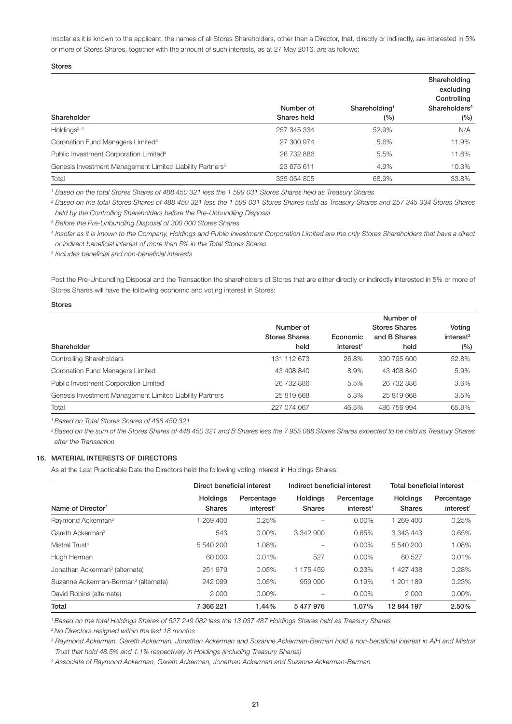Insofar as it is known to the applicant, the names of all Stores Shareholders, other than a Director, that, directly or indirectly, are interested in 5% or more of Stores Shares, together with the amount of such interests, as at 27 May 2016, are as follows:

Stores

|                                                                       |             |                           | Shareholding<br>excluding<br>Controlling |
|-----------------------------------------------------------------------|-------------|---------------------------|------------------------------------------|
|                                                                       | Number of   | Shareholding <sup>1</sup> | Shareholders <sup>2</sup>                |
| Shareholder                                                           | Shares held | $(\%)$                    | (%)                                      |
| Holdings $3, 4$                                                       | 257 345 334 | 52.9%                     | N/A                                      |
| Coronation Fund Managers Limited <sup>5</sup>                         | 27 300 974  | 5.6%                      | 11.9%                                    |
| Public Investment Corporation Limited <sup>4</sup>                    | 26 732 886  | 5.5%                      | 11.6%                                    |
| Genesis Investment Management Limited Liability Partners <sup>5</sup> | 23 675 611  | 4.9%                      | 10.3%                                    |
| Total                                                                 | 335 054 805 | 68.9%                     | 33.8%                                    |

*1 Based on the total Stores Shares of 488 450 321 less the 1 599 031 Stores Shares held as Treasury Shares*

*<sup>2</sup> Based on the total Stores Shares of 488 450 321 less the 1 599 031 Stores Shares held as Treasury Shares and 257 345 334 Stores Shares held by the Controlling Shareholders before the Pre-Unbundling Disposal*

*<sup>3</sup> Before the Pre-Unbundling Disposal of 300 000 Stores Shares*

*<sup>4</sup> Insofar as it is known to the Company, Holdings and Public Investment Corporation Limited are the only Stores Shareholders that have a direct or indirect beneficial interest of more than 5% in the Total Stores Shares*

*<sup>5</sup> Includes beneficial and non-beneficial interests*

Post the Pre-Unbundling Disposal and the Transaction the shareholders of Stores that are either directly or indirectly interested in 5% or more of Stores Shares will have the following economic and voting interest in Stores:

| .<br>$\sim$<br>. .<br>$\sim$<br>۰.<br>. . |
|-------------------------------------------|
|-------------------------------------------|

| Shareholder                                              | Number of<br><b>Stores Shares</b><br>held | Economic<br>interest <sup>1</sup> | Number of<br><b>Stores Shares</b><br>and B Shares<br>held | Voting<br>interest <sup>2</sup><br>$(\%)$ |
|----------------------------------------------------------|-------------------------------------------|-----------------------------------|-----------------------------------------------------------|-------------------------------------------|
| <b>Controlling Shareholders</b>                          | 131 112 673                               | 26.8%                             | 390 795 600                                               | 52.8%                                     |
| Coronation Fund Managers Limited                         | 43 408 840                                | 8.9%                              | 43 408 840                                                | 5.9%                                      |
| Public Investment Corporation Limited                    | 26 732 886                                | 5.5%                              | 26 732 886                                                | 3.6%                                      |
| Genesis Investment Management Limited Liability Partners | 25 819 668                                | 5.3%                              | 25 819 668                                                | 3.5%                                      |
| Total                                                    | 227 074 067                               | 46.5%                             | 486 756 994                                               | 65.8%                                     |

*1 Based on Total Stores Shares of 488 450 321*

<sup>2</sup> Based on the sum of the Stores Shares of 448 450 321 and B Shares less the 7 955 088 Stores Shares expected to be held as Treasury Shares *after the Transaction*

# 16. MATERIAL INTERESTS OF DIRECTORS

As at the Last Practicable Date the Directors held the following voting interest in Holdings Shares:

|                                                  |                 | Direct beneficial interest |                 | Indirect beneficial interest |                 | <b>Total beneficial interest</b> |  |
|--------------------------------------------------|-----------------|----------------------------|-----------------|------------------------------|-----------------|----------------------------------|--|
|                                                  | <b>Holdings</b> | Percentage                 | <b>Holdings</b> | Percentage                   | <b>Holdings</b> | Percentage                       |  |
| Name of Director <sup>2</sup>                    | <b>Shares</b>   | interest <sup>1</sup>      | <b>Shares</b>   | interest <sup>1</sup>        | <b>Shares</b>   | interest <sup>1</sup>            |  |
| Raymond Ackerman <sup>3</sup>                    | 269 400         | 0.25%                      |                 | $0.00\%$                     | 1 269 400       | 0.25%                            |  |
| Gareth Ackerman <sup>3</sup>                     | 543             | $0.00\%$                   | 3 342 900       | 0.65%                        | 3 343 443       | 0.65%                            |  |
| Mistral Trust <sup>4</sup>                       | 5 540 200       | 1.08%                      | -               | $0.00\%$                     | 5 540 200       | 1.08%                            |  |
| Hugh Herman                                      | 60 000          | 0.01%                      | 527             | $0.00\%$                     | 60 527          | 0.01%                            |  |
| Jonathan Ackerman <sup>3</sup> (alternate)       | 251 979         | 0.05%                      | 1 175 459       | 0.23%                        | 1 427 438       | 0.28%                            |  |
| Suzanne Ackerman-Berman <sup>3</sup> (alternate) | 242 099         | 0.05%                      | 959 090         | 0.19%                        | 1 201 189       | 0.23%                            |  |
| David Robins (alternate)                         | 2 0 0 0         | $0.00\%$                   |                 | $0.00\%$                     | 2 0 0 0         | $0.00\%$                         |  |
| Total                                            | 7 366 221       | $1.44\%$                   | 5477976         | 1.07%                        | 12 844 197      | 2.50%                            |  |

*1 Based on the total Holdings Shares of 527 249 082 less the 13 037 487 Holdings Shares held as Treasury Shares*

*2 No Directors resigned within the last 18 months*

<sup>3</sup> Raymond Ackerman, Gareth Ackerman, Jonathan Ackerman and Suzanne Ackerman-Berman hold a non-beneficial interest in AIH and Mistral *Trust that hold 48.5% and 1.1% respectively in Holdings (including Treasury Shares)*

*4 Associate of Raymond Ackerman, Gareth Ackerman, Jonathan Ackerman and Suzanne Ackerman-Berman*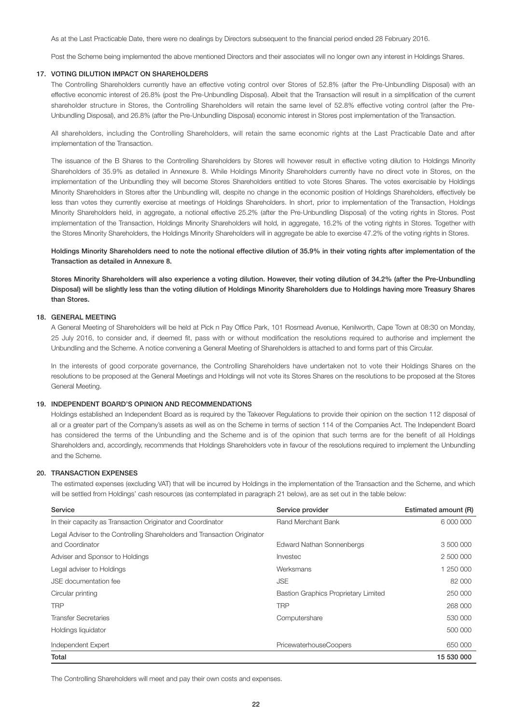As at the Last Practicable Date, there were no dealings by Directors subsequent to the financial period ended 28 February 2016.

Post the Scheme being implemented the above mentioned Directors and their associates will no longer own any interest in Holdings Shares.

#### 17. VOTING DILUTION IMPACT ON SHAREHOLDERS

 The Controlling Shareholders currently have an effective voting control over Stores of 52.8% (after the Pre-Unbundling Disposal) with an effective economic interest of 26.8% (post the Pre-Unbundling Disposal). Albeit that the Transaction will result in a simplification of the current shareholder structure in Stores, the Controlling Shareholders will retain the same level of 52.8% effective voting control (after the Pre-Unbundling Disposal), and 26.8% (after the Pre-Unbundling Disposal) economic interest in Stores post implementation of the Transaction.

 All shareholders, including the Controlling Shareholders, will retain the same economic rights at the Last Practicable Date and after implementation of the Transaction.

 The issuance of the B Shares to the Controlling Shareholders by Stores will however result in effective voting dilution to Holdings Minority Shareholders of 35.9% as detailed in Annexure 8. While Holdings Minority Shareholders currently have no direct vote in Stores, on the implementation of the Unbundling they will become Stores Shareholders entitled to vote Stores Shares. The votes exercisable by Holdings Minority Shareholders in Stores after the Unbundling will, despite no change in the economic position of Holdings Shareholders, effectively be less than votes they currently exercise at meetings of Holdings Shareholders. In short, prior to implementation of the Transaction, Holdings Minority Shareholders held, in aggregate, a notional effective 25.2% (after the Pre-Unbundling Disposal) of the voting rights in Stores. Post implementation of the Transaction, Holdings Minority Shareholders will hold, in aggregate, 16.2% of the voting rights in Stores. Together with the Stores Minority Shareholders, the Holdings Minority Shareholders will in aggregate be able to exercise 47.2% of the voting rights in Stores.

 Holdings Minority Shareholders need to note the notional effective dilution of 35.9% in their voting rights after implementation of the Transaction as detailed in Annexure 8.

 Stores Minority Shareholders will also experience a voting dilution. However, their voting dilution of 34.2% (after the Pre-Unbundling Disposal) will be slightly less than the voting dilution of Holdings Minority Shareholders due to Holdings having more Treasury Shares than Stores.

# 18. GENERAL MEETING

 A General Meeting of Shareholders will be held at Pick n Pay Office Park, 101 Rosmead Avenue, Kenilworth, Cape Town at 08:30 on Monday, 25 July 2016, to consider and, if deemed fit, pass with or without modification the resolutions required to authorise and implement the Unbundling and the Scheme. A notice convening a General Meeting of Shareholders is attached to and forms part of this Circular.

In the interests of good corporate governance, the Controlling Shareholders have undertaken not to vote their Holdings Shares on the resolutions to be proposed at the General Meetings and Holdings will not vote its Stores Shares on the resolutions to be proposed at the Stores General Meeting.

# 19. INDEPENDENT BOARD'S OPINION AND RECOMMENDATIONS

 Holdings established an Independent Board as is required by the Takeover Regulations to provide their opinion on the section 112 disposal of all or a greater part of the Company's assets as well as on the Scheme in terms of section 114 of the Companies Act. The Independent Board has considered the terms of the Unbundling and the Scheme and is of the opinion that such terms are for the benefit of all Holdings Shareholders and, accordingly, recommends that Holdings Shareholders vote in favour of the resolutions required to implement the Unbundling and the Scheme.

# 20. TRANSACTION EXPENSES

 The estimated expenses (excluding VAT) that will be incurred by Holdings in the implementation of the Transaction and the Scheme, and which will be settled from Holdings' cash resources (as contemplated in paragraph 21 below), are as set out in the table below:

| Service                                                                  | Service provider                            | Estimated amount (R) |
|--------------------------------------------------------------------------|---------------------------------------------|----------------------|
| In their capacity as Transaction Originator and Coordinator              | <b>Rand Merchant Bank</b>                   | 6 000 000            |
| Legal Adviser to the Controlling Shareholders and Transaction Originator |                                             |                      |
| and Coordinator                                                          | <b>Edward Nathan Sonnenbergs</b>            | 3 500 000            |
| Adviser and Sponsor to Holdings                                          | Investec                                    | 2 500 000            |
| Legal adviser to Holdings                                                | Werksmans                                   | 1 250 000            |
| <b>JSE</b> documentation fee                                             | <b>JSE</b>                                  | 82 000               |
| Circular printing                                                        | <b>Bastion Graphics Proprietary Limited</b> | 250 000              |
| <b>TRP</b>                                                               | <b>TRP</b>                                  | 268 000              |
| <b>Transfer Secretaries</b>                                              | Computershare                               | 530 000              |
| Holdings liquidator                                                      |                                             | 500 000              |
| Independent Expert                                                       | PricewaterhouseCoopers                      | 650 000              |
| Total                                                                    |                                             | 15 530 000           |

The Controlling Shareholders will meet and pay their own costs and expenses.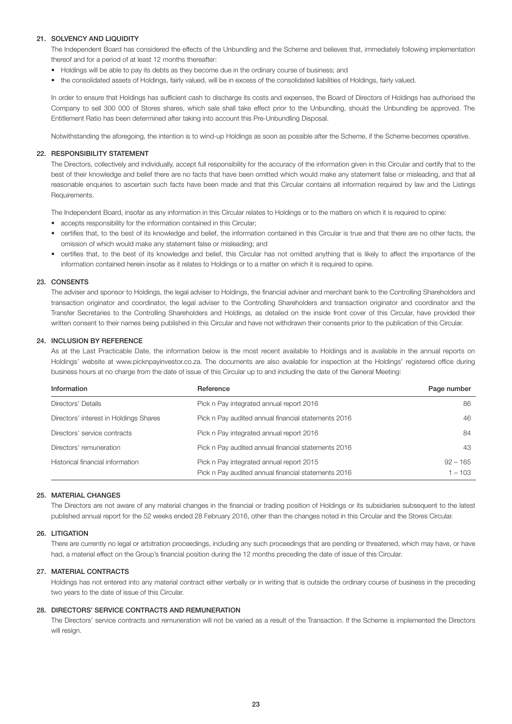# 21. SOLVENCY AND LIQUIDITY

 The Independent Board has considered the effects of the Unbundling and the Scheme and believes that, immediately following implementation thereof and for a period of at least 12 months thereafter:

- Holdings will be able to pay its debts as they become due in the ordinary course of business; and
- the consolidated assets of Holdings, fairly valued, will be in excess of the consolidated liabilities of Holdings, fairly valued.

 In order to ensure that Holdings has sufficient cash to discharge its costs and expenses, the Board of Directors of Holdings has authorised the Company to sell 300 000 of Stores shares, which sale shall take effect prior to the Unbundling, should the Unbundling be approved. The Entitlement Ratio has been determined after taking into account this Pre-Unbundling Disposal.

Notwithstanding the aforegoing, the intention is to wind-up Holdings as soon as possible after the Scheme, if the Scheme becomes operative.

### 22. RESPONSIBILITY STATEMENT

 The Directors, collectively and individually, accept full responsibility for the accuracy of the information given in this Circular and certify that to the best of their knowledge and belief there are no facts that have been omitted which would make any statement false or misleading, and that all reasonable enquiries to ascertain such facts have been made and that this Circular contains all information required by law and the Listings Requirements.

The Independent Board, insofar as any information in this Circular relates to Holdings or to the matters on which it is required to opine:

- accepts responsibility for the information contained in this Circular;
- certifies that, to the best of its knowledge and belief, the information contained in this Circular is true and that there are no other facts, the omission of which would make any statement false or misleading; and
- certifies that, to the best of its knowledge and belief, this Circular has not omitted anything that is likely to affect the importance of the information contained herein insofar as it relates to Holdings or to a matter on which it is required to opine.

#### 23. CONSENTS

 The adviser and sponsor to Holdings, the legal adviser to Holdings, the financial adviser and merchant bank to the Controlling Shareholders and transaction originator and coordinator, the legal adviser to the Controlling Shareholders and transaction originator and coordinator and the Transfer Secretaries to the Controlling Shareholders and Holdings, as detailed on the inside front cover of this Circular, have provided their written consent to their names being published in this Circular and have not withdrawn their consents prior to the publication of this Circular.

### 24. INCLUSION BY REFERENCE

 As at the Last Practicable Date, the information below is the most recent available to Holdings and is available in the annual reports on Holdings' website at www.picknpayinvestor.co.za. The documents are also available for inspection at the Holdings' registered office during business hours at no charge from the date of issue of this Circular up to and including the date of the General Meeting:

| Information                            | Reference                                                                                       | Page number             |
|----------------------------------------|-------------------------------------------------------------------------------------------------|-------------------------|
| Directors' Details                     | Pick n Pay integrated annual report 2016                                                        | 86                      |
| Directors' interest in Holdings Shares | Pick n Pay audited annual financial statements 2016                                             | 46                      |
| Directors' service contracts           | Pick n Pay integrated annual report 2016                                                        | 84                      |
| Directors' remuneration                | Pick n Pay audited annual financial statements 2016                                             | 43                      |
| Historical financial information       | Pick n Pay integrated annual report 2015<br>Pick n Pay audited annual financial statements 2016 | $92 - 165$<br>$1 - 103$ |

### 25. MATERIAL CHANGES

 The Directors are not aware of any material changes in the financial or trading position of Holdings or its subsidiaries subsequent to the latest published annual report for the 52 weeks ended 28 February 2016, other than the changes noted in this Circular and the Stores Circular.

### 26. LITIGATION

 There are currently no legal or arbitration proceedings, including any such proceedings that are pending or threatened, which may have, or have had, a material effect on the Group's financial position during the 12 months preceding the date of issue of this Circular.

# 27. MATERIAL CONTRACTS

 Holdings has not entered into any material contract either verbally or in writing that is outside the ordinary course of business in the preceding two years to the date of issue of this Circular.

### 28. DIRECTORS' SERVICE CONTRACTS AND REMUNERATION

 The Directors' service contracts and remuneration will not be varied as a result of the Transaction. If the Scheme is implemented the Directors will resign.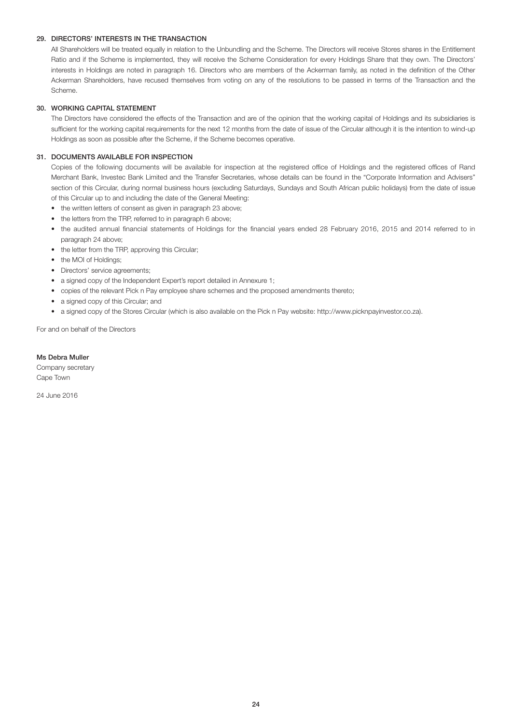# 29. DIRECTORS' INTERESTS IN THE TRANSACTION

 All Shareholders will be treated equally in relation to the Unbundling and the Scheme. The Directors will receive Stores shares in the Entitlement Ratio and if the Scheme is implemented, they will receive the Scheme Consideration for every Holdings Share that they own. The Directors' interests in Holdings are noted in paragraph 16. Directors who are members of the Ackerman family, as noted in the definition of the Other Ackerman Shareholders, have recused themselves from voting on any of the resolutions to be passed in terms of the Transaction and the Scheme.

# 30. WORKING CAPITAL STATEMENT

 The Directors have considered the effects of the Transaction and are of the opinion that the working capital of Holdings and its subsidiaries is sufficient for the working capital requirements for the next 12 months from the date of issue of the Circular although it is the intention to wind-up Holdings as soon as possible after the Scheme, if the Scheme becomes operative.

# 31. DOCUMENTS AVAILABLE FOR INSPECTION

 Copies of the following documents will be available for inspection at the registered office of Holdings and the registered offices of Rand Merchant Bank, Investec Bank Limited and the Transfer Secretaries, whose details can be found in the "Corporate Information and Advisers" section of this Circular, during normal business hours (excluding Saturdays, Sundays and South African public holidays) from the date of issue of this Circular up to and including the date of the General Meeting:

- the written letters of consent as given in paragraph 23 above;
- the letters from the TRP, referred to in paragraph 6 above;
- the audited annual financial statements of Holdings for the financial years ended 28 February 2016, 2015 and 2014 referred to in paragraph 24 above;
- the letter from the TRP, approving this Circular;
- the MOI of Holdings;
- Directors' service agreements;
- a signed copy of the Independent Expert's report detailed in Annexure 1;
- copies of the relevant Pick n Pay employee share schemes and the proposed amendments thereto;
- a signed copy of this Circular; and
- a signed copy of the Stores Circular (which is also available on the Pick n Pay website: http://www.picknpayinvestor.co.za).

For and on behalf of the Directors

# Ms Debra Muller

Company secretary Cape Town

24 June 2016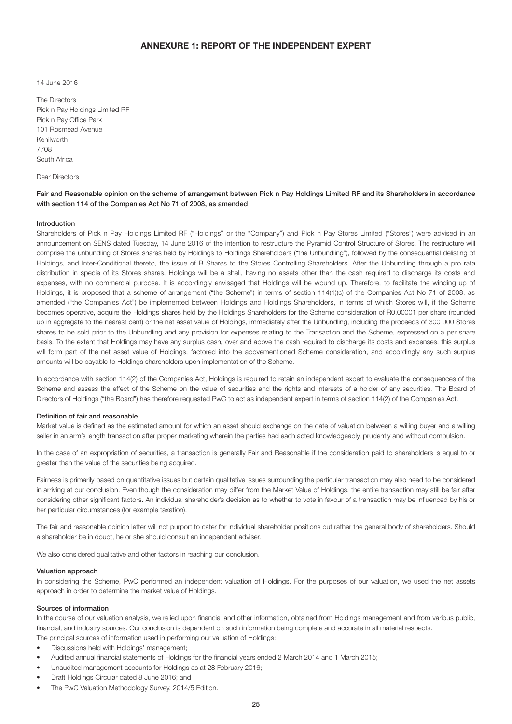14 June 2016

The Directors Pick n Pay Holdings Limited RF Pick n Pay Office Park 101 Rosmead Avenue Kenilworth 7708 South Africa

### Dear Directors

Fair and Reasonable opinion on the scheme of arrangement between Pick n Pay Holdings Limited RF and its Shareholders in accordance with section 114 of the Companies Act No 71 of 2008, as amended

# Introduction

Shareholders of Pick n Pay Holdings Limited RF ("Holdings" or the "Company") and Pick n Pay Stores Limited ("Stores") were advised in an announcement on SENS dated Tuesday, 14 June 2016 of the intention to restructure the Pyramid Control Structure of Stores. The restructure will comprise the unbundling of Stores shares held by Holdings to Holdings Shareholders ("the Unbundling"), followed by the consequential delisting of Holdings, and Inter-Conditional thereto, the issue of B Shares to the Stores Controlling Shareholders. After the Unbundling through a pro rata distribution in specie of its Stores shares, Holdings will be a shell, having no assets other than the cash required to discharge its costs and expenses, with no commercial purpose. It is accordingly envisaged that Holdings will be wound up. Therefore, to facilitate the winding up of Holdings, it is proposed that a scheme of arrangement ("the Scheme") in terms of section 114(1)(c) of the Companies Act No 71 of 2008, as amended ("the Companies Act") be implemented between Holdings and Holdings Shareholders, in terms of which Stores will, if the Scheme becomes operative, acquire the Holdings shares held by the Holdings Shareholders for the Scheme consideration of R0.00001 per share (rounded up in aggregate to the nearest cent) or the net asset value of Holdings, immediately after the Unbundling, including the proceeds of 300 000 Stores shares to be sold prior to the Unbundling and any provision for expenses relating to the Transaction and the Scheme, expressed on a per share basis. To the extent that Holdings may have any surplus cash, over and above the cash required to discharge its costs and expenses, this surplus will form part of the net asset value of Holdings, factored into the abovementioned Scheme consideration, and accordingly any such surplus amounts will be payable to Holdings shareholders upon implementation of the Scheme.

In accordance with section 114(2) of the Companies Act, Holdings is required to retain an independent expert to evaluate the consequences of the Scheme and assess the effect of the Scheme on the value of securities and the rights and interests of a holder of any securities. The Board of Directors of Holdings ("the Board") has therefore requested PwC to act as independent expert in terms of section 114(2) of the Companies Act.

### Definition of fair and reasonable

Market value is defined as the estimated amount for which an asset should exchange on the date of valuation between a willing buyer and a willing seller in an arm's length transaction after proper marketing wherein the parties had each acted knowledgeably, prudently and without compulsion.

In the case of an expropriation of securities, a transaction is generally Fair and Reasonable if the consideration paid to shareholders is equal to or greater than the value of the securities being acquired.

Fairness is primarily based on quantitative issues but certain qualitative issues surrounding the particular transaction may also need to be considered in arriving at our conclusion. Even though the consideration may differ from the Market Value of Holdings, the entire transaction may still be fair after considering other significant factors. An individual shareholder's decision as to whether to vote in favour of a transaction may be influenced by his or her particular circumstances (for example taxation).

The fair and reasonable opinion letter will not purport to cater for individual shareholder positions but rather the general body of shareholders. Should a shareholder be in doubt, he or she should consult an independent adviser.

We also considered qualitative and other factors in reaching our conclusion.

#### Valuation approach

In considering the Scheme, PwC performed an independent valuation of Holdings. For the purposes of our valuation, we used the net assets approach in order to determine the market value of Holdings.

#### Sources of information

In the course of our valuation analysis, we relied upon financial and other information, obtained from Holdings management and from various public, financial, and industry sources. Our conclusion is dependent on such information being complete and accurate in all material respects. The principal sources of information used in performing our valuation of Holdings:

- Discussions held with Holdings' management;
- Audited annual financial statements of Holdings for the financial years ended 2 March 2014 and 1 March 2015;
- Unaudited management accounts for Holdings as at 28 February 2016;
- Draft Holdings Circular dated 8 June 2016; and
- The PwC Valuation Methodology Survey, 2014/5 Edition.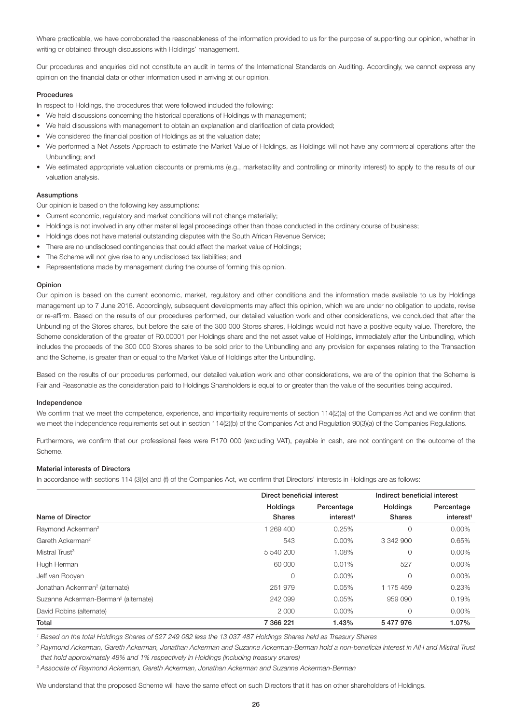Where practicable, we have corroborated the reasonableness of the information provided to us for the purpose of supporting our opinion, whether in writing or obtained through discussions with Holdings' management.

Our procedures and enquiries did not constitute an audit in terms of the International Standards on Auditing. Accordingly, we cannot express any opinion on the financial data or other information used in arriving at our opinion.

### **Procedures**

In respect to Holdings, the procedures that were followed included the following:

- We held discussions concerning the historical operations of Holdings with management;
- We held discussions with management to obtain an explanation and clarification of data provided;
- We considered the financial position of Holdings as at the valuation date;
- We performed a Net Assets Approach to estimate the Market Value of Holdings, as Holdings will not have any commercial operations after the Unbundling; and
- We estimated appropriate valuation discounts or premiums (e.g., marketability and controlling or minority interest) to apply to the results of our valuation analysis.

### Assumptions

Our opinion is based on the following key assumptions:

- Current economic, regulatory and market conditions will not change materially;
- Holdings is not involved in any other material legal proceedings other than those conducted in the ordinary course of business;
- Holdings does not have material outstanding disputes with the South African Revenue Service;
- There are no undisclosed contingencies that could affect the market value of Holdings;
- The Scheme will not give rise to any undisclosed tax liabilities; and
- Representations made by management during the course of forming this opinion.

### Opinion

Our opinion is based on the current economic, market, regulatory and other conditions and the information made available to us by Holdings management up to 7 June 2016. Accordingly, subsequent developments may affect this opinion, which we are under no obligation to update, revise or re-affirm. Based on the results of our procedures performed, our detailed valuation work and other considerations, we concluded that after the Unbundling of the Stores shares, but before the sale of the 300 000 Stores shares, Holdings would not have a positive equity value. Therefore, the Scheme consideration of the greater of R0.00001 per Holdings share and the net asset value of Holdings, immediately after the Unbundling, which includes the proceeds of the 300 000 Stores shares to be sold prior to the Unbundling and any provision for expenses relating to the Transaction and the Scheme, is greater than or equal to the Market Value of Holdings after the Unbundling.

Based on the results of our procedures performed, our detailed valuation work and other considerations, we are of the opinion that the Scheme is Fair and Reasonable as the consideration paid to Holdings Shareholders is equal to or greater than the value of the securities being acquired.

#### Independence

We confirm that we meet the competence, experience, and impartiality requirements of section 114(2)(a) of the Companies Act and we confirm that we meet the independence requirements set out in section 114(2)(b) of the Companies Act and Regulation 90(3)(a) of the Companies Regulations.

Furthermore, we confirm that our professional fees were R170 000 (excluding VAT), payable in cash, are not contingent on the outcome of the Scheme.

### Material interests of Directors

In accordance with sections 114 (3)(e) and (f) of the Companies Act, we confirm that Directors' interests in Holdings are as follows:

|                                                  |                 | Direct beneficial interest |               | Indirect beneficial interest |
|--------------------------------------------------|-----------------|----------------------------|---------------|------------------------------|
|                                                  | <b>Holdings</b> | Percentage                 | Holdings      | Percentage                   |
| Name of Director                                 | <b>Shares</b>   | interest <sup>1</sup>      | <b>Shares</b> | interest <sup>1</sup>        |
| Raymond Ackerman <sup>2</sup>                    | 1 269 400       | 0.25%                      | 0             | $0.00\%$                     |
| Gareth Ackerman <sup>2</sup>                     | 543             | $0.00\%$                   | 3 342 900     | 0.65%                        |
| Mistral Trust <sup>3</sup>                       | 5 540 200       | 1.08%                      | 0             | 0.00%                        |
| Hugh Herman                                      | 60 000          | 0.01%                      | 527           | 0.00%                        |
| Jeff van Rooyen                                  | 0               | $0.00\%$                   | $\Omega$      | 0.00%                        |
| Jonathan Ackerman <sup>2</sup> (alternate)       | 251 979         | 0.05%                      | 1 175 459     | 0.23%                        |
| Suzanne Ackerman-Berman <sup>2</sup> (alternate) | 242 099         | 0.05%                      | 959 090       | 0.19%                        |
| David Robins (alternate)                         | 2 0 0 0         | $0.00\%$                   | 0             | 0.00%                        |
| Total                                            | 7 366 221       | 1.43%                      | 5477976       | 1.07%                        |

*<sup>1</sup> Based on the total Holdings Shares of 527 249 082 less the 13 037 487 Holdings Shares held as Treasury Shares*

*<sup>2</sup> Raymond Ackerman, Gareth Ackerman, Jonathan Ackerman and Suzanne Ackerman-Berman hold a non-beneficial interest in AIH and Mistral Trust that hold approximately 48% and 1% respectively in Holdings (including treasury shares)*

*3 Associate of Raymond Ackerman, Gareth Ackerman, Jonathan Ackerman and Suzanne Ackerman-Berman*

We understand that the proposed Scheme will have the same effect on such Directors that it has on other shareholders of Holdings.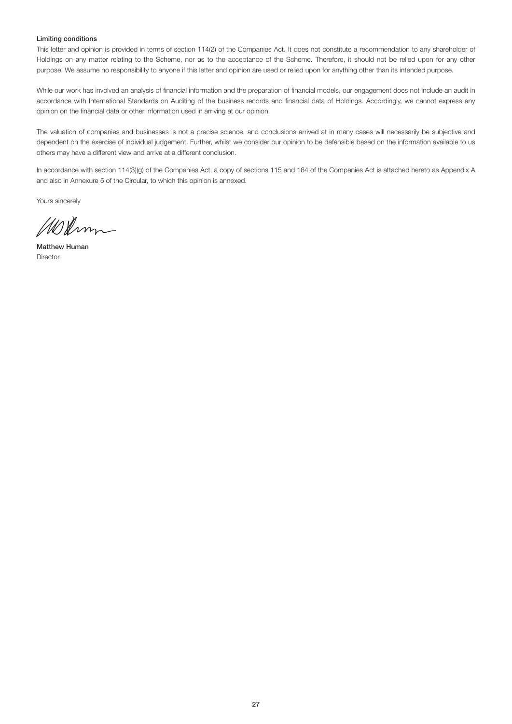# Limiting conditions

This letter and opinion is provided in terms of section 114(2) of the Companies Act. It does not constitute a recommendation to any shareholder of Holdings on any matter relating to the Scheme, nor as to the acceptance of the Scheme. Therefore, it should not be relied upon for any other purpose. We assume no responsibility to anyone if this letter and opinion are used or relied upon for anything other than its intended purpose.

While our work has involved an analysis of financial information and the preparation of financial models, our engagement does not include an audit in accordance with International Standards on Auditing of the business records and financial data of Holdings. Accordingly, we cannot express any opinion on the financial data or other information used in arriving at our opinion.

The valuation of companies and businesses is not a precise science, and conclusions arrived at in many cases will necessarily be subjective and dependent on the exercise of individual judgement. Further, whilst we consider our opinion to be defensible based on the information available to us others may have a different view and arrive at a different conclusion.

In accordance with section 114(3)(g) of the Companies Act, a copy of sections 115 and 164 of the Companies Act is attached hereto as Appendix A and also in Annexure 5 of the Circular, to which this opinion is annexed.

Yours sincerely

Wedmm

Matthew Human Director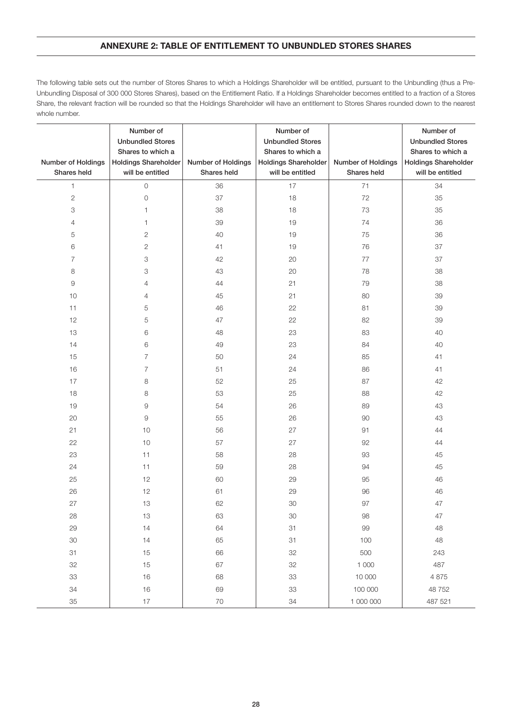# ANNEXURE 2: TABLE OF ENTITLEMENT TO UNBUNDLED STORES SHARES

The following table sets out the number of Stores Shares to which a Holdings Shareholder will be entitled, pursuant to the Unbundling (thus a Pre-Unbundling Disposal of 300 000 Stores Shares), based on the Entitlement Ratio. If a Holdings Shareholder becomes entitled to a fraction of a Stores Share, the relevant fraction will be rounded so that the Holdings Shareholder will have an entitlement to Stores Shares rounded down to the nearest whole number.

| Number of Holdings | Number of<br><b>Unbundled Stores</b><br>Shares to which a<br><b>Holdings Shareholder</b> | Number of Holdings | Number of<br><b>Unbundled Stores</b><br>Shares to which a<br><b>Holdings Shareholder</b> | Number of Holdings | Number of<br><b>Unbundled Stores</b><br>Shares to which a<br><b>Holdings Shareholder</b> |
|--------------------|------------------------------------------------------------------------------------------|--------------------|------------------------------------------------------------------------------------------|--------------------|------------------------------------------------------------------------------------------|
| Shares held        | will be entitled                                                                         | Shares held        | will be entitled                                                                         | Shares held        | will be entitled                                                                         |
| $\mathbf{1}$       | $\hbox{O}$                                                                               | 36                 | 17                                                                                       | 71                 | 34                                                                                       |
| $\sqrt{2}$         | $\mathbf 0$                                                                              | 37                 | 18                                                                                       | 72                 | 35                                                                                       |
| 3                  | 1                                                                                        | 38                 | 18                                                                                       | 73                 | 35                                                                                       |
| 4                  | 1                                                                                        | 39                 | 19                                                                                       | 74                 | 36                                                                                       |
| 5                  | $\mathbf{2}$                                                                             | 40                 | 19                                                                                       | 75                 | 36                                                                                       |
| 6                  | $\sqrt{2}$                                                                               | 41                 | 19                                                                                       | 76                 | 37                                                                                       |
| 7                  | 3                                                                                        | 42                 | 20                                                                                       | 77                 | 37                                                                                       |
| 8                  | 3                                                                                        | 43                 | 20                                                                                       | 78                 | 38                                                                                       |
| $\hbox{9}$         | $\overline{4}$                                                                           | 44                 | 21                                                                                       | 79                 | 38                                                                                       |
| 10                 | $\overline{4}$                                                                           | 45                 | 21                                                                                       | 80                 | 39                                                                                       |
| 11                 | 5                                                                                        | 46                 | 22                                                                                       | 81                 | 39                                                                                       |
| 12                 | 5                                                                                        | 47                 | 22                                                                                       | 82                 | 39                                                                                       |
| 13                 | 6                                                                                        | 48                 | 23                                                                                       | 83                 | 40                                                                                       |
| 14                 | 6                                                                                        | 49                 | 23                                                                                       | 84                 | 40                                                                                       |
| 15                 | 7                                                                                        | 50                 | 24                                                                                       | 85                 | 41                                                                                       |
| 16                 | $\overline{7}$                                                                           | 51                 | 24                                                                                       | 86                 | 41                                                                                       |
| 17                 | 8                                                                                        | 52                 | 25                                                                                       | 87                 | 42                                                                                       |
| 18                 | 8                                                                                        | 53                 | 25                                                                                       | 88                 | 42                                                                                       |
| 19                 | 9                                                                                        | 54                 | 26                                                                                       | 89                 | 43                                                                                       |
| 20                 | 9                                                                                        | 55                 | 26                                                                                       | 90                 | 43                                                                                       |
| 21                 | 10                                                                                       | 56                 | 27                                                                                       | 91                 | 44                                                                                       |
| 22                 | $10$                                                                                     | 57                 | 27                                                                                       | 92                 | 44                                                                                       |
| 23                 | 11                                                                                       | 58                 | 28                                                                                       | 93                 | 45                                                                                       |
| 24                 | 11                                                                                       | 59                 | 28                                                                                       | 94                 | 45                                                                                       |
| 25                 | 12                                                                                       | 60                 | 29                                                                                       | 95                 | 46                                                                                       |
| 26                 | 12                                                                                       | 61                 | 29                                                                                       | 96                 | 46                                                                                       |
| 27                 | 13                                                                                       | 62                 | 30                                                                                       | 97                 | 47                                                                                       |
| 28                 | 13                                                                                       | 63                 | $30\,$                                                                                   | 98                 | 47                                                                                       |
| 29                 | 14                                                                                       | 64                 | 31                                                                                       | 99                 | 48                                                                                       |
| 30                 | 14                                                                                       | 65                 | 31                                                                                       | 100                | 48                                                                                       |
| 31                 | 15                                                                                       | 66                 | 32                                                                                       | 500                | 243                                                                                      |
| 32                 | 15                                                                                       | 67                 | 32                                                                                       | 1 0 0 0            | 487                                                                                      |
| 33                 | 16                                                                                       | 68                 | 33                                                                                       | 10 000             | 4 8 7 5                                                                                  |
| 34                 | 16                                                                                       | 69                 | 33                                                                                       | 100 000            | 48752                                                                                    |
| 35                 | $17$                                                                                     | 70                 | 34                                                                                       | 1 000 000          | 487 521                                                                                  |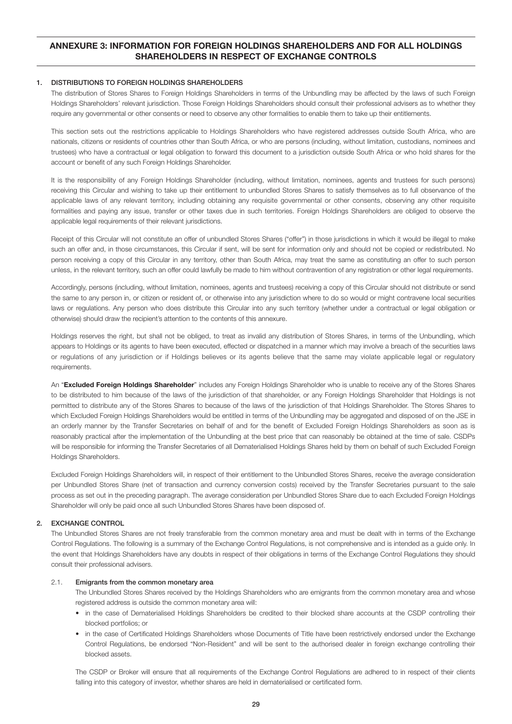# ANNEXURE 3: INFORMATION FOR FOREIGN HOLDINGS SHAREHOLDERS AND FOR ALL HOLDINGS SHAREHOLDERS IN RESPECT OF EXCHANGE CONTROLS

# 1. DISTRIBUTIONS TO FOREIGN HOLDINGS SHAREHOLDERS

 The distribution of Stores Shares to Foreign Holdings Shareholders in terms of the Unbundling may be affected by the laws of such Foreign Holdings Shareholders' relevant jurisdiction. Those Foreign Holdings Shareholders should consult their professional advisers as to whether they require any governmental or other consents or need to observe any other formalities to enable them to take up their entitlements.

 This section sets out the restrictions applicable to Holdings Shareholders who have registered addresses outside South Africa, who are nationals, citizens or residents of countries other than South Africa, or who are persons (including, without limitation, custodians, nominees and trustees) who have a contractual or legal obligation to forward this document to a jurisdiction outside South Africa or who hold shares for the account or benefit of any such Foreign Holdings Shareholder.

 It is the responsibility of any Foreign Holdings Shareholder (including, without limitation, nominees, agents and trustees for such persons) receiving this Circular and wishing to take up their entitlement to unbundled Stores Shares to satisfy themselves as to full observance of the applicable laws of any relevant territory, including obtaining any requisite governmental or other consents, observing any other requisite formalities and paying any issue, transfer or other taxes due in such territories. Foreign Holdings Shareholders are obliged to observe the applicable legal requirements of their relevant jurisdictions.

 Receipt of this Circular will not constitute an offer of unbundled Stores Shares ("offer") in those jurisdictions in which it would be illegal to make such an offer and, in those circumstances, this Circular if sent, will be sent for information only and should not be copied or redistributed. No person receiving a copy of this Circular in any territory, other than South Africa, may treat the same as constituting an offer to such person unless, in the relevant territory, such an offer could lawfully be made to him without contravention of any registration or other legal requirements.

 Accordingly, persons (including, without limitation, nominees, agents and trustees) receiving a copy of this Circular should not distribute or send the same to any person in, or citizen or resident of, or otherwise into any jurisdiction where to do so would or might contravene local securities laws or regulations. Any person who does distribute this Circular into any such territory (whether under a contractual or legal obligation or otherwise) should draw the recipient's attention to the contents of this annexure.

 Holdings reserves the right, but shall not be obliged, to treat as invalid any distribution of Stores Shares, in terms of the Unbundling, which appears to Holdings or its agents to have been executed, effected or dispatched in a manner which may involve a breach of the securities laws or regulations of any jurisdiction or if Holdings believes or its agents believe that the same may violate applicable legal or regulatory requirements.

An "Excluded Foreign Holdings Shareholder" includes any Foreign Holdings Shareholder who is unable to receive any of the Stores Shares to be distributed to him because of the laws of the jurisdiction of that shareholder, or any Foreign Holdings Shareholder that Holdings is not permitted to distribute any of the Stores Shares to because of the laws of the jurisdiction of that Holdings Shareholder. The Stores Shares to which Excluded Foreign Holdings Shareholders would be entitled in terms of the Unbundling may be aggregated and disposed of on the JSE in an orderly manner by the Transfer Secretaries on behalf of and for the benefit of Excluded Foreign Holdings Shareholders as soon as is reasonably practical after the implementation of the Unbundling at the best price that can reasonably be obtained at the time of sale. CSDPs will be responsible for informing the Transfer Secretaries of all Dematerialised Holdings Shares held by them on behalf of such Excluded Foreign Holdings Shareholders.

 Excluded Foreign Holdings Shareholders will, in respect of their entitlement to the Unbundled Stores Shares, receive the average consideration per Unbundled Stores Share (net of transaction and currency conversion costs) received by the Transfer Secretaries pursuant to the sale process as set out in the preceding paragraph. The average consideration per Unbundled Stores Share due to each Excluded Foreign Holdings Shareholder will only be paid once all such Unbundled Stores Shares have been disposed of.

# 2. EXCHANGE CONTROL

 The Unbundled Stores Shares are not freely transferable from the common monetary area and must be dealt with in terms of the Exchange Control Regulations. The following is a summary of the Exchange Control Regulations, is not comprehensive and is intended as a guide only. In the event that Holdings Shareholders have any doubts in respect of their obligations in terms of the Exchange Control Regulations they should consult their professional advisers.

# 2.1. Emigrants from the common monetary area

 The Unbundled Stores Shares received by the Holdings Shareholders who are emigrants from the common monetary area and whose registered address is outside the common monetary area will:

- in the case of Dematerialised Holdings Shareholders be credited to their blocked share accounts at the CSDP controlling their blocked portfolios; or
- in the case of Certificated Holdings Shareholders whose Documents of Title have been restrictively endorsed under the Exchange Control Regulations, be endorsed "Non-Resident" and will be sent to the authorised dealer in foreign exchange controlling their blocked assets.

 The CSDP or Broker will ensure that all requirements of the Exchange Control Regulations are adhered to in respect of their clients falling into this category of investor, whether shares are held in dematerialised or certificated form.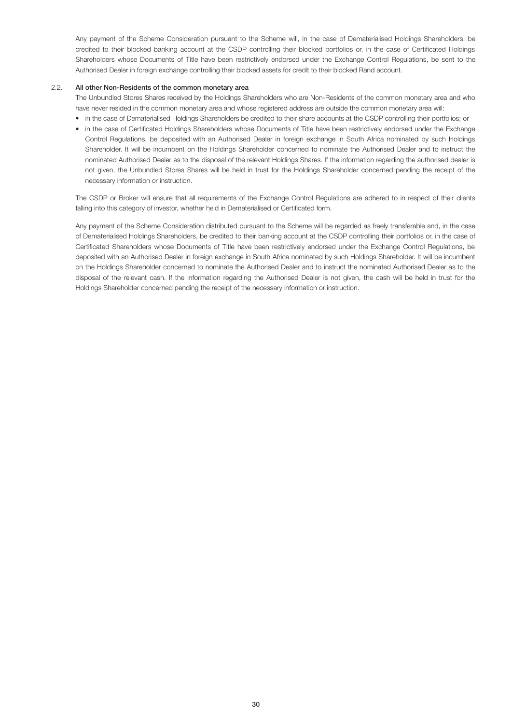Any payment of the Scheme Consideration pursuant to the Scheme will, in the case of Dematerialised Holdings Shareholders, be credited to their blocked banking account at the CSDP controlling their blocked portfolios or, in the case of Certificated Holdings Shareholders whose Documents of Title have been restrictively endorsed under the Exchange Control Regulations, be sent to the Authorised Dealer in foreign exchange controlling their blocked assets for credit to their blocked Rand account.

# 2.2. All other Non-Residents of the common monetary area

 The Unbundled Stores Shares received by the Holdings Shareholders who are Non-Residents of the common monetary area and who have never resided in the common monetary area and whose registered address are outside the common monetary area will:

- in the case of Dematerialised Holdings Shareholders be credited to their share accounts at the CSDP controlling their portfolios; or
- in the case of Certificated Holdings Shareholders whose Documents of Title have been restrictively endorsed under the Exchange Control Regulations, be deposited with an Authorised Dealer in foreign exchange in South Africa nominated by such Holdings Shareholder. It will be incumbent on the Holdings Shareholder concerned to nominate the Authorised Dealer and to instruct the nominated Authorised Dealer as to the disposal of the relevant Holdings Shares. If the information regarding the authorised dealer is not given, the Unbundled Stores Shares will be held in trust for the Holdings Shareholder concerned pending the receipt of the necessary information or instruction.

 The CSDP or Broker will ensure that all requirements of the Exchange Control Regulations are adhered to in respect of their clients falling into this category of investor, whether held in Dematerialised or Certificated form.

 Any payment of the Scheme Consideration distributed pursuant to the Scheme will be regarded as freely transferable and, in the case of Dematerialised Holdings Shareholders, be credited to their banking account at the CSDP controlling their portfolios or, in the case of Certificated Shareholders whose Documents of Title have been restrictively endorsed under the Exchange Control Regulations, be deposited with an Authorised Dealer in foreign exchange in South Africa nominated by such Holdings Shareholder. It will be incumbent on the Holdings Shareholder concerned to nominate the Authorised Dealer and to instruct the nominated Authorised Dealer as to the disposal of the relevant cash. If the information regarding the Authorised Dealer is not given, the cash will be held in trust for the Holdings Shareholder concerned pending the receipt of the necessary information or instruction.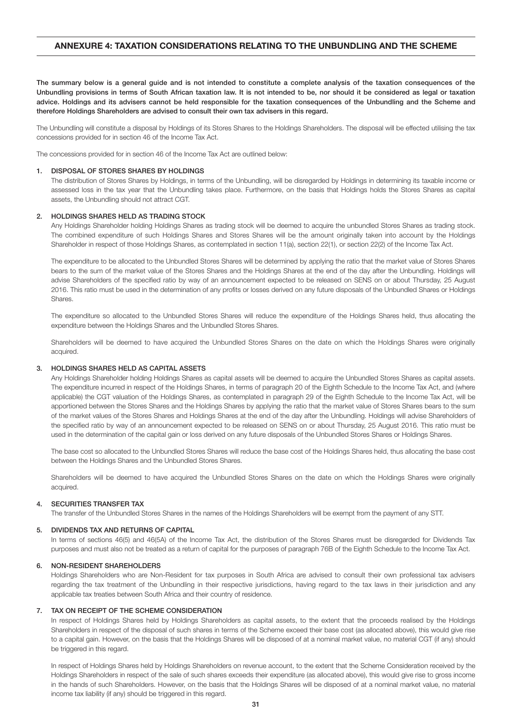# ANNEXURE 4: TAXATION CONSIDERATIONS RELATING TO THE UNBUNDLING AND THE SCHEME

The summary below is a general guide and is not intended to constitute a complete analysis of the taxation consequences of the Unbundling provisions in terms of South African taxation law. It is not intended to be, nor should it be considered as legal or taxation advice. Holdings and its advisers cannot be held responsible for the taxation consequences of the Unbundling and the Scheme and therefore Holdings Shareholders are advised to consult their own tax advisers in this regard.

The Unbundling will constitute a disposal by Holdings of its Stores Shares to the Holdings Shareholders. The disposal will be effected utilising the tax concessions provided for in section 46 of the Income Tax Act.

The concessions provided for in section 46 of the Income Tax Act are outlined below:

#### 1. DISPOSAL OF STORES SHARES BY HOLDINGS

 The distribution of Stores Shares by Holdings, in terms of the Unbundling, will be disregarded by Holdings in determining its taxable income or assessed loss in the tax year that the Unbundling takes place. Furthermore, on the basis that Holdings holds the Stores Shares as capital assets, the Unbundling should not attract CGT.

#### 2. HOLDINGS SHARES HELD AS TRADING STOCK

 Any Holdings Shareholder holding Holdings Shares as trading stock will be deemed to acquire the unbundled Stores Shares as trading stock. The combined expenditure of such Holdings Shares and Stores Shares will be the amount originally taken into account by the Holdings Shareholder in respect of those Holdings Shares, as contemplated in section 11(a), section 22(1), or section 22(2) of the Income Tax Act.

 The expenditure to be allocated to the Unbundled Stores Shares will be determined by applying the ratio that the market value of Stores Shares bears to the sum of the market value of the Stores Shares and the Holdings Shares at the end of the day after the Unbundling. Holdings will advise Shareholders of the specified ratio by way of an announcement expected to be released on SENS on or about Thursday, 25 August 2016. This ratio must be used in the determination of any profits or losses derived on any future disposals of the Unbundled Shares or Holdings Shares.

 The expenditure so allocated to the Unbundled Stores Shares will reduce the expenditure of the Holdings Shares held, thus allocating the expenditure between the Holdings Shares and the Unbundled Stores Shares.

 Shareholders will be deemed to have acquired the Unbundled Stores Shares on the date on which the Holdings Shares were originally acquired.

### 3. HOLDINGS SHARES HELD AS CAPITAL ASSETS

 Any Holdings Shareholder holding Holdings Shares as capital assets will be deemed to acquire the Unbundled Stores Shares as capital assets. The expenditure incurred in respect of the Holdings Shares, in terms of paragraph 20 of the Eighth Schedule to the Income Tax Act, and (where applicable) the CGT valuation of the Holdings Shares, as contemplated in paragraph 29 of the Eighth Schedule to the Income Tax Act, will be apportioned between the Stores Shares and the Holdings Shares by applying the ratio that the market value of Stores Shares bears to the sum of the market values of the Stores Shares and Holdings Shares at the end of the day after the Unbundling. Holdings will advise Shareholders of the specified ratio by way of an announcement expected to be released on SENS on or about Thursday, 25 August 2016. This ratio must be used in the determination of the capital gain or loss derived on any future disposals of the Unbundled Stores Shares or Holdings Shares.

 The base cost so allocated to the Unbundled Stores Shares will reduce the base cost of the Holdings Shares held, thus allocating the base cost between the Holdings Shares and the Unbundled Stores Shares.

 Shareholders will be deemed to have acquired the Unbundled Stores Shares on the date on which the Holdings Shares were originally acquired.

# 4. SECURITIES TRANSFER TAX

The transfer of the Unbundled Stores Shares in the names of the Holdings Shareholders will be exempt from the payment of any STT.

### 5. DIVIDENDS TAX AND RETURNS OF CAPITAL

 In terms of sections 46(5) and 46(5A) of the Income Tax Act, the distribution of the Stores Shares must be disregarded for Dividends Tax purposes and must also not be treated as a return of capital for the purposes of paragraph 76B of the Eighth Schedule to the Income Tax Act.

### 6. NON-RESIDENT SHAREHOLDERS

 Holdings Shareholders who are Non-Resident for tax purposes in South Africa are advised to consult their own professional tax advisers regarding the tax treatment of the Unbundling in their respective jurisdictions, having regard to the tax laws in their jurisdiction and any applicable tax treaties between South Africa and their country of residence.

### 7. TAX ON RECEIPT OF THE SCHEME CONSIDERATION

 In respect of Holdings Shares held by Holdings Shareholders as capital assets, to the extent that the proceeds realised by the Holdings Shareholders in respect of the disposal of such shares in terms of the Scheme exceed their base cost (as allocated above), this would give rise to a capital gain. However, on the basis that the Holdings Shares will be disposed of at a nominal market value, no material CGT (if any) should be triggered in this regard.

 In respect of Holdings Shares held by Holdings Shareholders on revenue account, to the extent that the Scheme Consideration received by the Holdings Shareholders in respect of the sale of such shares exceeds their expenditure (as allocated above), this would give rise to gross income in the hands of such Shareholders. However, on the basis that the Holdings Shares will be disposed of at a nominal market value, no material income tax liability (if any) should be triggered in this regard.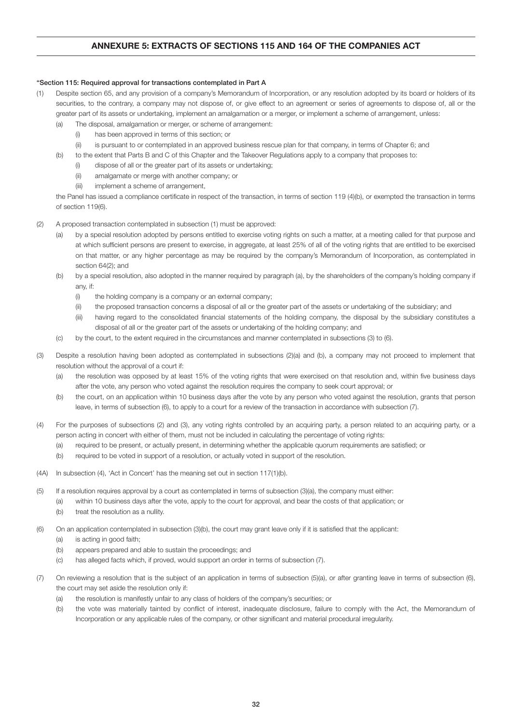# ANNEXURE 5: EXTRACTS OF SECTIONS 115 AND 164 OF THE COMPANIES ACT

# "Section 115: Required approval for transactions contemplated in Part A

- (1) Despite section 65, and any provision of a company's Memorandum of Incorporation, or any resolution adopted by its board or holders of its securities, to the contrary, a company may not dispose of, or give effect to an agreement or series of agreements to dispose of, all or the greater part of its assets or undertaking, implement an amalgamation or a merger, or implement a scheme of arrangement, unless:
	- (a) The disposal, amalgamation or merger, or scheme of arrangement:
		- (i) has been approved in terms of this section; or
		- (ii) is pursuant to or contemplated in an approved business rescue plan for that company, in terms of Chapter 6; and
	- (b) to the extent that Parts B and C of this Chapter and the Takeover Regulations apply to a company that proposes to:
		- (i) dispose of all or the greater part of its assets or undertaking;
		- (ii) amalgamate or merge with another company; or
		- (iii) implement a scheme of arrangement,

 the Panel has issued a compliance certificate in respect of the transaction, in terms of section 119 (4)(b), or exempted the transaction in terms of section 119(6).

- (2) A proposed transaction contemplated in subsection (1) must be approved:
	- (a) by a special resolution adopted by persons entitled to exercise voting rights on such a matter, at a meeting called for that purpose and at which sufficient persons are present to exercise, in aggregate, at least 25% of all of the voting rights that are entitled to be exercised on that matter, or any higher percentage as may be required by the company's Memorandum of Incorporation, as contemplated in section 64(2); and
	- (b) by a special resolution, also adopted in the manner required by paragraph (a), by the shareholders of the company's holding company if any, if:
		- (i) the holding company is a company or an external company;
		- (ii) the proposed transaction concerns a disposal of all or the greater part of the assets or undertaking of the subsidiary; and
		- (iii) having regard to the consolidated financial statements of the holding company, the disposal by the subsidiary constitutes a disposal of all or the greater part of the assets or undertaking of the holding company; and
	- (c) by the court, to the extent required in the circumstances and manner contemplated in subsections (3) to (6).
- (3) Despite a resolution having been adopted as contemplated in subsections (2)(a) and (b), a company may not proceed to implement that resolution without the approval of a court if:
	- (a) the resolution was opposed by at least 15% of the voting rights that were exercised on that resolution and, within five business days after the vote, any person who voted against the resolution requires the company to seek court approval; or
	- (b) the court, on an application within 10 business days after the vote by any person who voted against the resolution, grants that person leave, in terms of subsection (6), to apply to a court for a review of the transaction in accordance with subsection (7).
- (4) For the purposes of subsections (2) and (3), any voting rights controlled by an acquiring party, a person related to an acquiring party, or a person acting in concert with either of them, must not be included in calculating the percentage of voting rights:
	- (a) required to be present, or actually present, in determining whether the applicable quorum requirements are satisfied; or
	- (b) required to be voted in support of a resolution, or actually voted in support of the resolution.
- (4A) In subsection (4), 'Act in Concert' has the meaning set out in section 117(1)(b).
- (5) If a resolution requires approval by a court as contemplated in terms of subsection (3)(a), the company must either:
	- (a) within 10 business days after the vote, apply to the court for approval, and bear the costs of that application; or
	- (b) treat the resolution as a nullity.
- (6) On an application contemplated in subsection (3)(b), the court may grant leave only if it is satisfied that the applicant:
	- (a) is acting in good faith;
	- (b) appears prepared and able to sustain the proceedings; and
	- (c) has alleged facts which, if proved, would support an order in terms of subsection (7).
- (7) On reviewing a resolution that is the subject of an application in terms of subsection (5)(a), or after granting leave in terms of subsection (6), the court may set aside the resolution only if:
	- (a) the resolution is manifestly unfair to any class of holders of the company's securities; or
	- (b) the vote was materially tainted by conflict of interest, inadequate disclosure, failure to comply with the Act, the Memorandum of Incorporation or any applicable rules of the company, or other significant and material procedural irregularity.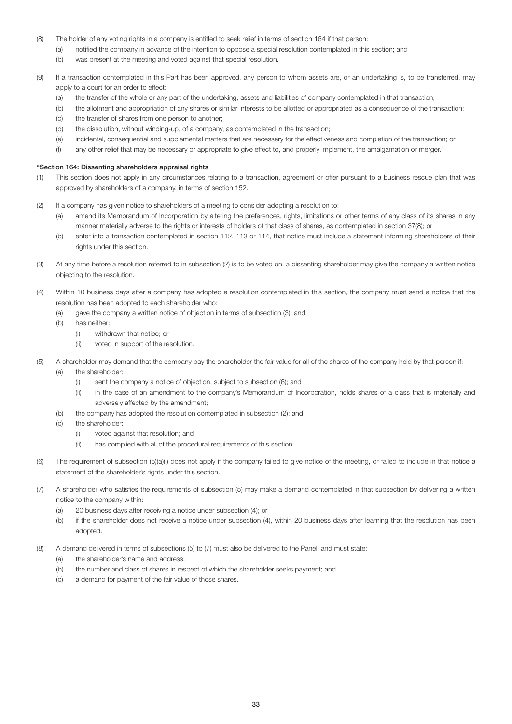- (8) The holder of any voting rights in a company is entitled to seek relief in terms of section 164 if that person:
	- (a) notified the company in advance of the intention to oppose a special resolution contemplated in this section; and
	- (b) was present at the meeting and voted against that special resolution.
- (9) If a transaction contemplated in this Part has been approved, any person to whom assets are, or an undertaking is, to be transferred, may apply to a court for an order to effect:
	- (a) the transfer of the whole or any part of the undertaking, assets and liabilities of company contemplated in that transaction;
	- (b) the allotment and appropriation of any shares or similar interests to be allotted or appropriated as a consequence of the transaction;
	- (c) the transfer of shares from one person to another;
	- (d) the dissolution, without winding-up, of a company, as contemplated in the transaction;
	- (e) incidental, consequential and supplemental matters that are necessary for the effectiveness and completion of the transaction; or
	- (f) any other relief that may be necessary or appropriate to give effect to, and properly implement, the amalgamation or merger."

# "Section 164: Dissenting shareholders appraisal rights

- (1) This section does not apply in any circumstances relating to a transaction, agreement or offer pursuant to a business rescue plan that was approved by shareholders of a company, in terms of section 152.
- (2) If a company has given notice to shareholders of a meeting to consider adopting a resolution to:
	- (a) amend its Memorandum of Incorporation by altering the preferences, rights, limitations or other terms of any class of its shares in any manner materially adverse to the rights or interests of holders of that class of shares, as contemplated in section 37(8); or
	- (b) enter into a transaction contemplated in section 112, 113 or 114, that notice must include a statement informing shareholders of their rights under this section.
- (3) At any time before a resolution referred to in subsection (2) is to be voted on, a dissenting shareholder may give the company a written notice objecting to the resolution.
- (4) Within 10 business days after a company has adopted a resolution contemplated in this section, the company must send a notice that the resolution has been adopted to each shareholder who:
	- (a) gave the company a written notice of objection in terms of subsection (3); and
	- (b) has neither:
		- (i) withdrawn that notice; or
		- (ii) voted in support of the resolution.
- (5) A shareholder may demand that the company pay the shareholder the fair value for all of the shares of the company held by that person if: (a) the shareholder:
	- (i) sent the company a notice of objection, subject to subsection (6); and
	- (ii) in the case of an amendment to the company's Memorandum of Incorporation, holds shares of a class that is materially and adversely affected by the amendment;
	- (b) the company has adopted the resolution contemplated in subsection (2); and
	- (c) the shareholder:
		- (i) voted against that resolution; and
		- (ii) has complied with all of the procedural requirements of this section.
- (6) The requirement of subsection (5)(a)(i) does not apply if the company failed to give notice of the meeting, or failed to include in that notice a statement of the shareholder's rights under this section.
- (7) A shareholder who satisfies the requirements of subsection (5) may make a demand contemplated in that subsection by delivering a written notice to the company within:
	- (a) 20 business days after receiving a notice under subsection (4); or
	- (b) if the shareholder does not receive a notice under subsection (4), within 20 business days after learning that the resolution has been adopted.
- (8) A demand delivered in terms of subsections (5) to (7) must also be delivered to the Panel, and must state:
	- (a) the shareholder's name and address;
	- (b) the number and class of shares in respect of which the shareholder seeks payment; and
	- (c) a demand for payment of the fair value of those shares.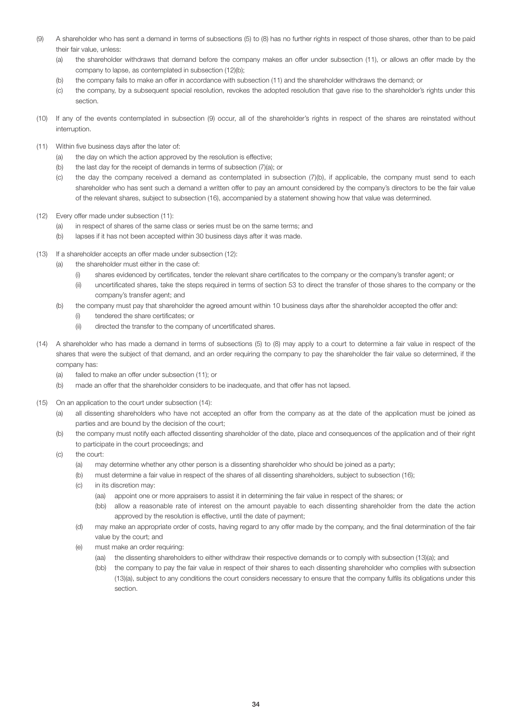- (9) A shareholder who has sent a demand in terms of subsections (5) to (8) has no further rights in respect of those shares, other than to be paid their fair value, unless:
	- (a) the shareholder withdraws that demand before the company makes an offer under subsection (11), or allows an offer made by the company to lapse, as contemplated in subsection (12)(b);
	- (b) the company fails to make an offer in accordance with subsection (11) and the shareholder withdraws the demand; or
	- (c) the company, by a subsequent special resolution, revokes the adopted resolution that gave rise to the shareholder's rights under this section.
- (10) If any of the events contemplated in subsection (9) occur, all of the shareholder's rights in respect of the shares are reinstated without interruption.
- (11) Within five business days after the later of:
	- (a) the day on which the action approved by the resolution is effective;
	- (b) the last day for the receipt of demands in terms of subsection (7)(a); or
	- (c) the day the company received a demand as contemplated in subsection (7)(b), if applicable, the company must send to each shareholder who has sent such a demand a written offer to pay an amount considered by the company's directors to be the fair value of the relevant shares, subject to subsection (16), accompanied by a statement showing how that value was determined.
- (12) Every offer made under subsection (11):
	- (a) in respect of shares of the same class or series must be on the same terms; and
	- (b) lapses if it has not been accepted within 30 business days after it was made.
- (13) If a shareholder accepts an offer made under subsection (12):
	- (a) the shareholder must either in the case of:
		- (i) shares evidenced by certificates, tender the relevant share certificates to the company or the company's transfer agent; or
		- (ii) uncertificated shares, take the steps required in terms of section 53 to direct the transfer of those shares to the company or the company's transfer agent; and
	- (b) the company must pay that shareholder the agreed amount within 10 business days after the shareholder accepted the offer and:
		- (i) tendered the share certificates; or
		- (ii) directed the transfer to the company of uncertificated shares.
- (14) A shareholder who has made a demand in terms of subsections (5) to (8) may apply to a court to determine a fair value in respect of the shares that were the subject of that demand, and an order requiring the company to pay the shareholder the fair value so determined, if the company has:
	- (a) failed to make an offer under subsection (11); or
	- (b) made an offer that the shareholder considers to be inadequate, and that offer has not lapsed.
- (15) On an application to the court under subsection (14):
	- (a) all dissenting shareholders who have not accepted an offer from the company as at the date of the application must be joined as parties and are bound by the decision of the court;
	- (b) the company must notify each affected dissenting shareholder of the date, place and consequences of the application and of their right to participate in the court proceedings; and
	- (c) the court:
		- (a) may determine whether any other person is a dissenting shareholder who should be joined as a party;
		- (b) must determine a fair value in respect of the shares of all dissenting shareholders, subject to subsection (16);
		- (c) in its discretion may:
			- (aa) appoint one or more appraisers to assist it in determining the fair value in respect of the shares; or
			- (bb) allow a reasonable rate of interest on the amount payable to each dissenting shareholder from the date the action approved by the resolution is effective, until the date of payment;
		- (d) may make an appropriate order of costs, having regard to any offer made by the company, and the final determination of the fair value by the court; and
		- (e) must make an order requiring:
			- (aa) the dissenting shareholders to either withdraw their respective demands or to comply with subsection (13)(a); and
			- (bb) the company to pay the fair value in respect of their shares to each dissenting shareholder who complies with subsection (13)(a), subject to any conditions the court considers necessary to ensure that the company fulfils its obligations under this section.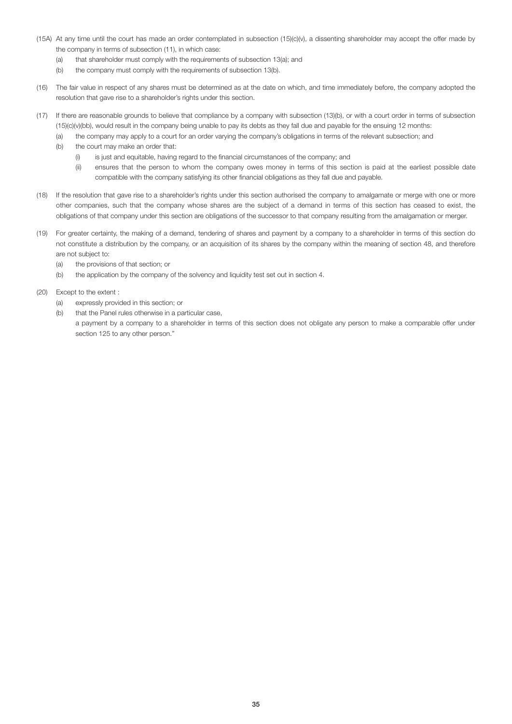- (15A) At any time until the court has made an order contemplated in subsection (15)(c)(v), a dissenting shareholder may accept the offer made by the company in terms of subsection (11), in which case:
	- (a) that shareholder must comply with the requirements of subsection 13(a); and
	- (b) the company must comply with the requirements of subsection 13(b).
- (16) The fair value in respect of any shares must be determined as at the date on which, and time immediately before, the company adopted the resolution that gave rise to a shareholder's rights under this section.
- (17) If there are reasonable grounds to believe that compliance by a company with subsection (13)(b), or with a court order in terms of subsection (15)(c)(v)(bb), would result in the company being unable to pay its debts as they fall due and payable for the ensuing 12 months:
	- (a) the company may apply to a court for an order varying the company's obligations in terms of the relevant subsection; and
	- (b) the court may make an order that:
		- (i) is just and equitable, having regard to the financial circumstances of the company; and
		- (ii) ensures that the person to whom the company owes money in terms of this section is paid at the earliest possible date compatible with the company satisfying its other financial obligations as they fall due and payable.
- (18) If the resolution that gave rise to a shareholder's rights under this section authorised the company to amalgamate or merge with one or more other companies, such that the company whose shares are the subject of a demand in terms of this section has ceased to exist, the obligations of that company under this section are obligations of the successor to that company resulting from the amalgamation or merger.
- (19) For greater certainty, the making of a demand, tendering of shares and payment by a company to a shareholder in terms of this section do not constitute a distribution by the company, or an acquisition of its shares by the company within the meaning of section 48, and therefore are not subject to:
	- (a) the provisions of that section; or
	- (b) the application by the company of the solvency and liquidity test set out in section 4.
- (20) Except to the extent :
	- (a) expressly provided in this section; or
	- (b) that the Panel rules otherwise in a particular case,

 a payment by a company to a shareholder in terms of this section does not obligate any person to make a comparable offer under section 125 to any other person."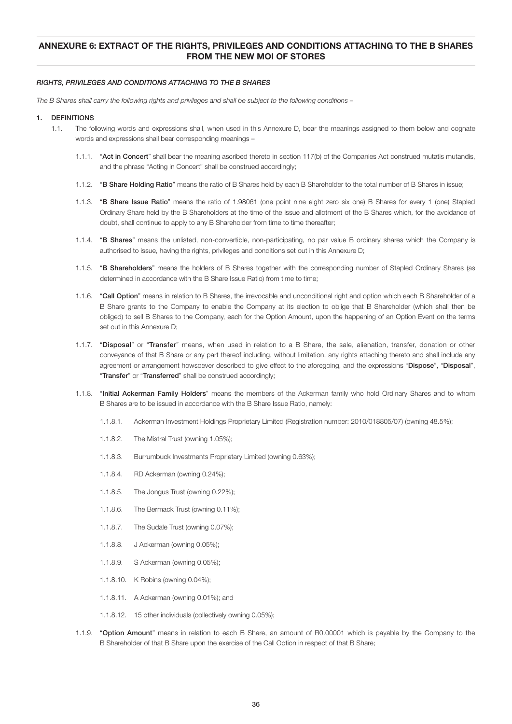# ANNEXURE 6: EXTRACT OF THE RIGHTS, PRIVILEGES AND CONDITIONS ATTACHING TO THE B SHARES FROM THE NEW MOI OF STORES

### *RIGHTS, PRIVILEGES AND CONDITIONS ATTACHING TO THE B SHARES*

*The B Shares shall carry the following rights and privileges and shall be subject to the following conditions –*

#### 1. DEFINITIONS

- 1.1. The following words and expressions shall, when used in this Annexure D, bear the meanings assigned to them below and cognate words and expressions shall bear corresponding meanings –
	- 1.1.1. "Act in Concert" shall bear the meaning ascribed thereto in section 117(b) of the Companies Act construed mutatis mutandis, and the phrase "Acting in Concert" shall be construed accordingly;
	- 1.1.2. "B Share Holding Ratio" means the ratio of B Shares held by each B Shareholder to the total number of B Shares in issue;
	- 1.1.3. "B Share Issue Ratio" means the ratio of 1.98061 (one point nine eight zero six one) B Shares for every 1 (one) Stapled Ordinary Share held by the B Shareholders at the time of the issue and allotment of the B Shares which, for the avoidance of doubt, shall continue to apply to any B Shareholder from time to time thereafter;
	- 1.1.4. "B Shares" means the unlisted, non-convertible, non-participating, no par value B ordinary shares which the Company is authorised to issue, having the rights, privileges and conditions set out in this Annexure D;
	- 1.1.5. "B Shareholders" means the holders of B Shares together with the corresponding number of Stapled Ordinary Shares (as determined in accordance with the B Share Issue Ratio) from time to time;
	- 1.1.6. "Call Option" means in relation to B Shares, the irrevocable and unconditional right and option which each B Shareholder of a B Share grants to the Company to enable the Company at its election to oblige that B Shareholder (which shall then be obliged) to sell B Shares to the Company, each for the Option Amount, upon the happening of an Option Event on the terms set out in this Annexure D;
	- 1.1.7. "Disposal" or "Transfer" means, when used in relation to a B Share, the sale, alienation, transfer, donation or other conveyance of that B Share or any part thereof including, without limitation, any rights attaching thereto and shall include any agreement or arrangement howsoever described to give effect to the aforegoing, and the expressions "Dispose", "Disposal", "Transfer" or "Transferred" shall be construed accordingly;
	- 1.1.8. "Initial Ackerman Family Holders" means the members of the Ackerman family who hold Ordinary Shares and to whom B Shares are to be issued in accordance with the B Share Issue Ratio, namely:
		- 1.1.8.1. Ackerman Investment Holdings Proprietary Limited (Registration number: 2010/018805/07) (owning 48.5%);
		- 1.1.8.2. The Mistral Trust (owning 1.05%);
		- 1.1.8.3. Burrumbuck Investments Proprietary Limited (owning 0.63%);
		- 1.1.8.4. RD Ackerman (owning 0.24%);
		- 1.1.8.5. The Jongus Trust (owning 0.22%);
		- 1.1.8.6. The Bermack Trust (owning 0.11%);
		- 1.1.8.7. The Sudale Trust (owning 0.07%);
		- 1.1.8.8. J Ackerman (owning 0.05%);
		- 1.1.8.9. S Ackerman (owning 0.05%);
		- 1.1.8.10. K Robins (owning 0.04%);
		- 1.1.8.11. A Ackerman (owning 0.01%); and
		- 1.1.8.12. 15 other individuals (collectively owning 0.05%);
	- 1.1.9. "Option Amount" means in relation to each B Share, an amount of R0.00001 which is payable by the Company to the B Shareholder of that B Share upon the exercise of the Call Option in respect of that B Share;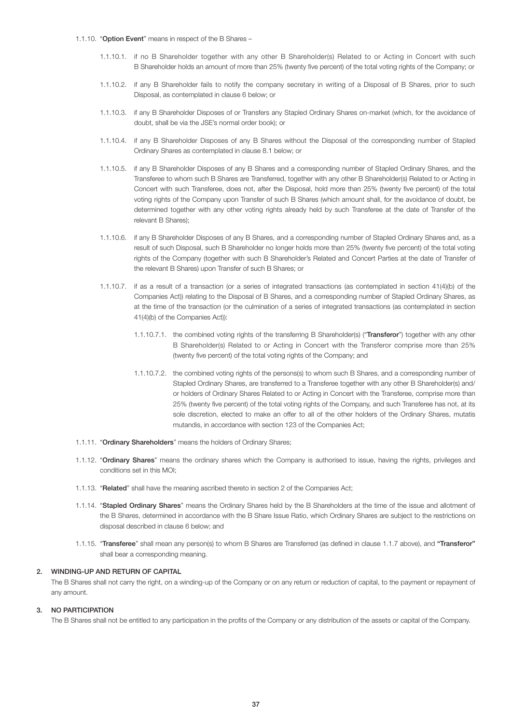- 1.1.10. "Option Event" means in respect of the B Shares -
	- 1.1.10.1. if no B Shareholder together with any other B Shareholder(s) Related to or Acting in Concert with such B Shareholder holds an amount of more than 25% (twenty five percent) of the total voting rights of the Company; or
	- 1.1.10.2. if any B Shareholder fails to notify the company secretary in writing of a Disposal of B Shares, prior to such Disposal, as contemplated in clause 6 below; or
	- 1.1.10.3. if any B Shareholder Disposes of or Transfers any Stapled Ordinary Shares on-market (which, for the avoidance of doubt, shall be via the JSE's normal order book); or
	- 1.1.10.4. if any B Shareholder Disposes of any B Shares without the Disposal of the corresponding number of Stapled Ordinary Shares as contemplated in clause 8.1 below; or
	- 1.1.10.5. if any B Shareholder Disposes of any B Shares and a corresponding number of Stapled Ordinary Shares, and the Transferee to whom such B Shares are Transferred, together with any other B Shareholder(s) Related to or Acting in Concert with such Transferee, does not, after the Disposal, hold more than 25% (twenty five percent) of the total voting rights of the Company upon Transfer of such B Shares (which amount shall, for the avoidance of doubt, be determined together with any other voting rights already held by such Transferee at the date of Transfer of the relevant B Shares);
	- 1.1.10.6. if any B Shareholder Disposes of any B Shares, and a corresponding number of Stapled Ordinary Shares and, as a result of such Disposal, such B Shareholder no longer holds more than 25% (twenty five percent) of the total voting rights of the Company (together with such B Shareholder's Related and Concert Parties at the date of Transfer of the relevant B Shares) upon Transfer of such B Shares; or
	- 1.1.10.7. if as a result of a transaction (or a series of integrated transactions (as contemplated in section 41(4)(b) of the Companies Act)) relating to the Disposal of B Shares, and a corresponding number of Stapled Ordinary Shares, as at the time of the transaction (or the culmination of a series of integrated transactions (as contemplated in section 41(4)(b) of the Companies Act)):
		- 1.1.10.7.1. the combined voting rights of the transferring B Shareholder(s) ("Transferor") together with any other B Shareholder(s) Related to or Acting in Concert with the Transferor comprise more than 25% (twenty five percent) of the total voting rights of the Company; and
		- 1.1.10.7.2. the combined voting rights of the persons(s) to whom such B Shares, and a corresponding number of Stapled Ordinary Shares, are transferred to a Transferee together with any other B Shareholder(s) and/ or holders of Ordinary Shares Related to or Acting in Concert with the Transferee, comprise more than 25% (twenty five percent) of the total voting rights of the Company, and such Transferee has not, at its sole discretion, elected to make an offer to all of the other holders of the Ordinary Shares, mutatis mutandis, in accordance with section 123 of the Companies Act;
- 1.1.11. "Ordinary Shareholders" means the holders of Ordinary Shares;
- 1.1.12. "Ordinary Shares" means the ordinary shares which the Company is authorised to issue, having the rights, privileges and conditions set in this MOI;
- 1.1.13. "Related" shall have the meaning ascribed thereto in section 2 of the Companies Act;
- 1.1.14. "Stapled Ordinary Shares" means the Ordinary Shares held by the B Shareholders at the time of the issue and allotment of the B Shares, determined in accordance with the B Share Issue Ratio, which Ordinary Shares are subject to the restrictions on disposal described in clause 6 below; and
- 1.1.15. "Transferee" shall mean any person(s) to whom B Shares are Transferred (as defined in clause 1.1.7 above), and "Transferor" shall bear a corresponding meaning.

# 2. WINDING-UP AND RETURN OF CAPITAL

 The B Shares shall not carry the right, on a winding-up of the Company or on any return or reduction of capital, to the payment or repayment of any amount.

#### 3. NO PARTICIPATION

The B Shares shall not be entitled to any participation in the profits of the Company or any distribution of the assets or capital of the Company.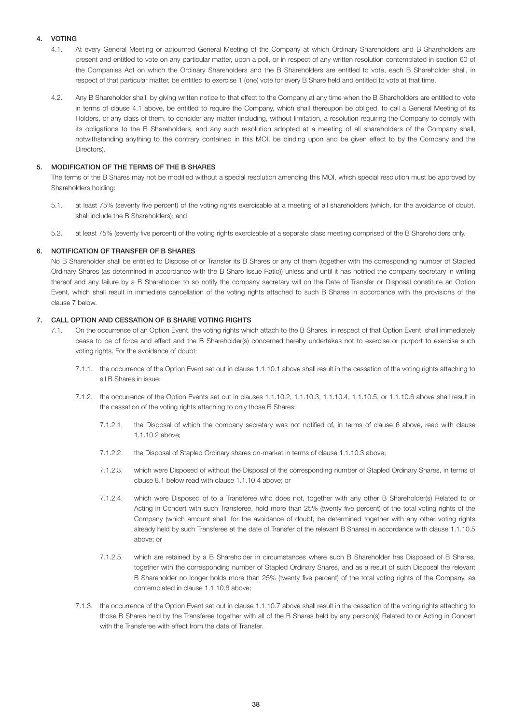# 4. VOTING

- 4.1. At every General Meeting or adjourned General Meeting of the Company at which Ordinary Shareholders and B Shareholders are present and entitled to vote on any particular matter, upon a poll, or in respect of any written resolution contemplated in section 60 of the Companies Act on which the Ordinary Shareholders and the B Shareholders are entitled to vote, each B Shareholder shall, in respect of that particular matter, be entitled to exercise 1 (one) vote for every B Share held and entitled to vote at that time.
- 4.2. Any B Shareholder shall, by giving written notice to that effect to the Company at any time when the B Shareholders are entitled to vote in terms of clause 4.1 above, be entitled to require the Company, which shall thereupon be obliged, to call a General Meeting of its Holders, or any class of them, to consider any matter (including, without limitation, a resolution requiring the Company to comply with its obligations to the B Shareholders, and any such resolution adopted at a meeting of all shareholders of the Company shall, notwithstanding anything to the contrary contained in this MOI, be binding upon and be given effect to by the Company and the Directors).

# 5. MODIFICATION OF THE TERMS OF THE B SHARES

 The terms of the B Shares may not be modified without a special resolution amending this MOI, which special resolution must be approved by Shareholders holding:

- 5.1. at least 75% (seventy five percent) of the voting rights exercisable at a meeting of all shareholders (which, for the avoidance of doubt, shall include the B Shareholders); and
- 5.2. at least 75% (seventy five percent) of the voting rights exercisable at a separate class meeting comprised of the B Shareholders only.

# 6. NOTIFICATION OF TRANSFER OF B SHARES

 No B Shareholder shall be entitled to Dispose of or Transfer its B Shares or any of them (together with the corresponding number of Stapled Ordinary Shares (as determined in accordance with the B Share Issue Ratio)) unless and until it has notified the company secretary in writing thereof and any failure by a B Shareholder to so notify the company secretary will on the Date of Transfer or Disposal constitute an Option Event, which shall result in immediate cancellation of the voting rights attached to such B Shares in accordance with the provisions of the clause 7 below.

# 7. CALL OPTION AND CESSATION OF B SHARE VOTING RIGHTS

- 7.1. On the occurrence of an Option Event, the voting rights which attach to the B Shares, in respect of that Option Event, shall immediately cease to be of force and effect and the B Shareholder(s) concerned hereby undertakes not to exercise or purport to exercise such voting rights. For the avoidance of doubt:
	- 7.1.1. the occurrence of the Option Event set out in clause 1.1.10.1 above shall result in the cessation of the voting rights attaching to all B Shares in issue;
	- 7.1.2. the occurrence of the Option Events set out in clauses 1.1.10.2, 1.1.10.3, 1.1.10.4, 1.1.10.5, or 1.1.10.6 above shall result in the cessation of the voting rights attaching to only those B Shares:
		- 7.1.2.1. the Disposal of which the company secretary was not notified of, in terms of clause 6 above, read with clause 1.1.10.2 above;
		- 7.1.2.2. the Disposal of Stapled Ordinary shares on-market in terms of clause 1.1.10.3 above;
		- 7.1.2.3. which were Disposed of without the Disposal of the corresponding number of Stapled Ordinary Shares, in terms of clause 8.1 below read with clause 1.1.10.4 above; or
		- 7.1.2.4. which were Disposed of to a Transferee who does not, together with any other B Shareholder(s) Related to or Acting in Concert with such Transferee, hold more than 25% (twenty five percent) of the total voting rights of the Company (which amount shall, for the avoidance of doubt, be determined together with any other voting rights already held by such Transferee at the date of Transfer of the relevant B Shares) in accordance with clause 1.1.10.5 above; or
		- 7.1.2.5. which are retained by a B Shareholder in circumstances where such B Shareholder has Disposed of B Shares, together with the corresponding number of Stapled Ordinary Shares, and as a result of such Disposal the relevant B Shareholder no longer holds more than 25% (twenty five percent) of the total voting rights of the Company, as contemplated in clause 1.1.10.6 above;
	- 7.1.3. the occurrence of the Option Event set out in clause 1.1.10.7 above shall result in the cessation of the voting rights attaching to those B Shares held by the Transferee together with all of the B Shares held by any person(s) Related to or Acting in Concert with the Transferee with effect from the date of Transfer.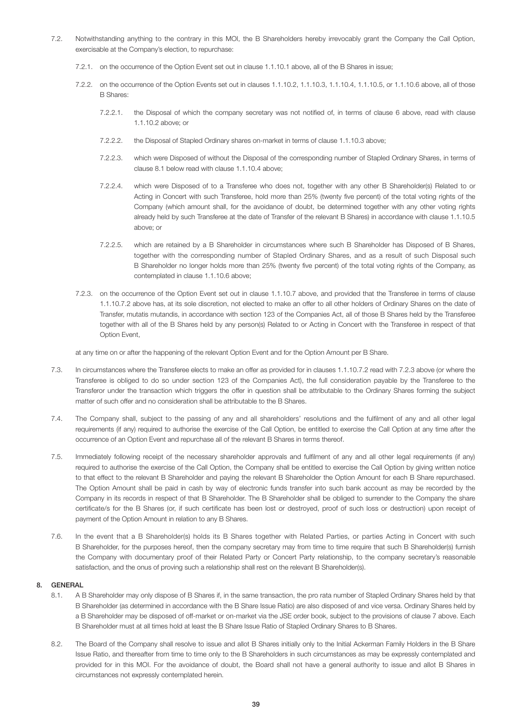- 7.2. Notwithstanding anything to the contrary in this MOI, the B Shareholders hereby irrevocably grant the Company the Call Option, exercisable at the Company's election, to repurchase:
	- 7.2.1. on the occurrence of the Option Event set out in clause 1.1.10.1 above, all of the B Shares in issue;
	- 7.2.2. on the occurrence of the Option Events set out in clauses 1.1.10.2, 1.1.10.3, 1.1.10.4, 1.1.10.5, or 1.1.10.6 above, all of those B Shares:
		- 7.2.2.1. the Disposal of which the company secretary was not notified of, in terms of clause 6 above, read with clause 1.1.10.2 above; or
		- 7.2.2.2. the Disposal of Stapled Ordinary shares on-market in terms of clause 1.1.10.3 above;
		- 7.2.2.3. which were Disposed of without the Disposal of the corresponding number of Stapled Ordinary Shares, in terms of clause 8.1 below read with clause 1.1.10.4 above;
		- 7.2.2.4. which were Disposed of to a Transferee who does not, together with any other B Shareholder(s) Related to or Acting in Concert with such Transferee, hold more than 25% (twenty five percent) of the total voting rights of the Company (which amount shall, for the avoidance of doubt, be determined together with any other voting rights already held by such Transferee at the date of Transfer of the relevant B Shares) in accordance with clause 1.1.10.5 above; or
		- 7.2.2.5. which are retained by a B Shareholder in circumstances where such B Shareholder has Disposed of B Shares, together with the corresponding number of Stapled Ordinary Shares, and as a result of such Disposal such B Shareholder no longer holds more than 25% (twenty five percent) of the total voting rights of the Company, as contemplated in clause 1.1.10.6 above;
	- 7.2.3. on the occurrence of the Option Event set out in clause 1.1.10.7 above, and provided that the Transferee in terms of clause 1.1.10.7.2 above has, at its sole discretion, not elected to make an offer to all other holders of Ordinary Shares on the date of Transfer, mutatis mutandis, in accordance with section 123 of the Companies Act, all of those B Shares held by the Transferee together with all of the B Shares held by any person(s) Related to or Acting in Concert with the Transferee in respect of that Option Event,

at any time on or after the happening of the relevant Option Event and for the Option Amount per B Share.

- 7.3. In circumstances where the Transferee elects to make an offer as provided for in clauses 1.1.10.7.2 read with 7.2.3 above (or where the Transferee is obliged to do so under section 123 of the Companies Act), the full consideration payable by the Transferee to the Transferor under the transaction which triggers the offer in question shall be attributable to the Ordinary Shares forming the subject matter of such offer and no consideration shall be attributable to the B Shares.
- 7.4. The Company shall, subject to the passing of any and all shareholders' resolutions and the fulfilment of any and all other legal requirements (if any) required to authorise the exercise of the Call Option, be entitled to exercise the Call Option at any time after the occurrence of an Option Event and repurchase all of the relevant B Shares in terms thereof.
- 7.5. Immediately following receipt of the necessary shareholder approvals and fulfilment of any and all other legal requirements (if any) required to authorise the exercise of the Call Option, the Company shall be entitled to exercise the Call Option by giving written notice to that effect to the relevant B Shareholder and paying the relevant B Shareholder the Option Amount for each B Share repurchased. The Option Amount shall be paid in cash by way of electronic funds transfer into such bank account as may be recorded by the Company in its records in respect of that B Shareholder. The B Shareholder shall be obliged to surrender to the Company the share certificate/s for the B Shares (or, if such certificate has been lost or destroyed, proof of such loss or destruction) upon receipt of payment of the Option Amount in relation to any B Shares.
- 7.6. In the event that a B Shareholder(s) holds its B Shares together with Related Parties, or parties Acting in Concert with such B Shareholder, for the purposes hereof, then the company secretary may from time to time require that such B Shareholder(s) furnish the Company with documentary proof of their Related Party or Concert Party relationship, to the company secretary's reasonable satisfaction, and the onus of proving such a relationship shall rest on the relevant B Shareholder(s).

# 8. GENERAL

- 8.1. A B Shareholder may only dispose of B Shares if, in the same transaction, the pro rata number of Stapled Ordinary Shares held by that B Shareholder (as determined in accordance with the B Share Issue Ratio) are also disposed of and vice versa. Ordinary Shares held by a B Shareholder may be disposed of off-market or on-market via the JSE order book, subject to the provisions of clause 7 above. Each B Shareholder must at all times hold at least the B Share Issue Ratio of Stapled Ordinary Shares to B Shares.
- 8.2. The Board of the Company shall resolve to issue and allot B Shares initially only to the Initial Ackerman Family Holders in the B Share Issue Ratio, and thereafter from time to time only to the B Shareholders in such circumstances as may be expressly contemplated and provided for in this MOI. For the avoidance of doubt, the Board shall not have a general authority to issue and allot B Shares in circumstances not expressly contemplated herein.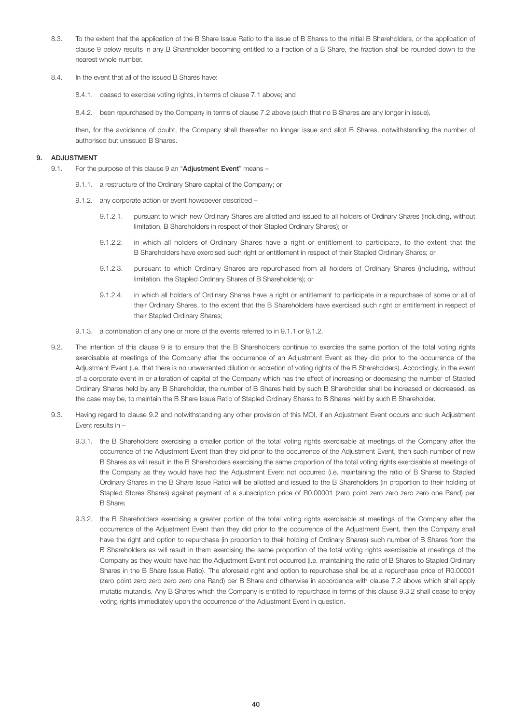- 8.3. To the extent that the application of the B Share Issue Ratio to the issue of B Shares to the initial B Shareholders, or the application of clause 9 below results in any B Shareholder becoming entitled to a fraction of a B Share, the fraction shall be rounded down to the nearest whole number.
- 8.4. In the event that all of the issued B Shares have:
	- 8.4.1. ceased to exercise voting rights, in terms of clause 7.1 above; and
	- 8.4.2. been repurchased by the Company in terms of clause 7.2 above (such that no B Shares are any longer in issue),

 then, for the avoidance of doubt, the Company shall thereafter no longer issue and allot B Shares, notwithstanding the number of authorised but unissued B Shares.

### 9. ADJUSTMENT

- 9.1. For the purpose of this clause 9 an "Adjustment Event" means -
	- 9.1.1. a restructure of the Ordinary Share capital of the Company; or
	- 9.1.2. any corporate action or event howsoever described
		- 9.1.2.1. pursuant to which new Ordinary Shares are allotted and issued to all holders of Ordinary Shares (including, without limitation, B Shareholders in respect of their Stapled Ordinary Shares); or
		- 9.1.2.2. in which all holders of Ordinary Shares have a right or entitlement to participate, to the extent that the B Shareholders have exercised such right or entitlement in respect of their Stapled Ordinary Shares; or
		- 9.1.2.3. pursuant to which Ordinary Shares are repurchased from all holders of Ordinary Shares (including, without limitation, the Stapled Ordinary Shares of B Shareholders); or
		- 9.1.2.4. in which all holders of Ordinary Shares have a right or entitlement to participate in a repurchase of some or all of their Ordinary Shares, to the extent that the B Shareholders have exercised such right or entitlement in respect of their Stapled Ordinary Shares;
	- 9.1.3. a combination of any one or more of the events referred to in 9.1.1 or 9.1.2.
	- 9.2. The intention of this clause 9 is to ensure that the B Shareholders continue to exercise the same portion of the total voting rights exercisable at meetings of the Company after the occurrence of an Adjustment Event as they did prior to the occurrence of the Adjustment Event (i.e. that there is no unwarranted dilution or accretion of voting rights of the B Shareholders). Accordingly, in the event of a corporate event in or alteration of capital of the Company which has the effect of increasing or decreasing the number of Stapled Ordinary Shares held by any B Shareholder, the number of B Shares held by such B Shareholder shall be increased or decreased, as the case may be, to maintain the B Share Issue Ratio of Stapled Ordinary Shares to B Shares held by such B Shareholder.
	- 9.3. Having regard to clause 9.2 and notwithstanding any other provision of this MOI, if an Adjustment Event occurs and such Adjustment Event results in –
		- 9.3.1. the B Shareholders exercising a smaller portion of the total voting rights exercisable at meetings of the Company after the occurrence of the Adjustment Event than they did prior to the occurrence of the Adjustment Event, then such number of new B Shares as will result in the B Shareholders exercising the same proportion of the total voting rights exercisable at meetings of the Company as they would have had the Adjustment Event not occurred (i.e. maintaining the ratio of B Shares to Stapled Ordinary Shares in the B Share Issue Ratio) will be allotted and issued to the B Shareholders (in proportion to their holding of Stapled Stores Shares) against payment of a subscription price of R0.00001 (zero point zero zero zero zero one Rand) per B Share;
		- 9.3.2. the B Shareholders exercising a greater portion of the total voting rights exercisable at meetings of the Company after the occurrence of the Adjustment Event than they did prior to the occurrence of the Adjustment Event, then the Company shall have the right and option to repurchase (in proportion to their holding of Ordinary Shares) such number of B Shares from the B Shareholders as will result in them exercising the same proportion of the total voting rights exercisable at meetings of the Company as they would have had the Adjustment Event not occurred (i.e. maintaining the ratio of B Shares to Stapled Ordinary Shares in the B Share Issue Ratio). The aforesaid right and option to repurchase shall be at a repurchase price of R0.00001 (zero point zero zero zero zero one Rand) per B Share and otherwise in accordance with clause 7.2 above which shall apply mutatis mutandis. Any B Shares which the Company is entitled to repurchase in terms of this clause 9.3.2 shall cease to enjoy voting rights immediately upon the occurrence of the Adjustment Event in question.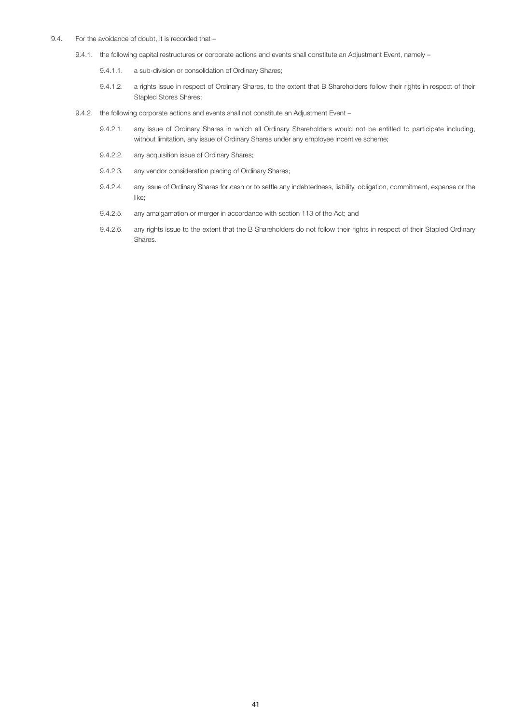- 9.4. For the avoidance of doubt, it is recorded that
	- 9.4.1. the following capital restructures or corporate actions and events shall constitute an Adjustment Event, namely
		- 9.4.1.1. a sub-division or consolidation of Ordinary Shares;
		- 9.4.1.2. a rights issue in respect of Ordinary Shares, to the extent that B Shareholders follow their rights in respect of their Stapled Stores Shares;
	- 9.4.2. the following corporate actions and events shall not constitute an Adjustment Event
		- 9.4.2.1. any issue of Ordinary Shares in which all Ordinary Shareholders would not be entitled to participate including, without limitation, any issue of Ordinary Shares under any employee incentive scheme;
		- 9.4.2.2. any acquisition issue of Ordinary Shares;
		- 9.4.2.3. any vendor consideration placing of Ordinary Shares;
		- 9.4.2.4. any issue of Ordinary Shares for cash or to settle any indebtedness, liability, obligation, commitment, expense or the like;
		- 9.4.2.5. any amalgamation or merger in accordance with section 113 of the Act; and
		- 9.4.2.6. any rights issue to the extent that the B Shareholders do not follow their rights in respect of their Stapled Ordinary Shares.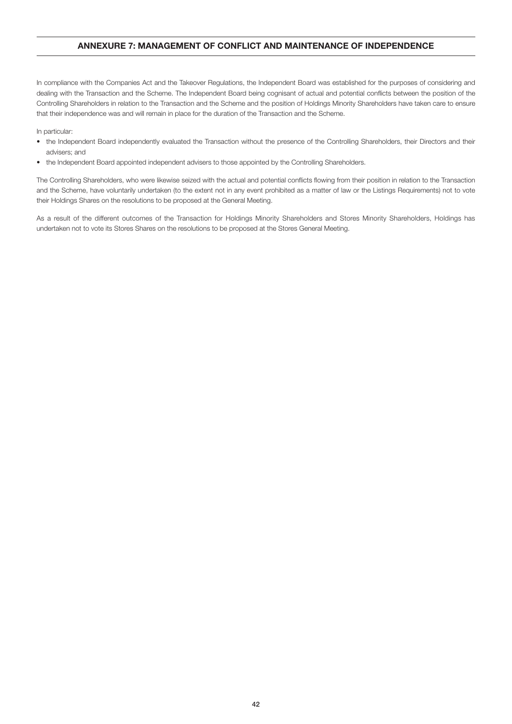# ANNEXURE 7: MANAGEMENT OF CONFLICT AND MAINTENANCE OF INDEPENDENCE

In compliance with the Companies Act and the Takeover Regulations, the Independent Board was established for the purposes of considering and dealing with the Transaction and the Scheme. The Independent Board being cognisant of actual and potential conflicts between the position of the Controlling Shareholders in relation to the Transaction and the Scheme and the position of Holdings Minority Shareholders have taken care to ensure that their independence was and will remain in place for the duration of the Transaction and the Scheme.

In particular:

- the Independent Board independently evaluated the Transaction without the presence of the Controlling Shareholders, their Directors and their advisers; and
- the Independent Board appointed independent advisers to those appointed by the Controlling Shareholders.

The Controlling Shareholders, who were likewise seized with the actual and potential conflicts flowing from their position in relation to the Transaction and the Scheme, have voluntarily undertaken (to the extent not in any event prohibited as a matter of law or the Listings Requirements) not to vote their Holdings Shares on the resolutions to be proposed at the General Meeting.

As a result of the different outcomes of the Transaction for Holdings Minority Shareholders and Stores Minority Shareholders, Holdings has undertaken not to vote its Stores Shares on the resolutions to be proposed at the Stores General Meeting.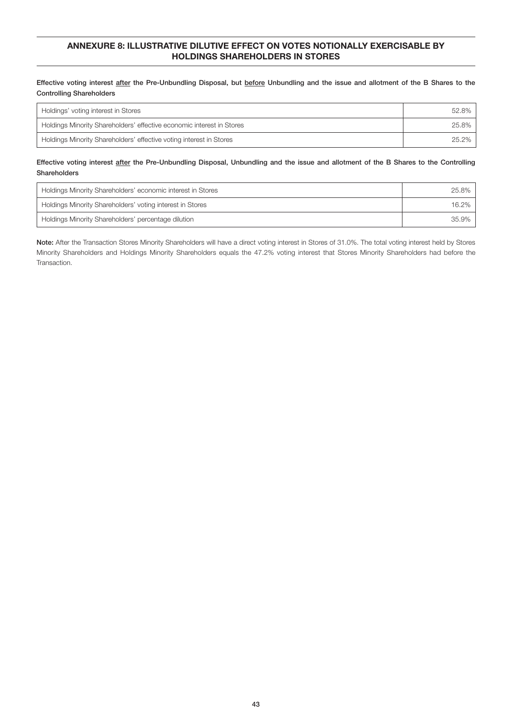# ANNEXURE 8: ILLUSTRATIVE DILUTIVE EFFECT ON VOTES NOTIONALLY EXERCISABLE BY HOLDINGS SHAREHOLDERS IN STORES

Effective voting interest after the Pre-Unbundling Disposal, but before Unbundling and the issue and allotment of the B Shares to the Controlling Shareholders

| Holdings' voting interest in Stores                                   | 52.8% |
|-----------------------------------------------------------------------|-------|
| Holdings Minority Shareholders' effective economic interest in Stores | 25.8% |
| Holdings Minority Shareholders' effective voting interest in Stores   | 25.2% |

# Effective voting interest after the Pre-Unbundling Disposal, Unbundling and the issue and allotment of the B Shares to the Controlling Shareholders

| Holdings Minority Shareholders' economic interest in Stores | 25.8% |
|-------------------------------------------------------------|-------|
| Holdings Minority Shareholders' voting interest in Stores   | 16.2% |
| Holdings Minority Shareholders' percentage dilution         | 35.9% |

Note: After the Transaction Stores Minority Shareholders will have a direct voting interest in Stores of 31.0%. The total voting interest held by Stores Minority Shareholders and Holdings Minority Shareholders equals the 47.2% voting interest that Stores Minority Shareholders had before the Transaction.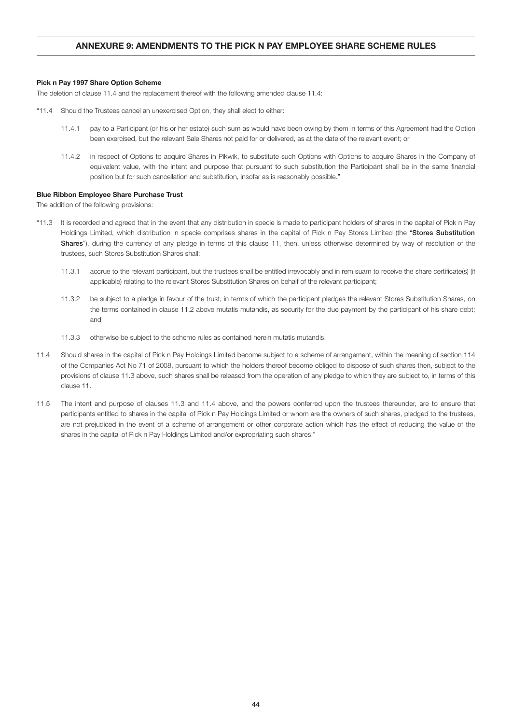# ANNEXURE 9: AMENDMENTS TO THE PICK N PAY EMPLOYEE SHARE SCHEME RULES

### Pick n Pay 1997 Share Option Scheme

The deletion of clause 11.4 and the replacement thereof with the following amended clause 11.4:

- "11.4 Should the Trustees cancel an unexercised Option, they shall elect to either:
	- 11.4.1 pay to a Participant (or his or her estate) such sum as would have been owing by them in terms of this Agreement had the Option been exercised, but the relevant Sale Shares not paid for or delivered, as at the date of the relevant event; or
	- 11.4.2 in respect of Options to acquire Shares in Pikwik, to substitute such Options with Options to acquire Shares in the Company of equivalent value, with the intent and purpose that pursuant to such substitution the Participant shall be in the same financial position but for such cancellation and substitution, insofar as is reasonably possible."

### Blue Ribbon Employee Share Purchase Trust

The addition of the following provisions:

- "11.3 It is recorded and agreed that in the event that any distribution in specie is made to participant holders of shares in the capital of Pick n Pay Holdings Limited, which distribution in specie comprises shares in the capital of Pick n Pay Stores Limited (the "Stores Substitution Shares"), during the currency of any pledge in terms of this clause 11, then, unless otherwise determined by way of resolution of the trustees, such Stores Substitution Shares shall:
	- 11.3.1 accrue to the relevant participant, but the trustees shall be entitled irrevocably and in rem suam to receive the share certificate(s) (if applicable) relating to the relevant Stores Substitution Shares on behalf of the relevant participant;
	- 11.3.2 be subject to a pledge in favour of the trust, in terms of which the participant pledges the relevant Stores Substitution Shares, on the terms contained in clause 11.2 above mutatis mutandis, as security for the due payment by the participant of his share debt; and
	- 11.3.3 otherwise be subject to the scheme rules as contained herein mutatis mutandis.
- 11.4 Should shares in the capital of Pick n Pay Holdings Limited become subject to a scheme of arrangement, within the meaning of section 114 of the Companies Act No 71 of 2008, pursuant to which the holders thereof become obliged to dispose of such shares then, subject to the provisions of clause 11.3 above, such shares shall be released from the operation of any pledge to which they are subject to, in terms of this clause 11.
- 11.5 The intent and purpose of clauses 11.3 and 11.4 above, and the powers conferred upon the trustees thereunder, are to ensure that participants entitled to shares in the capital of Pick n Pay Holdings Limited or whom are the owners of such shares, pledged to the trustees, are not prejudiced in the event of a scheme of arrangement or other corporate action which has the effect of reducing the value of the shares in the capital of Pick n Pay Holdings Limited and/or expropriating such shares."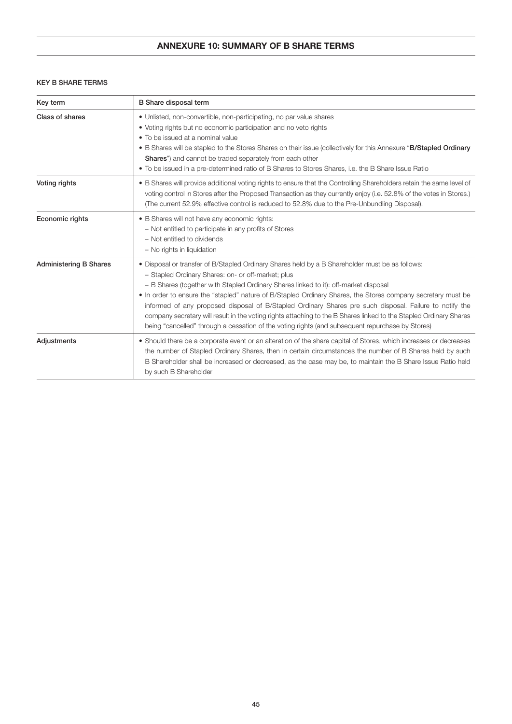# ANNEXURE 10: SUMMARY OF B SHARE TERMS

# KEY B SHARE TERMS

| Key term                      | <b>B</b> Share disposal term                                                                                                                                                                                                                                                                                                                                                                                                                                                                                                                                                                                                                                                                       |
|-------------------------------|----------------------------------------------------------------------------------------------------------------------------------------------------------------------------------------------------------------------------------------------------------------------------------------------------------------------------------------------------------------------------------------------------------------------------------------------------------------------------------------------------------------------------------------------------------------------------------------------------------------------------------------------------------------------------------------------------|
| Class of shares               | • Unlisted, non-convertible, non-participating, no par value shares<br>• Voting rights but no economic participation and no veto rights<br>• To be issued at a nominal value<br>. B Shares will be stapled to the Stores Shares on their issue (collectively for this Annexure "B/Stapled Ordinary<br><b>Shares</b> ") and cannot be traded separately from each other<br>• To be issued in a pre-determined ratio of B Shares to Stores Shares, i.e. the B Share Issue Ratio                                                                                                                                                                                                                      |
| Voting rights                 | • B Shares will provide additional voting rights to ensure that the Controlling Shareholders retain the same level of<br>voting control in Stores after the Proposed Transaction as they currently enjoy (i.e. 52.8% of the votes in Stores.)<br>(The current 52.9% effective control is reduced to 52.8% due to the Pre-Unbundling Disposal).                                                                                                                                                                                                                                                                                                                                                     |
| Economic rights               | • B Shares will not have any economic rights:<br>- Not entitled to participate in any profits of Stores<br>- Not entitled to dividends<br>- No rights in liquidation                                                                                                                                                                                                                                                                                                                                                                                                                                                                                                                               |
| <b>Administering B Shares</b> | . Disposal or transfer of B/Stapled Ordinary Shares held by a B Shareholder must be as follows:<br>- Stapled Ordinary Shares: on- or off-market; plus<br>- B Shares (together with Stapled Ordinary Shares linked to it): off-market disposal<br>. In order to ensure the "stapled" nature of B/Stapled Ordinary Shares, the Stores company secretary must be<br>informed of any proposed disposal of B/Stapled Ordinary Shares pre such disposal. Failure to notify the<br>company secretary will result in the voting rights attaching to the B Shares linked to the Stapled Ordinary Shares<br>being "cancelled" through a cessation of the voting rights (and subsequent repurchase by Stores) |
| Adjustments                   | • Should there be a corporate event or an alteration of the share capital of Stores, which increases or decreases<br>the number of Stapled Ordinary Shares, then in certain circumstances the number of B Shares held by such<br>B Shareholder shall be increased or decreased, as the case may be, to maintain the B Share Issue Ratio held<br>by such B Shareholder                                                                                                                                                                                                                                                                                                                              |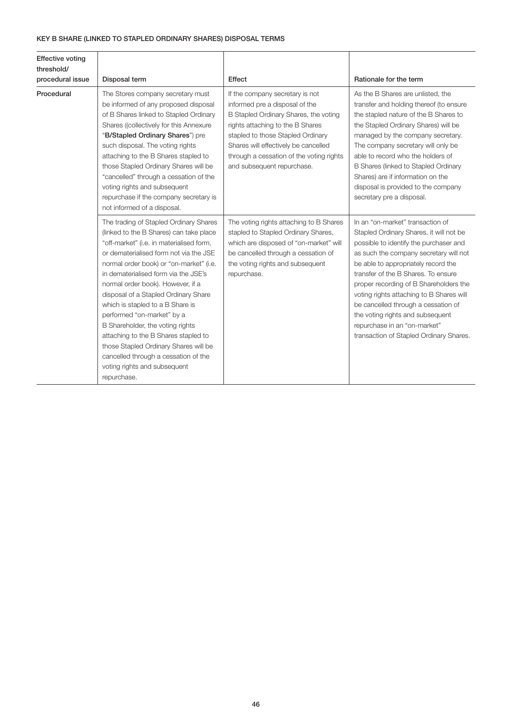# KEY B SHARE (LINKED TO STAPLED ORDINARY SHARES) DISPOSAL TERMS

| <b>Effective voting</b><br>threshold/<br>procedural issue | Disposal term                                                                                                                                                                                                                                                                                                                                                                                                                                                                                                                                                                                                         | Effect                                                                                                                                                                                                                                                                                                | Rationale for the term                                                                                                                                                                                                                                                                                                                                                                                                                                                                    |
|-----------------------------------------------------------|-----------------------------------------------------------------------------------------------------------------------------------------------------------------------------------------------------------------------------------------------------------------------------------------------------------------------------------------------------------------------------------------------------------------------------------------------------------------------------------------------------------------------------------------------------------------------------------------------------------------------|-------------------------------------------------------------------------------------------------------------------------------------------------------------------------------------------------------------------------------------------------------------------------------------------------------|-------------------------------------------------------------------------------------------------------------------------------------------------------------------------------------------------------------------------------------------------------------------------------------------------------------------------------------------------------------------------------------------------------------------------------------------------------------------------------------------|
| Procedural                                                | The Stores company secretary must<br>be informed of any proposed disposal<br>of B Shares linked to Stapled Ordinary<br>Shares ((collectively for this Annexure<br>"B/Stapled Ordinary Shares") pre<br>such disposal. The voting rights<br>attaching to the B Shares stapled to<br>those Stapled Ordinary Shares will be<br>"cancelled" through a cessation of the<br>voting rights and subsequent<br>repurchase if the company secretary is<br>not informed of a disposal.                                                                                                                                            | If the company secretary is not<br>informed pre a disposal of the<br>B Stapled Ordinary Shares, the voting<br>rights attaching to the B Shares<br>stapled to those Stapled Ordinary<br>Shares will effectively be cancelled<br>through a cessation of the voting rights<br>and subsequent repurchase. | As the B Shares are unlisted, the<br>transfer and holding thereof (to ensure<br>the stapled nature of the B Shares to<br>the Stapled Ordinary Shares) will be<br>managed by the company secretary.<br>The company secretary will only be<br>able to record who the holders of<br>B Shares (linked to Stapled Ordinary<br>Shares) are if information on the<br>disposal is provided to the company<br>secretary pre a disposal.                                                            |
|                                                           | The trading of Stapled Ordinary Shares<br>(linked to the B Shares) can take place<br>"off-market" (i.e. in materialised form,<br>or dematerialised form not via the JSE<br>normal order book) or "on-market" (i.e.<br>in dematerialised form via the JSE's<br>normal order book). However, if a<br>disposal of a Stapled Ordinary Share<br>which is stapled to a B Share is<br>performed "on-market" by a<br>B Shareholder, the voting rights<br>attaching to the B Shares stapled to<br>those Stapled Ordinary Shares will be<br>cancelled through a cessation of the<br>voting rights and subsequent<br>repurchase. | The voting rights attaching to B Shares<br>stapled to Stapled Ordinary Shares,<br>which are disposed of "on-market" will<br>be cancelled through a cessation of<br>the voting rights and subsequent<br>repurchase.                                                                                    | In an "on-market" transaction of<br>Stapled Ordinary Shares, it will not be<br>possible to identify the purchaser and<br>as such the company secretary will not<br>be able to appropriately record the<br>transfer of the B Shares. To ensure<br>proper recording of B Shareholders the<br>voting rights attaching to B Shares will<br>be cancelled through a cessation of<br>the voting rights and subsequent<br>repurchase in an "on-market"<br>transaction of Stapled Ordinary Shares. |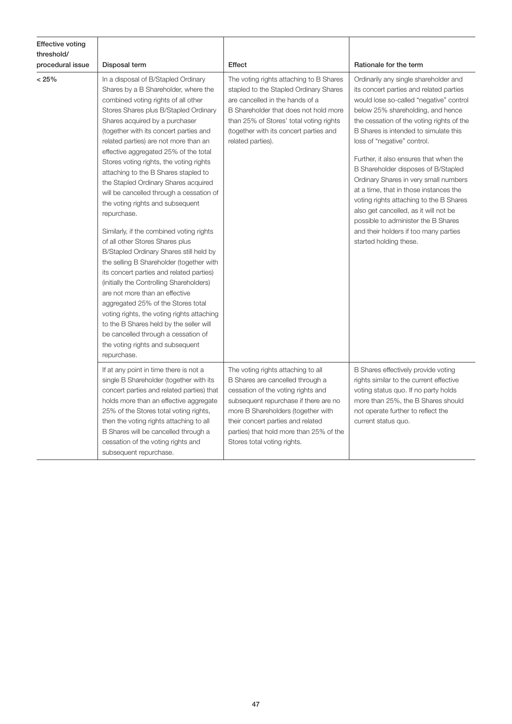| <b>Effective voting</b><br>threshold/ |                                                                                                                                                                                                                                                                                                                                                                                                                                                                                                                                                                                                                                                                                                                                                                                                                                                                                                                                                                                                                                                                              |                                                                                                                                                                                                                                                                                                            |                                                                                                                                                                                                                                                                                                                                                                                                                                                                                                                                                                                                                                                         |
|---------------------------------------|------------------------------------------------------------------------------------------------------------------------------------------------------------------------------------------------------------------------------------------------------------------------------------------------------------------------------------------------------------------------------------------------------------------------------------------------------------------------------------------------------------------------------------------------------------------------------------------------------------------------------------------------------------------------------------------------------------------------------------------------------------------------------------------------------------------------------------------------------------------------------------------------------------------------------------------------------------------------------------------------------------------------------------------------------------------------------|------------------------------------------------------------------------------------------------------------------------------------------------------------------------------------------------------------------------------------------------------------------------------------------------------------|---------------------------------------------------------------------------------------------------------------------------------------------------------------------------------------------------------------------------------------------------------------------------------------------------------------------------------------------------------------------------------------------------------------------------------------------------------------------------------------------------------------------------------------------------------------------------------------------------------------------------------------------------------|
| procedural issue                      | Disposal term                                                                                                                                                                                                                                                                                                                                                                                                                                                                                                                                                                                                                                                                                                                                                                                                                                                                                                                                                                                                                                                                | Effect                                                                                                                                                                                                                                                                                                     | Rationale for the term                                                                                                                                                                                                                                                                                                                                                                                                                                                                                                                                                                                                                                  |
| < 25%                                 | In a disposal of B/Stapled Ordinary<br>Shares by a B Shareholder, where the<br>combined voting rights of all other<br>Stores Shares plus B/Stapled Ordinary<br>Shares acquired by a purchaser<br>(together with its concert parties and<br>related parties) are not more than an<br>effective aggregated 25% of the total<br>Stores voting rights, the voting rights<br>attaching to the B Shares stapled to<br>the Stapled Ordinary Shares acquired<br>will be cancelled through a cessation of<br>the voting rights and subsequent<br>repurchase.<br>Similarly, if the combined voting rights<br>of all other Stores Shares plus<br>B/Stapled Ordinary Shares still held by<br>the selling B Shareholder (together with<br>its concert parties and related parties)<br>(initially the Controlling Shareholders)<br>are not more than an effective<br>aggregated 25% of the Stores total<br>voting rights, the voting rights attaching<br>to the B Shares held by the seller will<br>be cancelled through a cessation of<br>the voting rights and subsequent<br>repurchase. | The voting rights attaching to B Shares<br>stapled to the Stapled Ordinary Shares<br>are cancelled in the hands of a<br>B Shareholder that does not hold more<br>than 25% of Stores' total voting rights<br>(together with its concert parties and<br>related parties).                                    | Ordinarily any single shareholder and<br>its concert parties and related parties<br>would lose so-called "negative" control<br>below 25% shareholding, and hence<br>the cessation of the voting rights of the<br>B Shares is intended to simulate this<br>loss of "negative" control.<br>Further, it also ensures that when the<br>B Shareholder disposes of B/Stapled<br>Ordinary Shares in very small numbers<br>at a time, that in those instances the<br>voting rights attaching to the B Shares<br>also get cancelled, as it will not be<br>possible to administer the B Shares<br>and their holders if too many parties<br>started holding these. |
|                                       | If at any point in time there is not a<br>single B Shareholder (together with its<br>concert parties and related parties) that<br>holds more than an effective aggregate<br>25% of the Stores total voting rights,<br>then the voting rights attaching to all<br>B Shares will be cancelled through a<br>cessation of the voting rights and<br>subsequent repurchase.                                                                                                                                                                                                                                                                                                                                                                                                                                                                                                                                                                                                                                                                                                        | The voting rights attaching to all<br>B Shares are cancelled through a<br>cessation of the voting rights and<br>subsequent repurchase if there are no<br>more B Shareholders (together with<br>their concert parties and related<br>parties) that hold more than 25% of the<br>Stores total voting rights. | B Shares effectively provide voting<br>rights similar to the current effective<br>voting status quo. If no party holds<br>more than 25%, the B Shares should<br>not operate further to reflect the<br>current status quo.                                                                                                                                                                                                                                                                                                                                                                                                                               |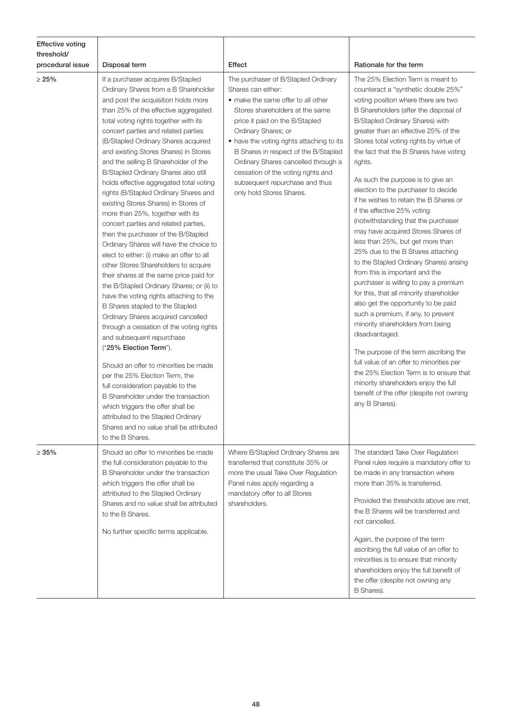| Effective voting<br>threshold/<br>procedural issue | Disposal term                                                                                                                                                                                                                                                                                                                                                                                                                                                                                                                                                                                                                                                                                                                                                                                                                                                                                                                                                                                                                                                                                                                                                                                                                                                                                                                                                                                           | Effect                                                                                                                                                                                                                                                                                                                                                                                                                      | Rationale for the term                                                                                                                                                                                                                                                                                                                                                                                                                                                                                                                                                                                                                                                                                                                                                                                                                                                                                                                                                                                                                                                                                                                                                                   |
|----------------------------------------------------|---------------------------------------------------------------------------------------------------------------------------------------------------------------------------------------------------------------------------------------------------------------------------------------------------------------------------------------------------------------------------------------------------------------------------------------------------------------------------------------------------------------------------------------------------------------------------------------------------------------------------------------------------------------------------------------------------------------------------------------------------------------------------------------------------------------------------------------------------------------------------------------------------------------------------------------------------------------------------------------------------------------------------------------------------------------------------------------------------------------------------------------------------------------------------------------------------------------------------------------------------------------------------------------------------------------------------------------------------------------------------------------------------------|-----------------------------------------------------------------------------------------------------------------------------------------------------------------------------------------------------------------------------------------------------------------------------------------------------------------------------------------------------------------------------------------------------------------------------|------------------------------------------------------------------------------------------------------------------------------------------------------------------------------------------------------------------------------------------------------------------------------------------------------------------------------------------------------------------------------------------------------------------------------------------------------------------------------------------------------------------------------------------------------------------------------------------------------------------------------------------------------------------------------------------------------------------------------------------------------------------------------------------------------------------------------------------------------------------------------------------------------------------------------------------------------------------------------------------------------------------------------------------------------------------------------------------------------------------------------------------------------------------------------------------|
| $\geq 25\%$                                        | If a purchaser acquires B/Stapled<br>Ordinary Shares from a B Shareholder<br>and post the acquisition holds more<br>than 25% of the effective aggregated<br>total voting rights together with its<br>concert parties and related parties<br>(B/Stapled Ordinary Shares acquired<br>and existing Stores Shares) in Stores<br>and the selling B Shareholder of the<br>B/Stapled Ordinary Shares also still<br>holds effective aggregated total voting<br>rights (B/Stapled Ordinary Shares and<br>existing Stores Shares) in Stores of<br>more than 25%, together with its<br>concert parties and related parties,<br>then the purchaser of the B/Stapled<br>Ordinary Shares will have the choice to<br>elect to either: (i) make an offer to all<br>other Stores Shareholders to acquire<br>their shares at the same price paid for<br>the B/Stapled Ordinary Shares; or (ii) to<br>have the voting rights attaching to the<br>B Shares stapled to the Stapled<br>Ordinary Shares acquired cancelled<br>through a cessation of the voting rights<br>and subsequent repurchase<br>("25% Election Term").<br>Should an offer to minorities be made<br>per the 25% Election Term, the<br>full consideration payable to the<br>B Shareholder under the transaction<br>which triggers the offer shall be<br>attributed to the Stapled Ordinary<br>Shares and no value shall be attributed<br>to the B Shares. | The purchaser of B/Stapled Ordinary<br>Shares can either:<br>• make the same offer to all other<br>Stores shareholders at the same<br>price it paid on the B/Stapled<br>Ordinary Shares; or<br>• have the voting rights attaching to its<br>B Shares in respect of the B/Stapled<br>Ordinary Shares cancelled through a<br>cessation of the voting rights and<br>subsequent repurchase and thus<br>only hold Stores Shares. | The 25% Election Term is meant to<br>counteract a "synthetic double 25%"<br>voting position where there are two<br>B Shareholders (after the disposal of<br>B/Stapled Ordinary Shares) with<br>greater than an effective 25% of the<br>Stores total voting rights by virtue of<br>the fact that the B Shares have voting<br>rights.<br>As such the purpose is to give an<br>election to the purchaser to decide<br>if he wishes to retain the B Shares or<br>if the effective 25% voting<br>(notwithstanding that the purchaser<br>may have acquired Stores Shares of<br>less than 25%, but get more than<br>25% due to the B Shares attaching<br>to the Stapled Ordinary Shares) arising<br>from this is important and the<br>purchaser is willing to pay a premium<br>for this, that all minority shareholder<br>also get the opportunity to be paid<br>such a premium, if any, to prevent<br>minority shareholders from being<br>disadvantaged.<br>The purpose of the term ascribing the<br>full value of an offer to minorities per<br>the 25% Election Term is to ensure that<br>minority shareholders enjoy the full<br>benefit of the offer (despite not owning<br>any B Shares). |
| $\geq 35\%$                                        | Should an offer to minorities be made<br>the full consideration payable to the<br>B Shareholder under the transaction<br>which triggers the offer shall be<br>attributed to the Stapled Ordinary<br>Shares and no value shall be attributed<br>to the B Shares.<br>No further specific terms applicable.                                                                                                                                                                                                                                                                                                                                                                                                                                                                                                                                                                                                                                                                                                                                                                                                                                                                                                                                                                                                                                                                                                | Where B/Stapled Ordinary Shares are<br>transferred that constitute 35% or<br>more the usual Take Over Regulation<br>Panel rules apply regarding a<br>mandatory offer to all Stores<br>shareholders.                                                                                                                                                                                                                         | The standard Take Over Regulation<br>Panel rules require a mandatory offer to<br>be made in any transaction where<br>more than 35% is transferred.<br>Provided the thresholds above are met,<br>the B Shares will be transferred and<br>not cancelled.<br>Again, the purpose of the term<br>ascribing the full value of an offer to<br>minorities is to ensure that minority<br>shareholders enjoy the full benefit of<br>the offer (despite not owning any<br>B Shares).                                                                                                                                                                                                                                                                                                                                                                                                                                                                                                                                                                                                                                                                                                                |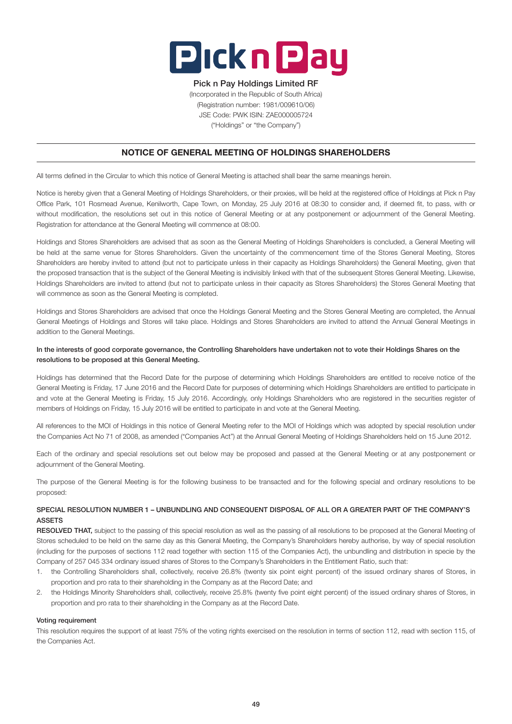

# Pick n Pay Holdings Limited RF

(Incorporated in the Republic of South Africa) (Registration number: 1981/009610/06) JSE Code: PWK ISIN: ZAE000005724 ("Holdings" or "the Company")

# NOTICE OF GENERAL MEETING OF HOLDINGS SHAREHOLDERS

All terms defined in the Circular to which this notice of General Meeting is attached shall bear the same meanings herein.

Notice is hereby given that a General Meeting of Holdings Shareholders, or their proxies, will be held at the registered office of Holdings at Pick n Pay Office Park, 101 Rosmead Avenue, Kenilworth, Cape Town, on Monday, 25 July 2016 at 08:30 to consider and, if deemed fit, to pass, with or without modification, the resolutions set out in this notice of General Meeting or at any postponement or adjournment of the General Meeting. Registration for attendance at the General Meeting will commence at 08:00.

Holdings and Stores Shareholders are advised that as soon as the General Meeting of Holdings Shareholders is concluded, a General Meeting will be held at the same venue for Stores Shareholders. Given the uncertainty of the commencement time of the Stores General Meeting, Stores Shareholders are hereby invited to attend (but not to participate unless in their capacity as Holdings Shareholders) the General Meeting, given that the proposed transaction that is the subject of the General Meeting is indivisibly linked with that of the subsequent Stores General Meeting. Likewise, Holdings Shareholders are invited to attend (but not to participate unless in their capacity as Stores Shareholders) the Stores General Meeting that will commence as soon as the General Meeting is completed.

Holdings and Stores Shareholders are advised that once the Holdings General Meeting and the Stores General Meeting are completed, the Annual General Meetings of Holdings and Stores will take place. Holdings and Stores Shareholders are invited to attend the Annual General Meetings in addition to the General Meetings.

# In the interests of good corporate governance, the Controlling Shareholders have undertaken not to vote their Holdings Shares on the resolutions to be proposed at this General Meeting.

Holdings has determined that the Record Date for the purpose of determining which Holdings Shareholders are entitled to receive notice of the General Meeting is Friday, 17 June 2016 and the Record Date for purposes of determining which Holdings Shareholders are entitled to participate in and vote at the General Meeting is Friday, 15 July 2016. Accordingly, only Holdings Shareholders who are registered in the securities register of members of Holdings on Friday, 15 July 2016 will be entitled to participate in and vote at the General Meeting.

All references to the MOI of Holdings in this notice of General Meeting refer to the MOI of Holdings which was adopted by special resolution under the Companies Act No 71 of 2008, as amended ("Companies Act") at the Annual General Meeting of Holdings Shareholders held on 15 June 2012.

Each of the ordinary and special resolutions set out below may be proposed and passed at the General Meeting or at any postponement or adjournment of the General Meeting.

The purpose of the General Meeting is for the following business to be transacted and for the following special and ordinary resolutions to be proposed:

# SPECIAL RESOLUTION NUMBER 1 – UNBUNDLING AND CONSEQUENT DISPOSAL OF ALL OR A GREATER PART OF THE COMPANY'S ASSETS

RESOLVED THAT, subject to the passing of this special resolution as well as the passing of all resolutions to be proposed at the General Meeting of Stores scheduled to be held on the same day as this General Meeting, the Company's Shareholders hereby authorise, by way of special resolution (including for the purposes of sections 112 read together with section 115 of the Companies Act), the unbundling and distribution in specie by the Company of 257 045 334 ordinary issued shares of Stores to the Company's Shareholders in the Entitlement Ratio, such that:

- 1. the Controlling Shareholders shall, collectively, receive 26.8% (twenty six point eight percent) of the issued ordinary shares of Stores, in proportion and pro rata to their shareholding in the Company as at the Record Date; and
- 2. the Holdings Minority Shareholders shall, collectively, receive 25.8% (twenty five point eight percent) of the issued ordinary shares of Stores, in proportion and pro rata to their shareholding in the Company as at the Record Date.

# Voting requirement

This resolution requires the support of at least 75% of the voting rights exercised on the resolution in terms of section 112, read with section 115, of the Companies Act.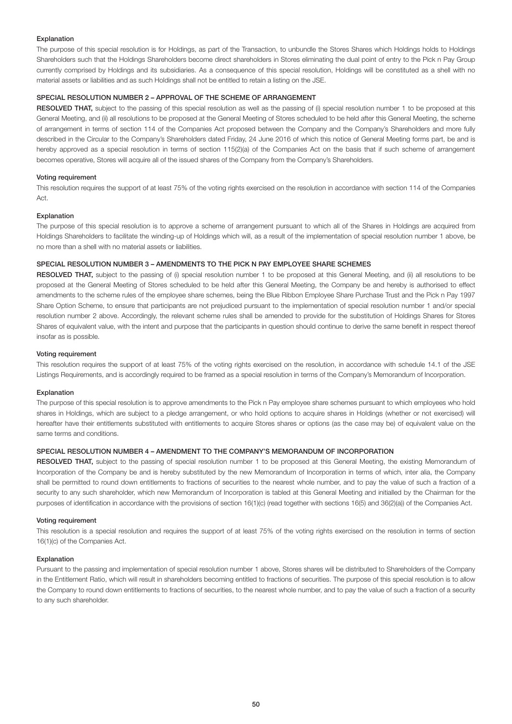### Explanation

The purpose of this special resolution is for Holdings, as part of the Transaction, to unbundle the Stores Shares which Holdings holds to Holdings Shareholders such that the Holdings Shareholders become direct shareholders in Stores eliminating the dual point of entry to the Pick n Pay Group currently comprised by Holdings and its subsidiaries. As a consequence of this special resolution, Holdings will be constituted as a shell with no material assets or liabilities and as such Holdings shall not be entitled to retain a listing on the JSE.

# SPECIAL RESOLUTION NUMBER 2 – APPROVAL OF THE SCHEME OF ARRANGEMENT

RESOLVED THAT, subject to the passing of this special resolution as well as the passing of (i) special resolution number 1 to be proposed at this General Meeting, and (ii) all resolutions to be proposed at the General Meeting of Stores scheduled to be held after this General Meeting, the scheme of arrangement in terms of section 114 of the Companies Act proposed between the Company and the Company's Shareholders and more fully described in the Circular to the Company's Shareholders dated Friday, 24 June 2016 of which this notice of General Meeting forms part, be and is hereby approved as a special resolution in terms of section 115(2)(a) of the Companies Act on the basis that if such scheme of arrangement becomes operative, Stores will acquire all of the issued shares of the Company from the Company's Shareholders.

### Voting requirement

This resolution requires the support of at least 75% of the voting rights exercised on the resolution in accordance with section 114 of the Companies Act.

### **Explanation**

The purpose of this special resolution is to approve a scheme of arrangement pursuant to which all of the Shares in Holdings are acquired from Holdings Shareholders to facilitate the winding-up of Holdings which will, as a result of the implementation of special resolution number 1 above, be no more than a shell with no material assets or liabilities.

# SPECIAL RESOLUTION NUMBER 3 – AMENDMENTS TO THE PICK N PAY EMPLOYEE SHARE SCHEMES

RESOLVED THAT, subject to the passing of (i) special resolution number 1 to be proposed at this General Meeting, and (ii) all resolutions to be proposed at the General Meeting of Stores scheduled to be held after this General Meeting, the Company be and hereby is authorised to effect amendments to the scheme rules of the employee share schemes, being the Blue Ribbon Employee Share Purchase Trust and the Pick n Pay 1997 Share Option Scheme, to ensure that participants are not prejudiced pursuant to the implementation of special resolution number 1 and/or special resolution number 2 above. Accordingly, the relevant scheme rules shall be amended to provide for the substitution of Holdings Shares for Stores Shares of equivalent value, with the intent and purpose that the participants in question should continue to derive the same benefit in respect thereof insofar as is possible.

### Voting requirement

This resolution requires the support of at least 75% of the voting rights exercised on the resolution, in accordance with schedule 14.1 of the JSE Listings Requirements, and is accordingly required to be framed as a special resolution in terms of the Company's Memorandum of Incorporation.

### Explanation

The purpose of this special resolution is to approve amendments to the Pick n Pay employee share schemes pursuant to which employees who hold shares in Holdings, which are subject to a pledge arrangement, or who hold options to acquire shares in Holdings (whether or not exercised) will hereafter have their entitlements substituted with entitlements to acquire Stores shares or options (as the case may be) of equivalent value on the same terms and conditions.

# SPECIAL RESOLUTION NUMBER 4 – AMENDMENT TO THE COMPANY'S MEMORANDUM OF INCORPORATION

RESOLVED THAT, subject to the passing of special resolution number 1 to be proposed at this General Meeting, the existing Memorandum of Incorporation of the Company be and is hereby substituted by the new Memorandum of Incorporation in terms of which, inter alia, the Company shall be permitted to round down entitlements to fractions of securities to the nearest whole number, and to pay the value of such a fraction of a security to any such shareholder, which new Memorandum of Incorporation is tabled at this General Meeting and initialled by the Chairman for the purposes of identification in accordance with the provisions of section 16(1)(c) (read together with sections 16(5) and 36(2)(a)) of the Companies Act.

### Voting requirement

This resolution is a special resolution and requires the support of at least 75% of the voting rights exercised on the resolution in terms of section 16(1)(c) of the Companies Act.

### Explanation

Pursuant to the passing and implementation of special resolution number 1 above, Stores shares will be distributed to Shareholders of the Company in the Entitlement Ratio, which will result in shareholders becoming entitled to fractions of securities. The purpose of this special resolution is to allow the Company to round down entitlements to fractions of securities, to the nearest whole number, and to pay the value of such a fraction of a security to any such shareholder.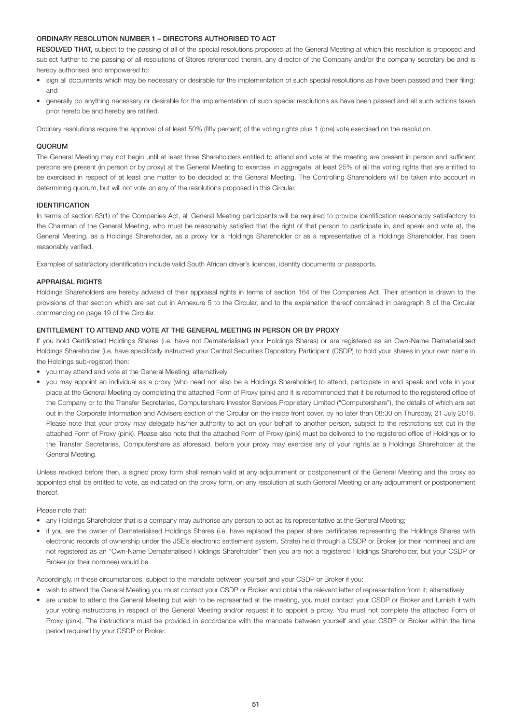# ORDINARY RESOLUTION NUMBER 1 – DIRECTORS AUTHORISED TO ACT

RESOLVED THAT, subject to the passing of all of the special resolutions proposed at the General Meeting at which this resolution is proposed and subject further to the passing of all resolutions of Stores referenced therein, any director of the Company and/or the company secretary be and is hereby authorised and empowered to:

- sign all documents which may be necessary or desirable for the implementation of such special resolutions as have been passed and their filing; and
- generally do anything necessary or desirable for the implementation of such special resolutions as have been passed and all such actions taken prior hereto be and hereby are ratified.

Ordinary resolutions require the approval of at least 50% (fifty percent) of the voting rights plus 1 (one) vote exercised on the resolution.

# QUORUM

The General Meeting may not begin until at least three Shareholders entitled to attend and vote at the meeting are present in person and sufficient persons are present (in person or by proxy) at the General Meeting to exercise, in aggregate, at least 25% of all the voting rights that are entitled to be exercised in respect of at least one matter to be decided at the General Meeting. The Controlling Shareholders will be taken into account in determining quorum, but will not vote on any of the resolutions proposed in this Circular.

# IDENTIFICATION

In terms of section 63(1) of the Companies Act, all General Meeting participants will be required to provide identification reasonably satisfactory to the Chairman of the General Meeting, who must be reasonably satisfied that the right of that person to participate in, and speak and vote at, the General Meeting, as a Holdings Shareholder, as a proxy for a Holdings Shareholder or as a representative of a Holdings Shareholder, has been reasonably verified.

Examples of satisfactory identification include valid South African driver's licences, identity documents or passports.

# APPRAISAL RIGHTS

Holdings Shareholders are hereby advised of their appraisal rights in terms of section 164 of the Companies Act. Their attention is drawn to the provisions of that section which are set out in Annexure 5 to the Circular, and to the explanation thereof contained in paragraph 8 of the Circular commencing on page 19 of the Circular.

# ENTITLEMENT TO ATTEND AND VOTE AT THE GENERAL MEETING IN PERSON OR BY PROXY

If you hold Certificated Holdings Shares (i.e. have not Dematerialised your Holdings Shares) or are registered as an Own-Name Dematerialised Holdings Shareholder (i.e. have specifically instructed your Central Securities Depository Participant (CSDP) to hold your shares in your own name in the Holdings sub-register) then:

- you may attend and vote at the General Meeting; alternatively
- you may appoint an individual as a proxy (who need not also be a Holdings Shareholder) to attend, participate in and speak and vote in your place at the General Meeting by completing the attached Form of Proxy (pink) and it is recommended that it be returned to the registered office of the Company or to the Transfer Secretaries, Computershare Investor Services Proprietary Limited ("Computershare"), the details of which are set out in the Corporate Information and Advisers section of the Circular on the inside front cover, by no later than 08:30 on Thursday, 21 July 2016. Please note that your proxy may delegate his/her authority to act on your behalf to another person, subject to the restrictions set out in the attached Form of Proxy (pink). Please also note that the attached Form of Proxy (pink) must be delivered to the registered office of Holdings or to the Transfer Secretaries, Computershare as aforesaid, before your proxy may exercise any of your rights as a Holdings Shareholder at the General Meeting.

Unless revoked before then, a signed proxy form shall remain valid at any adjournment or postponement of the General Meeting and the proxy so appointed shall be entitled to vote, as indicated on the proxy form, on any resolution at such General Meeting or any adjournment or postponement thereof.

Please note that:

- any Holdings Shareholder that is a company may authorise any person to act as its representative at the General Meeting;
- if you are the owner of Dematerialised Holdings Shares (i.e. have replaced the paper share certificates representing the Holdings Shares with electronic records of ownership under the JSE's electronic settlement system, Strate) held through a CSDP or Broker (or their nominee) and are not registered as an "Own-Name Dematerialised Holdings Shareholder" then you are not a registered Holdings Shareholder, but your CSDP or Broker (or their nominee) would be.

Accordingly, in these circumstances, subject to the mandate between yourself and your CSDP or Broker if you:

- wish to attend the General Meeting you must contact your CSDP or Broker and obtain the relevant letter of representation from it; alternatively
- are unable to attend the General Meeting but wish to be represented at the meeting, you must contact your CSDP or Broker and furnish it with your voting instructions in respect of the General Meeting and/or request it to appoint a proxy. You must not complete the attached Form of Proxy (pink). The instructions must be provided in accordance with the mandate between yourself and your CSDP or Broker within the time period required by your CSDP or Broker.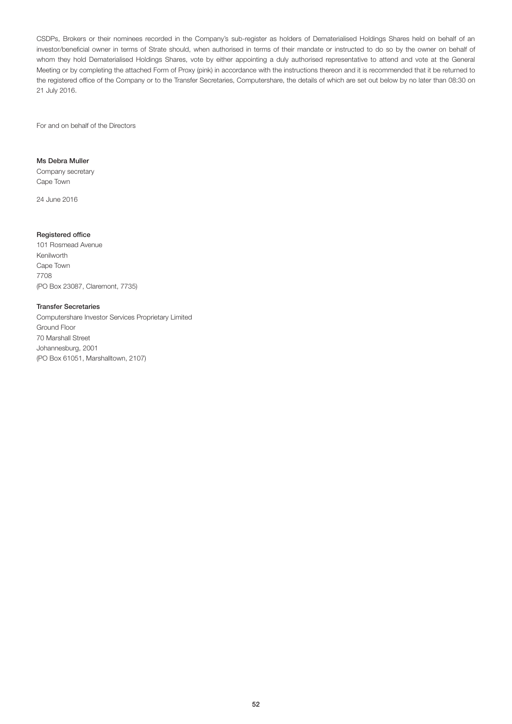CSDPs, Brokers or their nominees recorded in the Company's sub-register as holders of Dematerialised Holdings Shares held on behalf of an investor/beneficial owner in terms of Strate should, when authorised in terms of their mandate or instructed to do so by the owner on behalf of whom they hold Dematerialised Holdings Shares, vote by either appointing a duly authorised representative to attend and vote at the General Meeting or by completing the attached Form of Proxy (pink) in accordance with the instructions thereon and it is recommended that it be returned to the registered office of the Company or to the Transfer Secretaries, Computershare, the details of which are set out below by no later than 08:30 on 21 July 2016.

For and on behalf of the Directors

# Ms Debra Muller

Company secretary Cape Town

24 June 2016

# Registered office

101 Rosmead Avenue Kenilworth Cape Town 7708 (PO Box 23087, Claremont, 7735)

### Transfer Secretaries

Computershare Investor Services Proprietary Limited Ground Floor 70 Marshall Street Johannesburg, 2001 (PO Box 61051, Marshalltown, 2107)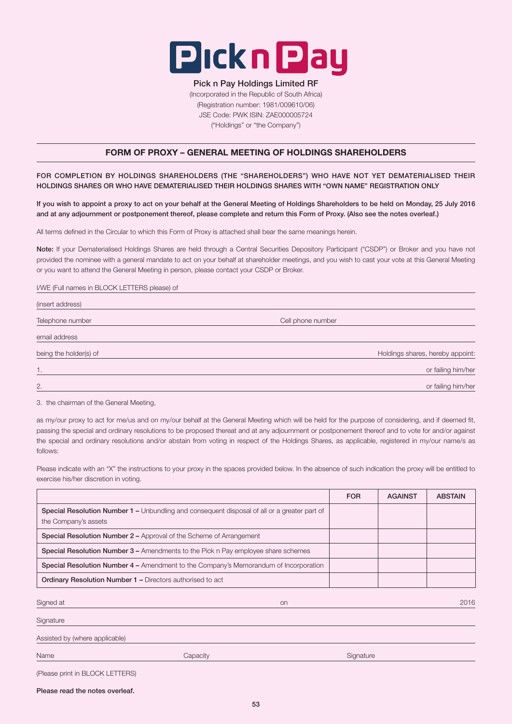

# Pick n Pay Holdings Limited RF

(Incorporated in the Republic of South Africa) (Registration number: 1981/009610/06) JSE Code: PWK ISIN: ZAE000005724 ("Holdings" or "the Company")

# FORM OF PROXY – GENERAL MEETING OF HOLDINGS SHAREHOLDERS

FOR COMPLETION BY HOLDINGS SHAREHOLDERS (THE "SHAREHOLDERS") WHO HAVE NOT YET DEMATERIALISED THEIR HOLDINGS SHARES OR WHO HAVE DEMATERIALISED THEIR HOLDINGS SHARES WITH "OWN NAME" REGISTRATION ONLY

If you wish to appoint a proxy to act on your behalf at the General Meeting of Holdings Shareholders to be held on Monday, 25 July 2016 and at any adjournment or postponement thereof, please complete and return this Form of Proxy. (Also see the notes overleaf.)

All terms defined in the Circular to which this Form of Proxy is attached shall bear the same meanings herein.

Note: If your Dematerialised Holdings Shares are held through a Central Securities Depository Participant ("CSDP") or Broker and you have not provided the nominee with a general mandate to act on your behalf at shareholder meetings, and you wish to cast your vote at this General Meeting or you want to attend the General Meeting in person, please contact your CSDP or Broker.

# I/WE (Full names in BLOCK LETTERS please) of

| (insert address)       |                                  |
|------------------------|----------------------------------|
| Telephone number       | Cell phone number                |
| email address          |                                  |
| being the holder(s) of | Holdings shares, hereby appoint: |
| 1.                     | or failing him/her               |
| 2.                     | or failing him/her               |

3. the chairman of the General Meeting,

as my/our proxy to act for me/us and on my/our behalf at the General Meeting which will be held for the purpose of considering, and if deemed fit, passing the special and ordinary resolutions to be proposed thereat and at any adjournment or postponement thereof and to vote for and/or against the special and ordinary resolutions and/or abstain from voting in respect of the Holdings Shares, as applicable, registered in my/our name/s as follows:

Please indicate with an "X" the instructions to your proxy in the spaces provided below. In the absence of such indication the proxy will be entitled to exercise his/her discretion in voting.

|                                                                                                                      | <b>FOR</b> | <b>AGAINST</b> | <b>ABSTAIN</b> |
|----------------------------------------------------------------------------------------------------------------------|------------|----------------|----------------|
| Special Resolution Number 1 – Unbundling and consequent disposal of all or a greater part of<br>the Company's assets |            |                |                |
| Special Resolution Number 2 – Approval of the Scheme of Arrangement                                                  |            |                |                |
| <b>Special Resolution Number 3 – Amendments to the Pick n Pay employee share schemes</b>                             |            |                |                |
| <b>Special Resolution Number 4 – Amendment to the Company's Memorandum of Incorporation</b>                          |            |                |                |
| <b>Ordinary Resolution Number 1 – Directors authorised to act</b>                                                    |            |                |                |
| Signed at<br><b>on</b>                                                                                               |            |                | 2016           |
| Signature                                                                                                            |            |                |                |
| Assisted by (where applicable)                                                                                       |            |                |                |
| Name<br>Capacity                                                                                                     | Signature  |                |                |

|  |  | (Please print in BLOCK LETTERS) |  |  |
|--|--|---------------------------------|--|--|
|--|--|---------------------------------|--|--|

Please read the notes overleaf.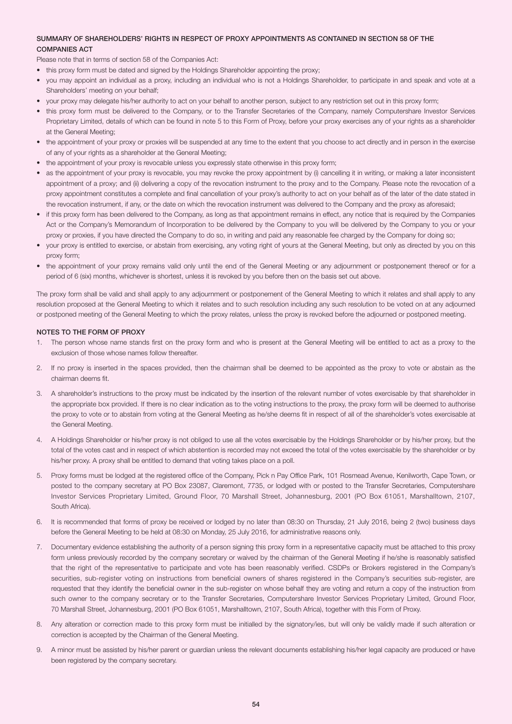# SUMMARY OF SHAREHOLDERS' RIGHTS IN RESPECT OF PROXY APPOINTMENTS AS CONTAINED IN SECTION 58 OF THE COMPANIES ACT

Please note that in terms of section 58 of the Companies Act:

- this proxy form must be dated and signed by the Holdings Shareholder appointing the proxy;
- you may appoint an individual as a proxy, including an individual who is not a Holdings Shareholder, to participate in and speak and vote at a Shareholders' meeting on your behalf;
- your proxy may delegate his/her authority to act on your behalf to another person, subject to any restriction set out in this proxy form;
- this proxy form must be delivered to the Company, or to the Transfer Secretaries of the Company, namely Computershare Investor Services Proprietary Limited, details of which can be found in note 5 to this Form of Proxy, before your proxy exercises any of your rights as a shareholder at the General Meeting;
- the appointment of your proxy or proxies will be suspended at any time to the extent that you choose to act directly and in person in the exercise of any of your rights as a shareholder at the General Meeting;
- the appointment of your proxy is revocable unless you expressly state otherwise in this proxy form;
- as the appointment of your proxy is revocable, you may revoke the proxy appointment by (i) cancelling it in writing, or making a later inconsistent appointment of a proxy; and (ii) delivering a copy of the revocation instrument to the proxy and to the Company. Please note the revocation of a proxy appointment constitutes a complete and final cancellation of your proxy's authority to act on your behalf as of the later of the date stated in the revocation instrument, if any, or the date on which the revocation instrument was delivered to the Company and the proxy as aforesaid;
- if this proxy form has been delivered to the Company, as long as that appointment remains in effect, any notice that is required by the Companies Act or the Company's Memorandum of Incorporation to be delivered by the Company to you will be delivered by the Company to you or your proxy or proxies, if you have directed the Company to do so, in writing and paid any reasonable fee charged by the Company for doing so;
- your proxy is entitled to exercise, or abstain from exercising, any voting right of yours at the General Meeting, but only as directed by you on this proxy form;
- the appointment of your proxy remains valid only until the end of the General Meeting or any adjournment or postponement thereof or for a period of 6 (six) months, whichever is shortest, unless it is revoked by you before then on the basis set out above.

The proxy form shall be valid and shall apply to any adjournment or postponement of the General Meeting to which it relates and shall apply to any resolution proposed at the General Meeting to which it relates and to such resolution including any such resolution to be voted on at any adjourned or postponed meeting of the General Meeting to which the proxy relates, unless the proxy is revoked before the adjourned or postponed meeting.

### NOTES TO THE FORM OF PROXY

- 1. The person whose name stands first on the proxy form and who is present at the General Meeting will be entitled to act as a proxy to the exclusion of those whose names follow thereafter.
- 2. If no proxy is inserted in the spaces provided, then the chairman shall be deemed to be appointed as the proxy to vote or abstain as the chairman deems fit.
- 3. A shareholder's instructions to the proxy must be indicated by the insertion of the relevant number of votes exercisable by that shareholder in the appropriate box provided. If there is no clear indication as to the voting instructions to the proxy, the proxy form will be deemed to authorise the proxy to vote or to abstain from voting at the General Meeting as he/she deems fit in respect of all of the shareholder's votes exercisable at the General Meeting.
- 4. A Holdings Shareholder or his/her proxy is not obliged to use all the votes exercisable by the Holdings Shareholder or by his/her proxy, but the total of the votes cast and in respect of which abstention is recorded may not exceed the total of the votes exercisable by the shareholder or by his/her proxy. A proxy shall be entitled to demand that voting takes place on a poll.
- 5. Proxy forms must be lodged at the registered office of the Company, Pick n Pay Office Park, 101 Rosmead Avenue, Kenilworth, Cape Town, or posted to the company secretary at PO Box 23087, Claremont, 7735, or lodged with or posted to the Transfer Secretaries, Computershare Investor Services Proprietary Limited, Ground Floor, 70 Marshall Street, Johannesburg, 2001 (PO Box 61051, Marshalltown, 2107, South Africa).
- 6. It is recommended that forms of proxy be received or lodged by no later than 08:30 on Thursday, 21 July 2016, being 2 (two) business days before the General Meeting to be held at 08:30 on Monday, 25 July 2016, for administrative reasons only.
- 7. Documentary evidence establishing the authority of a person signing this proxy form in a representative capacity must be attached to this proxy form unless previously recorded by the company secretary or waived by the chairman of the General Meeting if he/she is reasonably satisfied that the right of the representative to participate and vote has been reasonably verified. CSDPs or Brokers registered in the Company's securities, sub-register voting on instructions from beneficial owners of shares registered in the Company's securities sub-register, are requested that they identify the beneficial owner in the sub-register on whose behalf they are voting and return a copy of the instruction from such owner to the company secretary or to the Transfer Secretaries, Computershare Investor Services Proprietary Limited, Ground Floor, 70 Marshall Street, Johannesburg, 2001 (PO Box 61051, Marshalltown, 2107, South Africa), together with this Form of Proxy.
- 8. Any alteration or correction made to this proxy form must be initialled by the signatory/ies, but will only be validly made if such alteration or correction is accepted by the Chairman of the General Meeting.
- 9. A minor must be assisted by his/her parent or guardian unless the relevant documents establishing his/her legal capacity are produced or have been registered by the company secretary.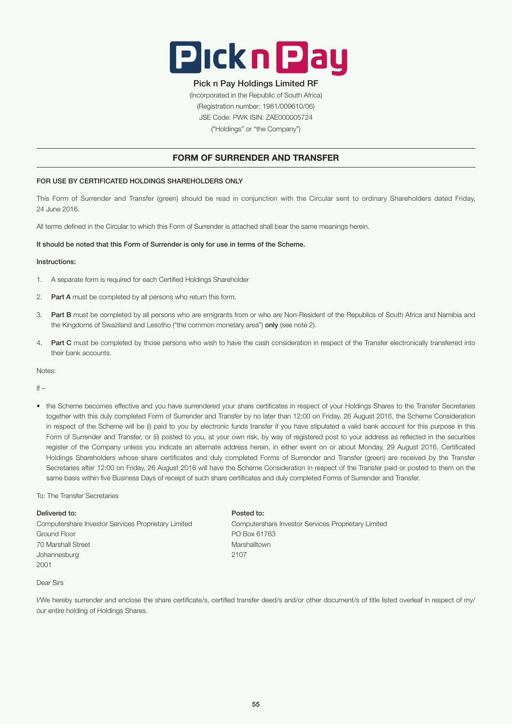

# Pick n Pay Holdings Limited RF

(Incorporated in the Republic of South Africa) (Registration number: 1981/009610/06) JSE Code: PWK ISIN: ZAE000005724 ("Holdings" or "the Company")

# FORM OF SURRENDER AND TRANSFER

# FOR USE BY CERTIFICATED HOLDINGS SHAREHOLDERS ONLY

This Form of Surrender and Transfer (green) should be read in conjunction with the Circular sent to ordinary Shareholders dated Friday, 24 June 2016.

All terms defined in the Circular to which this Form of Surrender is attached shall bear the same meanings herein.

### It should be noted that this Form of Surrender is only for use in terms of the Scheme.

### Instructions:

- 1. A separate form is required for each Certified Holdings Shareholder
- 2. Part A must be completed by all persons who return this form.
- 3. Part B must be completed by all persons who are emigrants from or who are Non-Resident of the Republics of South Africa and Namibia and the Kingdoms of Swaziland and Lesotho ("the common monetary area") only (see note 2).
- 4. Part C must be completed by those persons who wish to have the cash consideration in respect of the Transfer electronically transferred into their bank accounts.

Notes:

 $If -$ 

• the Scheme becomes effective and you have surrendered your share certificates in respect of your Holdings Shares to the Transfer Secretaries together with this duly completed Form of Surrender and Transfer by no later than 12:00 on Friday, 26 August 2016, the Scheme Consideration in respect of the Scheme will be (i) paid to you by electronic funds transfer if you have stipulated a valid bank account for this purpose in this Form of Surrender and Transfer, or (ii) posted to you, at your own risk, by way of registered post to your address as reflected in the securities register of the Company unless you indicate an alternate address herein, in either event on or about Monday, 29 August 2016. Certificated Holdings Shareholders whose share certificates and duly completed Forms of Surrender and Transfer (green) are received by the Transfer Secretaries after 12:00 on Friday, 26 August 2016 will have the Scheme Consideration in respect of the Transfer paid or posted to them on the same basis within five Business Days of receipt of such share certificates and duly completed Forms of Surrender and Transfer.

### To: The Transfer Secretaries

### Delivered to: Posted to:

Computershare Investor Services Proprietary Limited Computershare Investor Services Proprietary Limited Ground Floor **PO Box 61763** 70 Marshall Street Marshalltown Marshalltown Marshalltown Marshalltown Marshalltown Marshalltown Marshalltown Johannesburg 2107 2001

### Dear Sirs

I/We hereby surrender and enclose the share certificate/s, certified transfer deed/s and/or other document/s of title listed overleaf in respect of my/ our entire holding of Holdings Shares.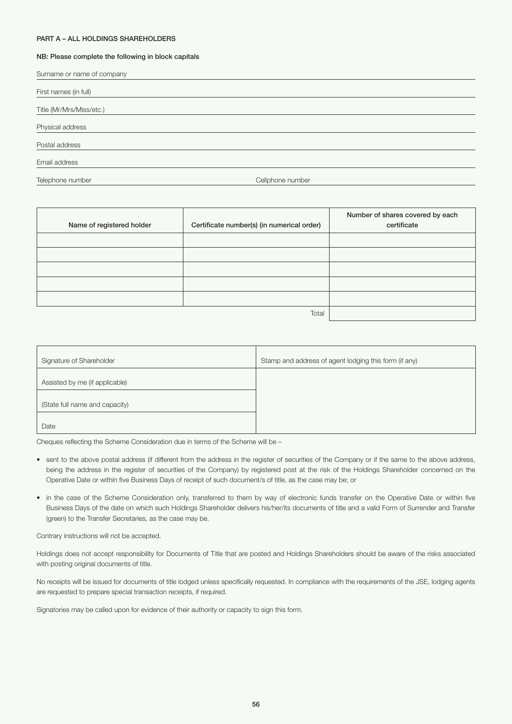### PART A – ALL HOLDINGS SHAREHOLDERS

### NB: Please complete the following in block capitals

| Surname or name of company |                  |
|----------------------------|------------------|
| First names (in full)      |                  |
| Title (Mr/Mrs/Miss/etc.)   |                  |
| Physical address           |                  |
| Postal address             |                  |
| Email address              |                  |
| Telephone number           | Cellphone number |

| Name of registered holder | Certificate number(s) (in numerical order) | Number of shares covered by each<br>certificate |
|---------------------------|--------------------------------------------|-------------------------------------------------|
|                           |                                            |                                                 |
|                           |                                            |                                                 |
|                           |                                            |                                                 |
|                           |                                            |                                                 |
|                           |                                            |                                                 |
|                           | Total                                      |                                                 |

| Signature of Shareholder       | Stamp and address of agent lodging this form (if any) |
|--------------------------------|-------------------------------------------------------|
| Assisted by me (if applicable) |                                                       |
| (State full name and capacity) |                                                       |
| Date                           |                                                       |

Cheques reflecting the Scheme Consideration due in terms of the Scheme will be –

- sent to the above postal address (if different from the address in the register of securities of the Company or if the same to the above address, being the address in the register of securities of the Company) by registered post at the risk of the Holdings Shareholder concerned on the Operative Date or within five Business Days of receipt of such document/s of title, as the case may be; or
- in the case of the Scheme Consideration only, transferred to them by way of electronic funds transfer on the Operative Date or within five Business Days of the date on which such Holdings Shareholder delivers his/her/its documents of title and a valid Form of Surrender and Transfer (green) to the Transfer Secretaries, as the case may be.

Contrary instructions will not be accepted.

Holdings does not accept responsibility for Documents of Title that are posted and Holdings Shareholders should be aware of the risks associated with posting original documents of title.

No receipts will be issued for documents of title lodged unless specifically requested. In compliance with the requirements of the JSE, lodging agents are requested to prepare special transaction receipts, if required.

Signatories may be called upon for evidence of their authority or capacity to sign this form.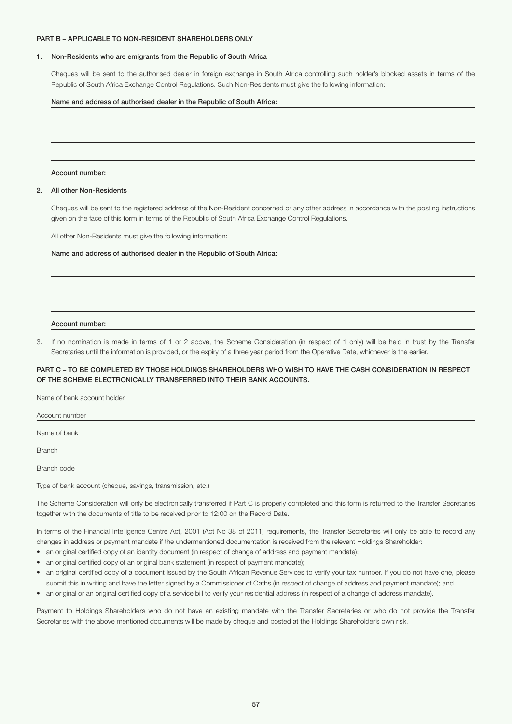### PART B – APPLICABLE TO NON-RESIDENT SHAREHOLDERS ONLY

### 1. Non-Residents who are emigrants from the Republic of South Africa

 Cheques will be sent to the authorised dealer in foreign exchange in South Africa controlling such holder's blocked assets in terms of the Republic of South Africa Exchange Control Regulations. Such Non-Residents must give the following information:

### Name and address of authorised dealer in the Republic of South Africa:

#### Account number:

### 2. All other Non-Residents

 Cheques will be sent to the registered address of the Non-Resident concerned or any other address in accordance with the posting instructions given on the face of this form in terms of the Republic of South Africa Exchange Control Regulations.

All other Non-Residents must give the following information:

# Name and address of authorised dealer in the Republic of South Africa:

### Account number:

3. If no nomination is made in terms of 1 or 2 above, the Scheme Consideration (in respect of 1 only) will be held in trust by the Transfer Secretaries until the information is provided, or the expiry of a three year period from the Operative Date, whichever is the earlier.

# PART C – TO BE COMPLETED BY THOSE HOLDINGS SHAREHOLDERS WHO WISH TO HAVE THE CASH CONSIDERATION IN RESPECT OF THE SCHEME ELECTRONICALLY TRANSFERRED INTO THEIR BANK ACCOUNTS.

| Name of bank account holder                                |
|------------------------------------------------------------|
|                                                            |
| Account number                                             |
|                                                            |
| Name of bank                                               |
|                                                            |
| <b>Branch</b>                                              |
|                                                            |
| Branch code                                                |
|                                                            |
| Type of bank account (cheque, savings, transmission, etc.) |

The Scheme Consideration will only be electronically transferred if Part C is properly completed and this form is returned to the Transfer Secretaries together with the documents of title to be received prior to 12:00 on the Record Date.

In terms of the Financial Intelligence Centre Act, 2001 (Act No 38 of 2011) requirements, the Transfer Secretaries will only be able to record any changes in address or payment mandate if the undermentioned documentation is received from the relevant Holdings Shareholder:

- an original certified copy of an identity document (in respect of change of address and payment mandate);
- an original certified copy of an original bank statement (in respect of payment mandate);
- an original certified copy of a document issued by the South African Revenue Services to verify your tax number. If you do not have one, please submit this in writing and have the letter signed by a Commissioner of Oaths (in respect of change of address and payment mandate); and
- an original or an original certified copy of a service bill to verify your residential address (in respect of a change of address mandate).

Payment to Holdings Shareholders who do not have an existing mandate with the Transfer Secretaries or who do not provide the Transfer Secretaries with the above mentioned documents will be made by cheque and posted at the Holdings Shareholder's own risk.